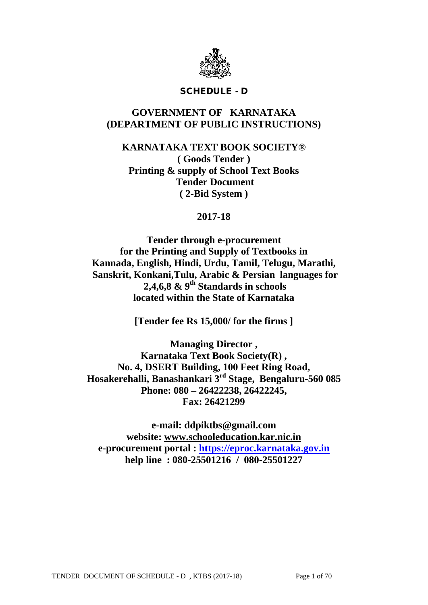

### SCHEDULE - D

## **GOVERNMENT OF KARNATAKA (DEPARTMENT OF PUBLIC INSTRUCTIONS)**

**KARNATAKA TEXT BOOK SOCIETY® ( Goods Tender ) Printing & supply of School Text Books Tender Document ( 2-Bid System )**

## **2017-18**

**Tender through e-procurement for the Printing and Supply of Textbooks in Kannada, English, Hindi, Urdu, Tamil, Telugu, Marathi, Sanskrit, Konkani,Tulu, Arabic & Persian languages for 2,4,6,8 & 9th Standards in schools located within the State of Karnataka**

**[Tender fee Rs 15,000/ for the firms ]**

**Managing Director , Karnataka Text Book Society(R) , No. 4, DSERT Building, 100 Feet Ring Road, Hosakerehalli, Banashankari 3rd Stage, Bengaluru-560 085 Phone: 080 – 26422238, 26422245, Fax: 26421299**

**e-mail: ddpiktbs@gmail.com website: [www.schooleducation.kar.nic.in](http://www.schooleducation.kar.nic.in/) e-procurement portal : [https://eproc.karnataka.gov.in](https://eproc.karnataka.gov.in/) help line : 080-25501216 / 080-25501227**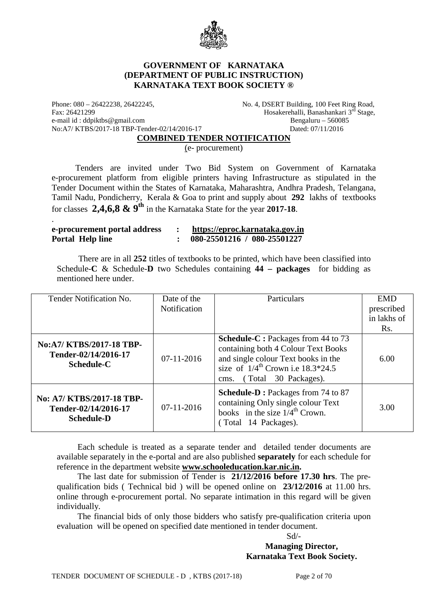

#### **GOVERNMENT OF KARNATAKA (DEPARTMENT OF PUBLIC INSTRUCTION) KARNATAKA TEXT BOOK SOCIETY ®**

Phone: 080 – 26422238, 26422245, No. 4, DSERT Building, 100 Feet Ring Road, Fax: 26421299 Hosakerehalli, Banashankari 3<sup>rd</sup> Stage,<br>e-mail id: ddpiktbs@gmail.com Bengaluru – 560085 e-mail id : ddpiktbs@gmail.com No:A7/ KTBS/2017-18 TBP-Tender-02/14/2016-17 Dated: 07/11/2016

.

#### **COMBINED TENDER NOTIFICATION**

(e- procurement)

 Tenders are invited under Two Bid System on Government of Karnataka e-procurement platform from eligible printers having Infrastructure as stipulated in the Tender Document within the States of Karnataka, Maharashtra, Andhra Pradesh, Telangana, Tamil Nadu, Pondicherry, Kerala & Goa to print and supply about **292** lakhs of textbooks for classes **2,4,6,8 & 9th** in the Karnataka State for the year **2017-18**.

| e-procurement portal address | https://eproc.karnataka.gov.in |
|------------------------------|--------------------------------|
| Portal Help line             | 080-25501216 / 080-25501227    |

 There are in all **252** titles of textbooks to be printed, which have been classified into Schedule-**C** & Schedule-**D** two Schedules containing **44 – packages** for bidding as mentioned here under.

| Tender Notification No.                                                | Date of the  | Particulars                                                                                                                                                                                        | <b>EMD</b>  |
|------------------------------------------------------------------------|--------------|----------------------------------------------------------------------------------------------------------------------------------------------------------------------------------------------------|-------------|
|                                                                        | Notification |                                                                                                                                                                                                    | prescribed  |
|                                                                        |              |                                                                                                                                                                                                    | in lakhs of |
|                                                                        |              |                                                                                                                                                                                                    | Rs.         |
| No:A7/KTBS/2017-18 TBP-<br>Tender-02/14/2016-17<br>Schedule-C          | $07-11-2016$ | <b>Schedule-C</b> : Packages from 44 to 73<br>containing both 4 Colour Text Books<br>and single colour Text books in the<br>size of $1/4^{th}$ Crown i.e 18.3*24.5<br>(Total 30 Packages).<br>cms. | 6.00        |
| No: A7/ KTBS/2017-18 TBP-<br>Tender-02/14/2016-17<br><b>Schedule-D</b> | $07-11-2016$ | <b>Schedule-D</b> : Packages from 74 to 87<br>containing Only single colour Text<br>books in the size $1/4^{\text{th}}$ Crown.<br>(Total 14 Packages).                                             | 3.00        |

Each schedule is treated as a separate tender and detailed tender documents are available separately in the e-portal and are also published **separately** for each schedule for reference in the department website **[www.schooleducation.kar.nic.in.](http://www.schooleducation.kar.nic.in/)**

The last date for submission of Tender is **21/12/2016 before 17.30 hrs**. The prequalification bids ( Technical bid ) will be opened online on **23/12/2016** at 11.00 hrs. online through e-procurement portal. No separate intimation in this regard will be given individually.

The financial bids of only those bidders who satisfy pre-qualification criteria upon evaluation will be opened on specified date mentioned in tender document.

### Sd/- **Managing Director, Karnataka Text Book Society.**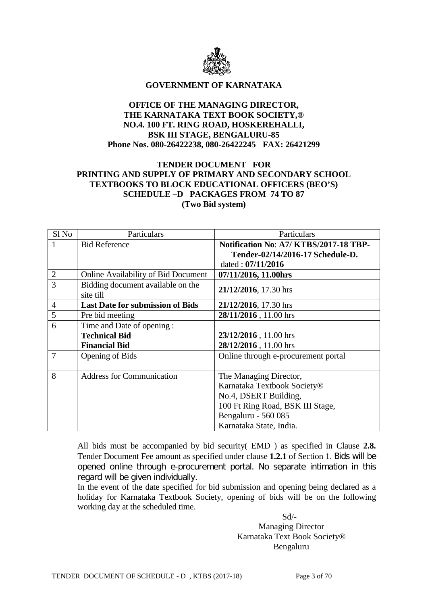

#### **GOVERNMENT OF KARNATAKA**

### **OFFICE OF THE MANAGING DIRECTOR, THE KARNATAKA TEXT BOOK SOCIETY,® NO.4. 100 FT. RING ROAD, HOSKEREHALLI, BSK III STAGE, BENGALURU-85 Phone Nos. 080-26422238, 080-26422245 FAX: 26421299**

### **TENDER DOCUMENT FOR PRINTING AND SUPPLY OF PRIMARY AND SECONDARY SCHOOL TEXTBOOKS TO BLOCK EDUCATIONAL OFFICERS (BEO'S) SCHEDULE –D PACKAGES FROM 74 TO 87 (Two Bid system)**

| Sl <sub>No</sub> | Particulars                                    | Particulars                           |  |
|------------------|------------------------------------------------|---------------------------------------|--|
|                  | <b>Bid Reference</b>                           | Notification No: A7/KTBS/2017-18 TBP- |  |
|                  |                                                | Tender-02/14/2016-17 Schedule-D.      |  |
|                  |                                                | dated: $07/11/2016$                   |  |
| $\overline{2}$   | <b>Online Availability of Bid Document</b>     | 07/11/2016, 11.00hrs                  |  |
| 3                | Bidding document available on the<br>site till | 21/12/2016, 17.30 hrs                 |  |
| $\overline{4}$   | <b>Last Date for submission of Bids</b>        | 21/12/2016, 17.30 hrs                 |  |
| 5                | Pre bid meeting                                | 28/11/2016, 11.00 hrs                 |  |
| 6                | Time and Date of opening:                      |                                       |  |
|                  | <b>Technical Bid</b>                           | 23/12/2016, 11.00 hrs                 |  |
|                  | <b>Financial Bid</b>                           | 28/12/2016, 11.00 hrs                 |  |
| 7                | Opening of Bids                                | Online through e-procurement portal   |  |
|                  |                                                |                                       |  |
| 8                | <b>Address for Communication</b>               | The Managing Director,                |  |
|                  |                                                | Karnataka Textbook Society®           |  |
|                  |                                                | No.4, DSERT Building,                 |  |
|                  |                                                | 100 Ft Ring Road, BSK III Stage,      |  |
|                  |                                                | Bengaluru - 560 085                   |  |
|                  |                                                | Karnataka State, India.               |  |

All bids must be accompanied by bid security( EMD ) as specified in Clause **2.8.** Tender Document Fee amount as specified under clause **1.2.1** of Section 1. Bids will be opened online through e-procurement portal. No separate intimation in this regard will be given individually.

In the event of the date specified for bid submission and opening being declared as a holiday for Karnataka Textbook Society, opening of bids will be on the following working day at the scheduled time.

 Sd/- Managing Director Karnataka Text Book Society® Bengaluru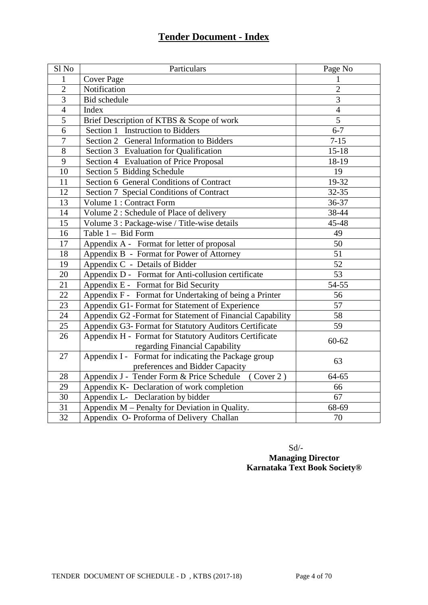# **Tender Document - Index**

| Sl <sub>No</sub> | Particulars                                               | Page No         |
|------------------|-----------------------------------------------------------|-----------------|
| $\mathbf{1}$     | <b>Cover Page</b>                                         | 1               |
| $\overline{2}$   | Notification                                              | $\overline{2}$  |
| $\overline{3}$   | <b>Bid</b> schedule                                       | 3               |
| $\overline{4}$   | Index                                                     | $\overline{4}$  |
| $\overline{5}$   | Brief Description of KTBS & Scope of work                 | $\overline{5}$  |
| 6                | Section 1 Instruction to Bidders                          | $6 - 7$         |
| $\overline{7}$   | Section 2 General Information to Bidders                  | $7 - 15$        |
| $\overline{8}$   | Section 3 Evaluation for Qualification                    | $15 - 18$       |
| 9                | Section 4 Evaluation of Price Proposal                    | 18-19           |
| 10               | Section 5 Bidding Schedule                                | 19              |
| 11               | Section 6 General Conditions of Contract                  | 19-32           |
| 12               | Section 7 Special Conditions of Contract                  | 32-35           |
| $\overline{13}$  | Volume 1 : Contract Form                                  | 36-37           |
| 14               | Volume 2 : Schedule of Place of delivery                  | 38-44           |
| $\overline{15}$  | Volume 3 : Package-wise / Title-wise details              | 45-48           |
| 16               | Table 1 - Bid Form                                        | 49              |
| 17               | Appendix A - Format for letter of proposal                | 50              |
| 18               | Appendix B - Format for Power of Attorney                 | 51              |
| 19               | Appendix C - Details of Bidder                            | 52              |
| 20               | Appendix D - Format for Anti-collusion certificate        | $\overline{53}$ |
| $\overline{21}$  | Appendix E - Format for Bid Security                      | 54-55           |
| $\overline{22}$  | Appendix F - Format for Undertaking of being a Printer    | 56              |
| $\overline{23}$  | Appendix G1- Format for Statement of Experience           | 57              |
| 24               | Appendix G2 -Format for Statement of Financial Capability | 58              |
| 25               | Appendix G3- Format for Statutory Auditors Certificate    | 59              |
| 26               | Appendix H - Format for Statutory Auditors Certificate    | $60 - 62$       |
|                  | regarding Financial Capability                            |                 |
| 27               | Appendix I - Format for indicating the Package group      | 63              |
|                  | preferences and Bidder Capacity                           |                 |
| 28               | Appendix J - Tender Form & Price Schedule (Cover 2)       | 64-65           |
| 29               | Appendix K- Declaration of work completion                | 66              |
| $\overline{30}$  | Appendix L- Declaration by bidder                         | 67              |
| $\overline{31}$  | Appendix M - Penalty for Deviation in Quality.            | 68-69           |
| $\overline{32}$  | Appendix O- Proforma of Delivery Challan                  | 70              |

 Sd/- **Managing Director Karnataka Text Book Society®**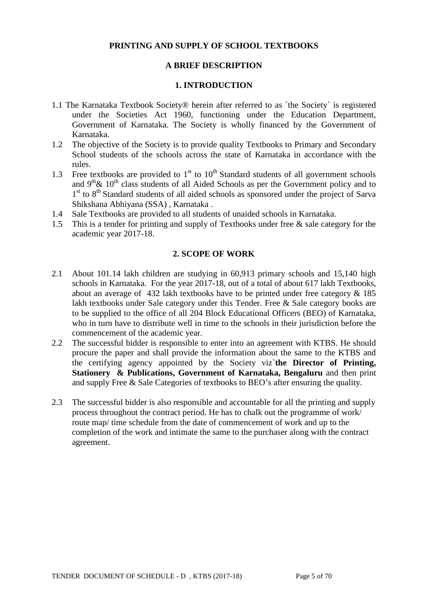### **PRINTING AND SUPPLY OF SCHOOL TEXTBOOKS**

### **A BRIEF DESCRIPTION**

#### **1. INTRODUCTION**

- 1.1 The Karnataka Textbook Society® herein after referred to as `the Society` is registered under the Societies Act 1960, functioning under the Education Department, Government of Karnataka. The Society is wholly financed by the Government of Karnataka.
- 1.2 The objective of the Society is to provide quality Textbooks to Primary and Secondary School students of the schools across the state of Karnataka in accordance with the rules.
- 1.3 Free textbooks are provided to  $1<sup>st</sup>$  to  $10<sup>th</sup>$  Standard students of all government schools and  $9<sup>th</sup> \& 10<sup>th</sup>$  class students of all Aided Schools as per the Government policy and to 1st to 8<sup>th</sup> Standard students of all aided schools as sponsored under the project of Sarva Shikshana Abhiyana (SSA) , Karnataka .
- 1.4 Sale Textbooks are provided to all students of unaided schools in Karnataka.
- 1.5 This is a tender for printing and supply of Textbooks under free & sale category for the academic year 2017-18.

### **2. SCOPE OF WORK**

- 2.1 About 101.14 lakh children are studying in 60,913 primary schools and 15,140 high schools in Karnataka. For the year 2017-18, out of a total of about 617 lakh Textbooks, about an average of 432 lakh textbooks have to be printed under free category & 185 lakh textbooks under Sale category under this Tender. Free & Sale category books are to be supplied to the office of all 204 Block Educational Officers (BEO) of Karnataka, who in turn have to distribute well in time to the schools in their jurisdiction before the commencement of the academic year.
- 2.2 The successful bidder is responsible to enter into an agreement with KTBS. He should procure the paper and shall provide the information about the same to the KTBS and the certifying agency appointed by the Society viz**`the Director of Printing, Stationery & Publications, Government of Karnataka, Bengaluru** and then print and supply Free & Sale Categories of textbooks to BEO's after ensuring the quality.
- 2.3 The successful bidder is also responsible and accountable for all the printing and supply process throughout the contract period. He has to chalk out the programme of work/ route map/ time schedule from the date of commencement of work and up to the completion of the work and intimate the same to the purchaser along with the contract agreement.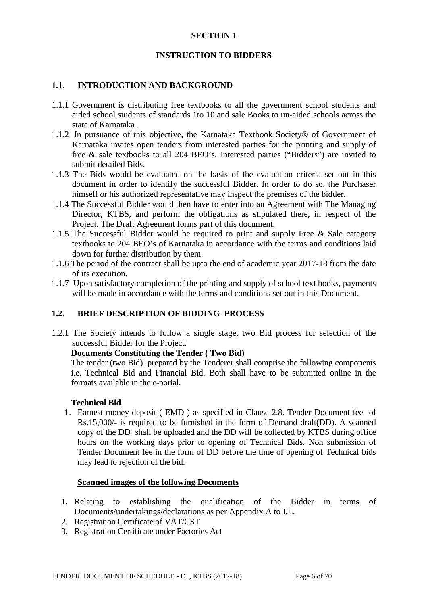### **SECTION 1**

### **INSTRUCTION TO BIDDERS**

#### **1.1. INTRODUCTION AND BACKGROUND**

- 1.1.1 Government is distributing free textbooks to all the government school students and aided school students of standards 1to 10 and sale Books to un-aided schools across the state of Karnataka .
- 1.1.2 In pursuance of this objective, the Karnataka Textbook Society® of Government of Karnataka invites open tenders from interested parties for the printing and supply of free & sale textbooks to all 204 BEO's. Interested parties ("Bidders") are invited to submit detailed Bids.
- 1.1.3 The Bids would be evaluated on the basis of the evaluation criteria set out in this document in order to identify the successful Bidder. In order to do so, the Purchaser himself or his authorized representative may inspect the premises of the bidder.
- 1.1.4 The Successful Bidder would then have to enter into an Agreement with The Managing Director, KTBS, and perform the obligations as stipulated there, in respect of the Project. The Draft Agreement forms part of this document.
- 1.1.5 The Successful Bidder would be required to print and supply Free & Sale category textbooks to 204 BEO's of Karnataka in accordance with the terms and conditions laid down for further distribution by them.
- 1.1.6 The period of the contract shall be upto the end of academic year 2017-18 from the date of its execution.
- 1.1.7 Upon satisfactory completion of the printing and supply of school text books, payments will be made in accordance with the terms and conditions set out in this Document.

### **1.2. BRIEF DESCRIPTION OF BIDDING PROCESS**

1.2.1 The Society intends to follow a single stage, two Bid process for selection of the successful Bidder for the Project.

#### **Documents Constituting the Tender ( Two Bid)**

The tender (two Bid) prepared by the Tenderer shall comprise the following components i.e. Technical Bid and Financial Bid. Both shall have to be submitted online in the formats available in the e-portal.

#### **Technical Bid**

1. Earnest money deposit ( EMD ) as specified in Clause 2.8. Tender Document fee of Rs.15,000/- is required to be furnished in the form of Demand draft(DD). A scanned copy of the DD shall be uploaded and the DD will be collected by KTBS during office hours on the working days prior to opening of Technical Bids. Non submission of Tender Document fee in the form of DD before the time of opening of Technical bids may lead to rejection of the bid.

#### **Scanned images of the following Documents**

- 1. Relating to establishing the qualification of the Bidder in terms of Documents/undertakings/declarations as per Appendix A to I,L.
- 2. Registration Certificate of VAT/CST
- 3. Registration Certificate under Factories Act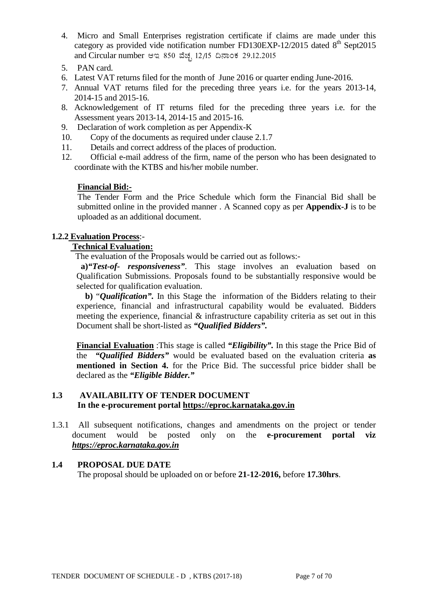- 4. Micro and Small Enterprises registration certificate if claims are made under this category as provided vide notification number FD130EXP-12/2015 dated  $8<sup>th</sup>$  Sept2015 and Circular number ఆఇ 850 చేణ, 12/15 దినాంశ 29.12.2015
- 5. PAN card.
- 6. Latest VAT returns filed for the month of June 2016 or quarter ending June-2016.
- 7. Annual VAT returns filed for the preceding three years i.e. for the years 2013-14, 2014-15 and 2015-16.
- 8. Acknowledgement of IT returns filed for the preceding three years i.e. for the Assessment years 2013-14, 2014-15 and 2015-16.
- 9. Declaration of work completion as per Appendix-K
- 10. Copy of the documents as required under clause 2.1.7
- 11. Details and correct address of the places of production.
- 12. Official e-mail address of the firm, name of the person who has been designated to coordinate with the KTBS and his/her mobile number.

#### **Financial Bid:-**

The Tender Form and the Price Schedule which form the Financial Bid shall be submitted online in the provided manner . A Scanned copy as per **Appendix-J** is to be uploaded as an additional document.

### **1.2.2 Evaluation Process**:-

### **Technical Evaluation:**

The evaluation of the Proposals would be carried out as follows:-

**a)***"Test-of- responsiveness"*. This stage involves an evaluation based on Qualification Submissions. Proposals found to be substantially responsive would be selected for qualification evaluation.

 **b)** "*Qualification".* In this Stage the information of the Bidders relating to their experience, financial and infrastructural capability would be evaluated. Bidders meeting the experience, financial & infrastructure capability criteria as set out in this Document shall be short-listed as *"Qualified Bidders".*

**Financial Evaluation** :This stage is called *"Eligibility".* In this stage the Price Bid of the *"Qualified Bidders"* would be evaluated based on the evaluation criteria **as mentioned in Section 4.** for the Price Bid. The successful price bidder shall be declared as the *"Eligible Bidder."*

### **1.3 AVAILABILITY OF TENDER DOCUMENT In the e-procurement portal [https://eproc.karnataka.gov.in](https://eproc.karnataka.gov.in/)**

1.3.1 All subsequent notifications, changes and amendments on the project or tender document would be posted only on the **e-procurement portal viz** *[https://eproc.karnataka.gov.in](https://eproc.karnataka.gov.in/)*

#### **1.4 PROPOSAL DUE DATE**

The proposal should be uploaded on or before **21-12-2016,** before **17.30hrs**.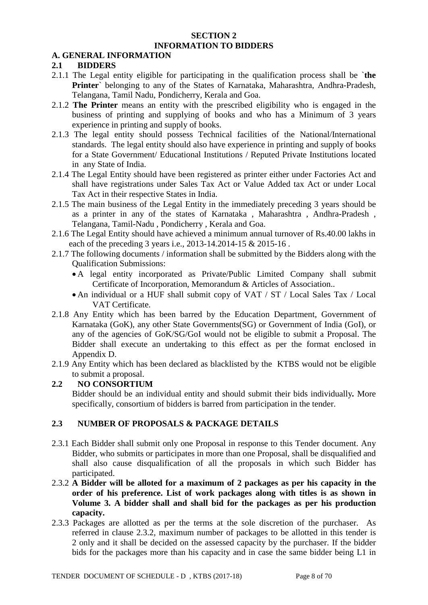#### **SECTION 2 INFORMATION TO BIDDERS**

### **A. GENERAL INFORMATION**

### **2.1 BIDDERS**

- 2.1.1 The Legal entity eligible for participating in the qualification process shall be `**the Printer**` belonging to any of the States of Karnataka, Maharashtra, Andhra-Pradesh, Telangana, Tamil Nadu, Pondicherry, Kerala and Goa.
- 2.1.2 **The Printer** means an entity with the prescribed eligibility who is engaged in the business of printing and supplying of books and who has a Minimum of 3 years experience in printing and supply of books.
- 2.1.3 The legal entity should possess Technical facilities of the National/International standards. The legal entity should also have experience in printing and supply of books for a State Government/ Educational Institutions / Reputed Private Institutions located in any State of India.
- 2.1.4 The Legal Entity should have been registered as printer either under Factories Act and shall have registrations under Sales Tax Act or Value Added tax Act or under Local Tax Act in their respective States in India.
- 2.1.5 The main business of the Legal Entity in the immediately preceding 3 years should be as a printer in any of the states of Karnataka , Maharashtra , Andhra-Pradesh , Telangana, Tamil-Nadu , Pondicherry , Kerala and Goa.
- 2.1.6 The Legal Entity should have achieved a minimum annual turnover of Rs.40.00 lakhs in each of the preceding 3 years i.e., 2013-14.2014-15 & 2015-16.
- 2.1.7 The following documents / information shall be submitted by the Bidders along with the Qualification Submissions:
	- A legal entity incorporated as Private/Public Limited Company shall submit Certificate of Incorporation, Memorandum & Articles of Association..
	- An individual or a HUF shall submit copy of VAT / ST / Local Sales Tax / Local VAT Certificate.
- 2.1.8 Any Entity which has been barred by the Education Department, Government of Karnataka (GoK), any other State Governments(SG) or Government of India (GoI), or any of the agencies of GoK/SG/GoI would not be eligible to submit a Proposal. The Bidder shall execute an undertaking to this effect as per the format enclosed in Appendix D.
- 2.1.9 Any Entity which has been declared as blacklisted by the KTBS would not be eligible to submit a proposal.

### **2.2 NO CONSORTIUM**

Bidder should be an individual entity and should submit their bids individually*.* More specifically, consortium of bidders is barred from participation in the tender.

## **2.3 NUMBER OF PROPOSALS & PACKAGE DETAILS**

- 2.3.1 Each Bidder shall submit only one Proposal in response to this Tender document. Any Bidder, who submits or participates in more than one Proposal, shall be disqualified and shall also cause disqualification of all the proposals in which such Bidder has participated.
- 2.3.2 **A Bidder will be alloted for a maximum of 2 packages as per his capacity in the order of his preference. List of work packages along with titles is as shown in Volume 3. A bidder shall and shall bid for the packages as per his production capacity.**
- 2.3.3 Packages are allotted as per the terms at the sole discretion of the purchaser. As referred in clause 2.3.2, maximum number of packages to be allotted in this tender is 2 only and it shall be decided on the assessed capacity by the purchaser. If the bidder bids for the packages more than his capacity and in case the same bidder being L1 in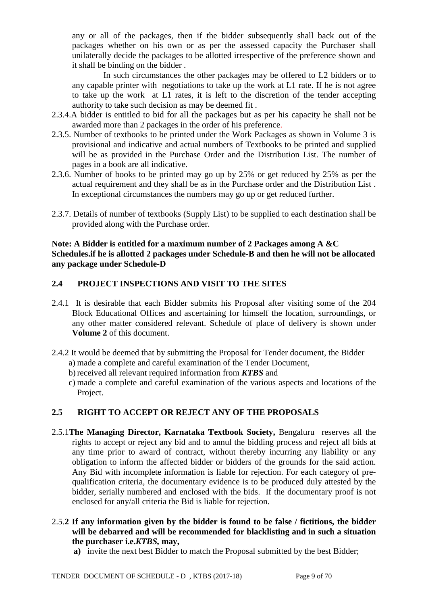any or all of the packages, then if the bidder subsequently shall back out of the packages whether on his own or as per the assessed capacity the Purchaser shall unilaterally decide the packages to be allotted irrespective of the preference shown and it shall be binding on the bidder .

In such circumstances the other packages may be offered to L2 bidders or to any capable printer with negotiations to take up the work at L1 rate. If he is not agree to take up the work at L1 rates, it is left to the discretion of the tender accepting authority to take such decision as may be deemed fit .

- 2.3.4.A bidder is entitled to bid for all the packages but as per his capacity he shall not be awarded more than 2 packages in the order of his preference.
- 2.3.5. Number of textbooks to be printed under the Work Packages as shown in Volume 3 is provisional and indicative and actual numbers of Textbooks to be printed and supplied will be as provided in the Purchase Order and the Distribution List. The number of pages in a book are all indicative.
- 2.3.6. Number of books to be printed may go up by 25% or get reduced by 25% as per the actual requirement and they shall be as in the Purchase order and the Distribution List . In exceptional circumstances the numbers may go up or get reduced further.
- 2.3.7. Details of number of textbooks (Supply List) to be supplied to each destination shall be provided along with the Purchase order.

### **Note: A Bidder is entitled for a maximum number of 2 Packages among A &C Schedules.if he is allotted 2 packages under Schedule-B and then he will not be allocated any package under Schedule-D**

### **2.4 PROJECT INSPECTIONS AND VISIT TO THE SITES**

- 2.4.1 It is desirable that each Bidder submits his Proposal after visiting some of the 204 Block Educational Offices and ascertaining for himself the location, surroundings, or any other matter considered relevant. Schedule of place of delivery is shown under **Volume 2** of this document.
- 2.4.2 It would be deemed that by submitting the Proposal for Tender document, the Bidder
	- a) made a complete and careful examination of the Tender Document,
	- b) received all relevant required information from *KTBS* and
	- c) made a complete and careful examination of the various aspects and locations of the Project.

## **2.5 RIGHT TO ACCEPT OR REJECT ANY OF THE PROPOSALS**

- 2.5.1**The Managing Director, Karnataka Textbook Society,** Bengaluru reserves all the rights to accept or reject any bid and to annul the bidding process and reject all bids at any time prior to award of contract, without thereby incurring any liability or any obligation to inform the affected bidder or bidders of the grounds for the said action. Any Bid with incomplete information is liable for rejection. For each category of prequalification criteria, the documentary evidence is to be produced duly attested by the bidder, serially numbered and enclosed with the bids. If the documentary proof is not enclosed for any/all criteria the Bid is liable for rejection.
- 2.5.**2 If any information given by the bidder is found to be false / fictitious, the bidder will be debarred and will be recommended for blacklisting and in such a situation the purchaser i.e.***KTBS,* **may,**
	- **a)** invite the next best Bidder to match the Proposal submitted by the best Bidder;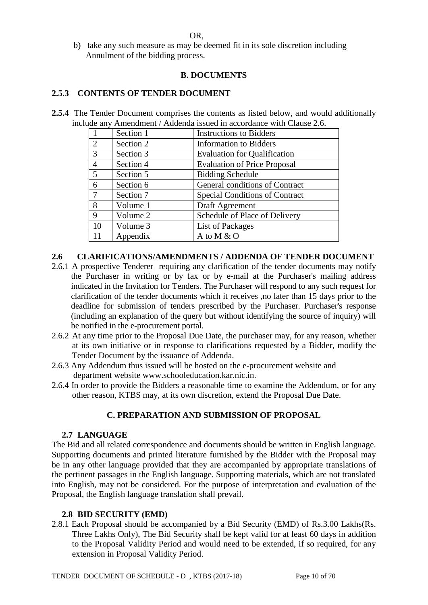OR,

b) take any such measure as may be deemed fit in its sole discretion including Annulment of the bidding process.

### **B. DOCUMENTS**

### **2.5.3 CONTENTS OF TENDER DOCUMENT**

**2.5.4** The Tender Document comprises the contents as listed below, and would additionally include any Amendment / Addenda issued in accordance with Clause 2.6.

|                | Section 1 | <b>Instructions to Bidders</b>        |
|----------------|-----------|---------------------------------------|
| 2              | Section 2 | <b>Information</b> to Bidders         |
| 3              | Section 3 | <b>Evaluation for Qualification</b>   |
| $\overline{4}$ | Section 4 | <b>Evaluation of Price Proposal</b>   |
| 5              | Section 5 | <b>Bidding Schedule</b>               |
| 6              | Section 6 | General conditions of Contract        |
| 7              | Section 7 | <b>Special Conditions of Contract</b> |
| 8              | Volume 1  | Draft Agreement                       |
| 9              | Volume 2  | Schedule of Place of Delivery         |
| 10             | Volume 3  | List of Packages                      |
| 11             | Appendix  | A to M & O                            |

### **2.6 CLARIFICATIONS/AMENDMENTS / ADDENDA OF TENDER DOCUMENT**

- 2.6.1 A prospective Tenderer requiring any clarification of the tender documents may notify the Purchaser in writing or by fax or by e-mail at the Purchaser's mailing address indicated in the Invitation for Tenders. The Purchaser will respond to any such request for clarification of the tender documents which it receives ,no later than 15 days prior to the deadline for submission of tenders prescribed by the Purchaser. Purchaser's response (including an explanation of the query but without identifying the source of inquiry) will be notified in the e-procurement portal.
- 2.6.2 At any time prior to the Proposal Due Date, the purchaser may, for any reason, whether at its own initiative or in response to clarifications requested by a Bidder, modify the Tender Document by the issuance of Addenda.
- 2.6.3 Any Addendum thus issued will be hosted on the e-procurement website and department website www.schooleducation.kar.nic.in.
- 2.6.4 In order to provide the Bidders a reasonable time to examine the Addendum, or for any other reason, KTBS may, at its own discretion, extend the Proposal Due Date.

### **C. PREPARATION AND SUBMISSION OF PROPOSAL**

#### **2.7 LANGUAGE**

The Bid and all related correspondence and documents should be written in English language. Supporting documents and printed literature furnished by the Bidder with the Proposal may be in any other language provided that they are accompanied by appropriate translations of the pertinent passages in the English language. Supporting materials, which are not translated into English, may not be considered. For the purpose of interpretation and evaluation of the Proposal, the English language translation shall prevail.

#### **2.8 BID SECURITY (EMD)**

2.8.1 Each Proposal should be accompanied by a Bid Security (EMD) of Rs.3.00 Lakhs(Rs. Three Lakhs Only), The Bid Security shall be kept valid for at least 60 days in addition to the Proposal Validity Period and would need to be extended, if so required, for any extension in Proposal Validity Period.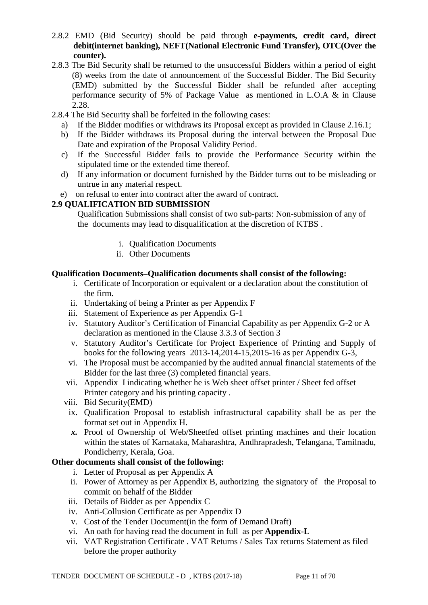- 2.8.2 EMD (Bid Security) should be paid through **e-payments, credit card, direct debit(internet banking), NEFT(National Electronic Fund Transfer), OTC(Over the counter).**
- 2.8.3 The Bid Security shall be returned to the unsuccessful Bidders within a period of eight (8) weeks from the date of announcement of the Successful Bidder. The Bid Security (EMD) submitted by the Successful Bidder shall be refunded after accepting performance security of 5% of Package Value as mentioned in L.O.A & in Clause 2.28.
- 2.8.4 The Bid Security shall be forfeited in the following cases:
	- a) If the Bidder modifies or withdraws its Proposal except as provided in Clause 2.16.1;
	- b) If the Bidder withdraws its Proposal during the interval between the Proposal Due Date and expiration of the Proposal Validity Period.
	- c) If the Successful Bidder fails to provide the Performance Security within the stipulated time or the extended time thereof.
	- d) If any information or document furnished by the Bidder turns out to be misleading or untrue in any material respect.
	- e) on refusal to enter into contract after the award of contract.

### **2.9 QUALIFICATION BID SUBMISSION**

Qualification Submissions shall consist of two sub-parts: Non-submission of any of the documents may lead to disqualification at the discretion of KTBS .

- i. Qualification Documents
- ii. Other Documents

### **Qualification Documents***–***Qualification documents shall consist of the following:**

- i. Certificate of Incorporation or equivalent or a declaration about the constitution of the firm.
- ii. Undertaking of being a Printer as per Appendix F
- iii. Statement of Experience as per Appendix G-1
- iv. Statutory Auditor's Certification of Financial Capability as per Appendix G-2 or A declaration as mentioned in the Clause 3.3.3 of Section 3
- v. Statutory Auditor's Certificate for Project Experience of Printing and Supply of books for the following years 2013-14,2014-15,2015-16 as per Appendix G-3,
- vi. The Proposal must be accompanied by the audited annual financial statements of the Bidder for the last three (3) completed financial years.
- vii. Appendix I indicating whether he is Web sheet offset printer / Sheet fed offset Printer category and his printing capacity .
- viii. Bid Security(EMD)
- ix. Qualification Proposal to establish infrastructural capability shall be as per the format set out in Appendix H.
- *x.* Proof of Ownership of Web/Sheetfed offset printing machines and their location within the states of Karnataka, Maharashtra, Andhrapradesh, Telangana, Tamilnadu, Pondicherry, Kerala, Goa.

### **Other documents shall consist of the following:**

- i. Letter of Proposal as per Appendix A
- ii. Power of Attorney as per Appendix B, authorizing the signatory of the Proposal to commit on behalf of the Bidder
- iii. Details of Bidder as per Appendix C
- iv. Anti-Collusion Certificate as per Appendix D
- v. Cost of the Tender Document(in the form of Demand Draft)
- vi. An oath for having read the document in full as per **Appendix-L**
- vii. VAT Registration Certificate . VAT Returns / Sales Tax returns Statement as filed before the proper authority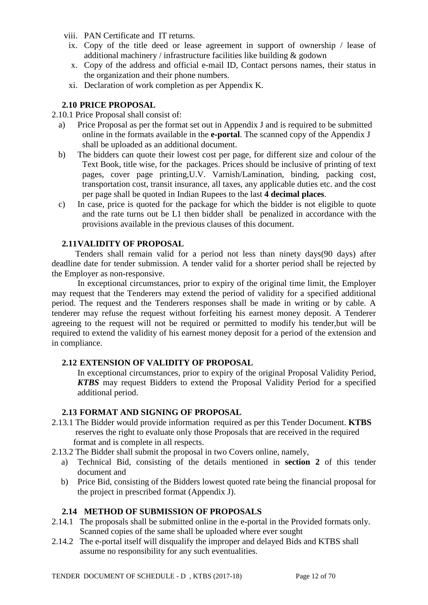- viii. PAN Certificate and IT returns.
	- ix. Copy of the title deed or lease agreement in support of ownership / lease of additional machinery / infrastructure facilities like building & godown
	- x. Copy of the address and official e-mail ID, Contact persons names, their status in the organization and their phone numbers.
	- xi. Declaration of work completion as per Appendix K.

### **2.10 PRICE PROPOSAL**

2.10.1 Price Proposal shall consist of:

- a) Price Proposal as per the format set out in Appendix J and is required to be submitted online in the formats available in the **e-portal**. The scanned copy of the Appendix J shall be uploaded as an additional document.
- b) The bidders can quote their lowest cost per page, for different size and colour of the Text Book, title wise, for the packages. Prices should be inclusive of printing of text pages, cover page printing,U.V. Varnish/Lamination, binding, packing cost, transportation cost, transit insurance, all taxes, any applicable duties etc. and the cost per page shall be quoted in Indian Rupees to the last **4 decimal places**.
- c) In case, price is quoted for the package for which the bidder is not eligible to quote and the rate turns out be L1 then bidder shall be penalized in accordance with the provisions available in the previous clauses of this document.

### **2.11VALIDITY OF PROPOSAL**

 Tenders shall remain valid for a period not less than ninety days(90 days) after deadline date for tender submission. A tender valid for a shorter period shall be rejected by the Employer as non-responsive.

 In exceptional circumstances, prior to expiry of the original time limit, the Employer may request that the Tenderers may extend the period of validity for a specified additional period. The request and the Tenderers responses shall be made in writing or by cable. A tenderer may refuse the request without forfeiting his earnest money deposit. A Tenderer agreeing to the request will not be required or permitted to modify his tender,but will be required to extend the validity of his earnest money deposit for a period of the extension and in compliance.

### **2.12 EXTENSION OF VALIDITY OF PROPOSAL**

In exceptional circumstances, prior to expiry of the original Proposal Validity Period, *KTBS* may request Bidders to extend the Proposal Validity Period for a specified additional period.

#### **2.13 FORMAT AND SIGNING OF PROPOSAL**

- 2.13.1 The Bidder would provide information required as per this Tender Document. **KTBS**  reserves the right to evaluate only those Proposals that are received in the required format and is complete in all respects.
- 2.13.2 The Bidder shall submit the proposal in two Covers online, namely,
	- a) Technical Bid, consisting of the details mentioned in **section 2** of this tender document and
	- b) Price Bid, consisting of the Bidders lowest quoted rate being the financial proposal for the project in prescribed format (Appendix J).

### **2.14 METHOD OF SUBMISSION OF PROPOSALS**

- 2.14.1 The proposals shall be submitted online in the e-portal in the Provided formats only. Scanned copies of the same shall be uploaded where ever sought
- 2.14.2 The e-portal itself will disqualify the improper and delayed Bids and KTBS shall assume no responsibility for any such eventualities.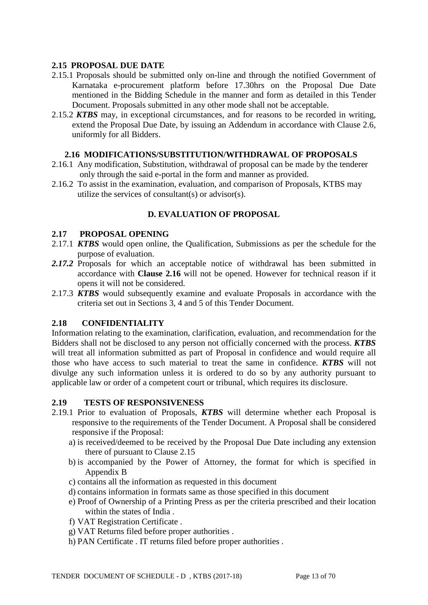### **2.15 PROPOSAL DUE DATE**

- 2.15.1 Proposals should be submitted only on-line and through the notified Government of Karnataka e-procurement platform before 17.30hrs on the Proposal Due Date mentioned in the Bidding Schedule in the manner and form as detailed in this Tender Document. Proposals submitted in any other mode shall not be acceptable.
- 2.15.2 *KTBS* may, in exceptional circumstances, and for reasons to be recorded in writing, extend the Proposal Due Date, by issuing an Addendum in accordance with Clause 2.6, uniformly for all Bidders.

#### **2.16 MODIFICATIONS/SUBSTITUTION/WITHDRAWAL OF PROPOSALS**

- 2.16.1 Any modification, Substitution, withdrawal of proposal can be made by the tenderer only through the said e-portal in the form and manner as provided.
- 2.16.2 To assist in the examination, evaluation, and comparison of Proposals, KTBS may utilize the services of consultant(s) or advisor(s).

#### **D. EVALUATION OF PROPOSAL**

#### **2.17 PROPOSAL OPENING**

- 2.17.1 *KTBS* would open online, the Qualification, Submissions as per the schedule for the purpose of evaluation.
- *2.17.2* Proposals for which an acceptable notice of withdrawal has been submitted in accordance with **Clause 2.16** will not be opened. However for technical reason if it opens it will not be considered.
- 2.17.3 *KTBS* would subsequently examine and evaluate Proposals in accordance with the criteria set out in Sections 3, 4 and 5 of this Tender Document.

#### **2.18 CONFIDENTIALITY**

Information relating to the examination, clarification, evaluation, and recommendation for the Bidders shall not be disclosed to any person not officially concerned with the process. *KTBS* will treat all information submitted as part of Proposal in confidence and would require all those who have access to such material to treat the same in confidence. *KTBS* will not divulge any such information unless it is ordered to do so by any authority pursuant to applicable law or order of a competent court or tribunal, which requires its disclosure.

#### **2.19 TESTS OF RESPONSIVENESS**

- 2.19.1 Prior to evaluation of Proposals, *KTBS* will determine whether each Proposal is responsive to the requirements of the Tender Document. A Proposal shall be considered responsive if the Proposal:
	- a) is received/deemed to be received by the Proposal Due Date including any extension there of pursuant to Clause 2.15
	- b) is accompanied by the Power of Attorney, the format for which is specified in Appendix B
	- c) contains all the information as requested in this document
	- d) contains information in formats same as those specified in this document
	- e) Proof of Ownership of a Printing Press as per the criteria prescribed and their location within the states of India .
	- f) VAT Registration Certificate .
	- g) VAT Returns filed before proper authorities .
	- h) PAN Certificate . IT returns filed before proper authorities .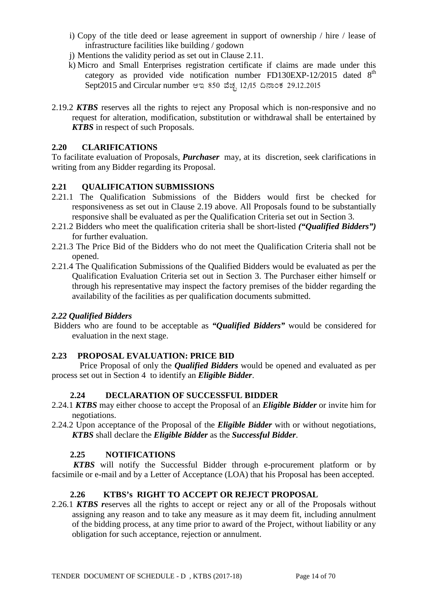- i) Copy of the title deed or lease agreement in support of ownership / hire / lease of infrastructure facilities like building / godown
- j) Mentions the validity period as set out in Clause 2.11.
- k) Micro and Small Enterprises registration certificate if claims are made under this category as provided vide notification number FD130EXP-12/2015 dated  $8<sup>th</sup>$ Sept2015 and Circular number ಆಇ 850 ವೆಚ್ಛ 12/15 ದಿನಾಂಕ 29.12.2015
- 2.19.2 *KTBS* reserves all the rights to reject any Proposal which is non-responsive and no request for alteration, modification, substitution or withdrawal shall be entertained by *KTBS* in respect of such Proposals.

### **2.20 CLARIFICATIONS**

To facilitate evaluation of Proposals, *Purchaser* may, at its discretion, seek clarifications in writing from any Bidder regarding its Proposal.

### **2.21 QUALIFICATION SUBMISSIONS**

- 2.21.1 The Qualification Submissions of the Bidders would first be checked for responsiveness as set out in Clause 2.19 above. All Proposals found to be substantially responsive shall be evaluated as per the Qualification Criteria set out in Section 3.
- 2.21.2 Bidders who meet the qualification criteria shall be short-listed *("Qualified Bidders")* for further evaluation.
- 2.21.3 The Price Bid of the Bidders who do not meet the Qualification Criteria shall not be opened.
- 2.21.4 The Qualification Submissions of the Qualified Bidders would be evaluated as per the Qualification Evaluation Criteria set out in Section 3. The Purchaser either himself or through his representative may inspect the factory premises of the bidder regarding the availability of the facilities as per qualification documents submitted.

### *2.22 Qualified Bidders*

Bidders who are found to be acceptable as *"Qualified Bidders"* would be considered for evaluation in the next stage.

### **2.23 PROPOSAL EVALUATION: PRICE BID**

 Price Proposal of only the *Qualified Bidders* would be opened and evaluated as per process set out in Section 4 to identify an *Eligible Bidder*.

### **2.24 DECLARATION OF SUCCESSFUL BIDDER**

- 2.24.1 *KTBS* may either choose to accept the Proposal of an *Eligible Bidder* or invite him for negotiations.
- 2.24.2 Upon acceptance of the Proposal of the *Eligible Bidder* with or without negotiations, *KTBS* shall declare the *Eligible Bidder* as the *Successful Bidder*.

### **2.25 NOTIFICATIONS**

 *KTBS* will notify the Successful Bidder through e-procurement platform or by facsimile or e-mail and by a Letter of Acceptance (LOA) that his Proposal has been accepted.

### **2.26 KTBS's RIGHT TO ACCEPT OR REJECT PROPOSAL**

2.26.1 *KTBS r*eserves all the rights to accept or reject any or all of the Proposals without assigning any reason and to take any measure as it may deem fit, including annulment of the bidding process, at any time prior to award of the Project, without liability or any obligation for such acceptance, rejection or annulment.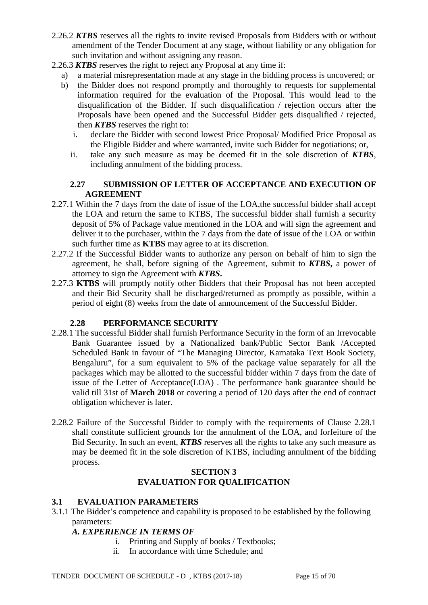- 2.26.2 *KTBS* reserves all the rights to invite revised Proposals from Bidders with or without amendment of the Tender Document at any stage, without liability or any obligation for such invitation and without assigning any reason.
- 2.26.3 *KTBS* reserves the right to reject any Proposal at any time if:
	- a) a material misrepresentation made at any stage in the bidding process is uncovered; or
	- b) the Bidder does not respond promptly and thoroughly to requests for supplemental information required for the evaluation of the Proposal. This would lead to the disqualification of the Bidder. If such disqualification / rejection occurs after the Proposals have been opened and the Successful Bidder gets disqualified / rejected, then *KTBS* reserves the right to:
		- i. declare the Bidder with second lowest Price Proposal/ Modified Price Proposal as the Eligible Bidder and where warranted, invite such Bidder for negotiations; or,
		- ii. take any such measure as may be deemed fit in the sole discretion of *KTBS*, including annulment of the bidding process.

### **2.27 SUBMISSION OF LETTER OF ACCEPTANCE AND EXECUTION OF AGREEMENT**

- 2.27.1 Within the 7 days from the date of issue of the LOA,the successful bidder shall accept the LOA and return the same to KTBS, The successful bidder shall furnish a security deposit of 5% of Package value mentioned in the LOA and will sign the agreement and deliver it to the purchaser, within the 7 days from the date of issue of the LOA or within such further time as **KTBS** may agree to at its discretion.
- 2.27.2 If the Successful Bidder wants to authorize any person on behalf of him to sign the agreement, he shall, before signing of the Agreement, submit to *KTBS***,** a power of attorney to sign the Agreement with *KTBS***.**
- 2.27.3 **KTBS** will promptly notify other Bidders that their Proposal has not been accepted and their Bid Security shall be discharged/returned as promptly as possible, within a period of eight (8) weeks from the date of announcement of the Successful Bidder.

### **2.28 PERFORMANCE SECURITY**

- 2.28.1 The successful Bidder shall furnish Performance Security in the form of an Irrevocable Bank Guarantee issued by a Nationalized bank/Public Sector Bank /Accepted Scheduled Bank in favour of "The Managing Director, Karnataka Text Book Society, Bengaluru", for a sum equivalent to 5% of the package value separately for all the packages which may be allotted to the successful bidder within 7 days from the date of issue of the Letter of Acceptance(LOA) . The performance bank guarantee should be valid till 31st of **March 2018** or covering a period of 120 days after the end of contract obligation whichever is later.
- 2.28.2 Failure of the Successful Bidder to comply with the requirements of Clause 2.28.1 shall constitute sufficient grounds for the annulment of the LOA, and forfeiture of the Bid Security. In such an event, *KTBS* reserves all the rights to take any such measure as may be deemed fit in the sole discretion of KTBS, including annulment of the bidding process.

### **SECTION 3 EVALUATION FOR QUALIFICATION**

### **3.1 EVALUATION PARAMETERS**

3.1.1 The Bidder's competence and capability is proposed to be established by the following parameters:

### *A. EXPERIENCE IN TERMS OF*

- i. Printing and Supply of books / Textbooks;
- ii. In accordance with time Schedule; and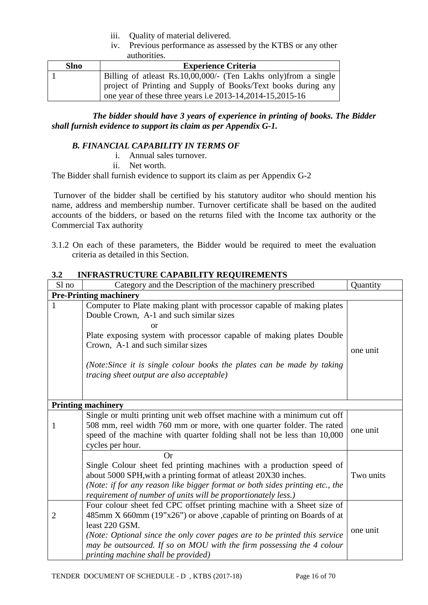- iii. Quality of material delivered.
- iv. Previous performance as assessed by the KTBS or any other authorities.

| <b>Slno</b> | <b>Experience Criteria</b>                                        |  |  |
|-------------|-------------------------------------------------------------------|--|--|
|             | Billing of at least Rs.10,00,000/- (Ten Lakhs only) from a single |  |  |
|             | project of Printing and Supply of Books/Text books during any     |  |  |
|             | one year of these three years i.e 2013-14, 2014-15, 2015-16       |  |  |

 *The bidder should have 3 years of experience in printing of books. The Bidder shall furnish evidence to support its claim as per Appendix G-1.*

### *B. FINANCIAL CAPABILITY IN TERMS OF*

- i. Annual sales turnover.
- ii. Net worth.

The Bidder shall furnish evidence to support its claim as per Appendix G-2

Turnover of the bidder shall be certified by his statutory auditor who should mention his name, address and membership number. Turnover certificate shall be based on the audited accounts of the bidders, or based on the returns filed with the Income tax authority or the Commercial Tax authority

3.1.2 On each of these parameters, the Bidder would be required to meet the evaluation criteria as detailed in this Section.

| Sl no          | Category and the Description of the machinery prescribed                                                                                                                                                                                                                                                                                                            | Quantity  |
|----------------|---------------------------------------------------------------------------------------------------------------------------------------------------------------------------------------------------------------------------------------------------------------------------------------------------------------------------------------------------------------------|-----------|
|                | <b>Pre-Printing machinery</b>                                                                                                                                                                                                                                                                                                                                       |           |
| 1              | Computer to Plate making plant with processor capable of making plates<br>Double Crown, A-1 and such similar sizes<br>or<br>Plate exposing system with processor capable of making plates Double<br>Crown, A-1 and such similar sizes<br>(Note:Since it is single colour books the plates can be made by taking<br><i>tracing sheet output are also acceptable)</i> | one unit  |
|                | <b>Printing machinery</b>                                                                                                                                                                                                                                                                                                                                           |           |
| 1              | Single or multi printing unit web offset machine with a minimum cut off<br>508 mm, reel width 760 mm or more, with one quarter folder. The rated<br>speed of the machine with quarter folding shall not be less than 10,000<br>cycles per hour.                                                                                                                     | one unit  |
|                | <b>Or</b><br>Single Colour sheet fed printing machines with a production speed of<br>about 5000 SPH, with a printing format of atleast 20X30 inches.<br>(Note: if for any reason like bigger format or both sides printing etc., the<br>requirement of number of units will be proportionately less.)                                                               | Two units |
| $\overline{2}$ | Four colour sheet fed CPC offset printing machine with a Sheet size of<br>485mm X 660mm (19"x26") or above , capable of printing on Boards of at<br>least 220 GSM.<br>(Note: Optional since the only cover pages are to be printed this service<br>may be outsourced. If so on MOU with the firm possessing the 4 colour<br>printing machine shall be provided)     | one unit  |

# **3.2 INFRASTRUCTURE CAPABILITY REQUIREMENTS**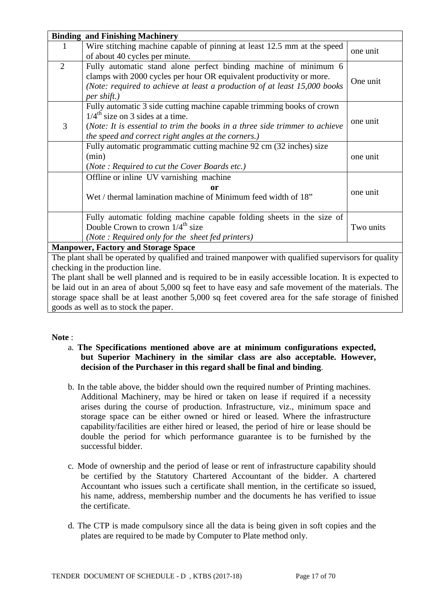|                                                                                                        | <b>Binding and Finishing Machinery</b>                                                               |           |  |  |
|--------------------------------------------------------------------------------------------------------|------------------------------------------------------------------------------------------------------|-----------|--|--|
| 1                                                                                                      | Wire stitching machine capable of pinning at least 12.5 mm at the speed                              | one unit  |  |  |
|                                                                                                        | of about 40 cycles per minute.                                                                       |           |  |  |
| $\overline{2}$                                                                                         | Fully automatic stand alone perfect binding machine of minimum 6                                     |           |  |  |
|                                                                                                        | clamps with 2000 cycles per hour OR equivalent productivity or more.                                 | One unit  |  |  |
|                                                                                                        | (Note: required to achieve at least a production of at least 15,000 books                            |           |  |  |
|                                                                                                        | per shift.)                                                                                          |           |  |  |
|                                                                                                        | Fully automatic 3 side cutting machine capable trimming books of crown                               |           |  |  |
|                                                                                                        | $1/4^{\text{th}}$ size on 3 sides at a time.                                                         | one unit  |  |  |
| 3                                                                                                      | (Note: It is essential to trim the books in a three side trimmer to achieve                          |           |  |  |
|                                                                                                        | the speed and correct right angles at the corners.)                                                  |           |  |  |
|                                                                                                        | Fully automatic programmatic cutting machine 92 cm (32 inches) size                                  |           |  |  |
|                                                                                                        | (min)<br>one unit                                                                                    |           |  |  |
|                                                                                                        | (Note: Required to cut the Cover Boards etc.)                                                        |           |  |  |
|                                                                                                        | Offline or inline UV varnishing machine                                                              |           |  |  |
|                                                                                                        | one unit                                                                                             |           |  |  |
| Wet / thermal lamination machine of Minimum feed width of 18"                                          |                                                                                                      |           |  |  |
|                                                                                                        |                                                                                                      |           |  |  |
|                                                                                                        | Fully automatic folding machine capable folding sheets in the size of                                |           |  |  |
|                                                                                                        | Double Crown to crown $1/4^{\text{th}}$ size                                                         | Two units |  |  |
|                                                                                                        | (Note: Required only for the sheet fed printers)                                                     |           |  |  |
| <b>Manpower, Factory and Storage Space</b>                                                             |                                                                                                      |           |  |  |
|                                                                                                        | The plant shall be operated by qualified and trained manpower with qualified supervisors for quality |           |  |  |
|                                                                                                        | checking in the production line.                                                                     |           |  |  |
| The plant shall be well planned and is required to be in easily accessible location. It is expected to |                                                                                                      |           |  |  |
| be laid out in an area of about 5,000 sq feet to have easy and safe movement of the materials. The     |                                                                                                      |           |  |  |
| storage space shall be at least another 5,000 sq feet covered area for the safe storage of finished    |                                                                                                      |           |  |  |
| goods as well as to stock the paper.                                                                   |                                                                                                      |           |  |  |

#### **Note** :

- a. **The Specifications mentioned above are at minimum configurations expected, but Superior Machinery in the similar class are also acceptable. However, decision of the Purchaser in this regard shall be final and binding**.
- b. In the table above, the bidder should own the required number of Printing machines. Additional Machinery, may be hired or taken on lease if required if a necessity arises during the course of production. Infrastructure, viz., minimum space and storage space can be either owned or hired or leased. Where the infrastructure capability/facilities are either hired or leased, the period of hire or lease should be double the period for which performance guarantee is to be furnished by the successful bidder.
- c. Mode of ownership and the period of lease or rent of infrastructure capability should be certified by the Statutory Chartered Accountant of the bidder. A chartered Accountant who issues such a certificate shall mention, in the certificate so issued, his name, address, membership number and the documents he has verified to issue the certificate.
- d. The CTP is made compulsory since all the data is being given in soft copies and the plates are required to be made by Computer to Plate method only.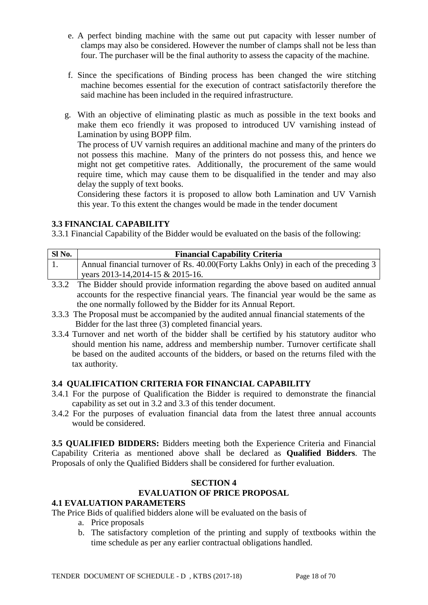- e. A perfect binding machine with the same out put capacity with lesser number of clamps may also be considered. However the number of clamps shall not be less than four. The purchaser will be the final authority to assess the capacity of the machine.
- f. Since the specifications of Binding process has been changed the wire stitching machine becomes essential for the execution of contract satisfactorily therefore the said machine has been included in the required infrastructure.
- g. With an objective of eliminating plastic as much as possible in the text books and make them eco friendly it was proposed to introduced UV varnishing instead of Lamination by using BOPP film.

The process of UV varnish requires an additional machine and many of the printers do not possess this machine. Many of the printers do not possess this, and hence we might not get competitive rates. Additionally, the procurement of the same would require time, which may cause them to be disqualified in the tender and may also delay the supply of text books.

Considering these factors it is proposed to allow both Lamination and UV Varnish this year. To this extent the changes would be made in the tender document

## **3.3 FINANCIAL CAPABILITY**

3.3.1 Financial Capability of the Bidder would be evaluated on the basis of the following:

| Sl No. | <b>Financial Capability Criteria</b>                                                |
|--------|-------------------------------------------------------------------------------------|
|        | Annual financial turnover of Rs. 40.00(Forty Lakhs Only) in each of the preceding 3 |
|        | years 2013-14, 2014-15 & 2015-16.                                                   |

- 3.3.2 The Bidder should provide information regarding the above based on audited annual accounts for the respective financial years. The financial year would be the same as the one normally followed by the Bidder for its Annual Report.
- 3.3.3 The Proposal must be accompanied by the audited annual financial statements of the Bidder for the last three (3) completed financial years.
- 3.3.4 Turnover and net worth of the bidder shall be certified by his statutory auditor who should mention his name, address and membership number. Turnover certificate shall be based on the audited accounts of the bidders, or based on the returns filed with the tax authority.

### **3.4 QUALIFICATION CRITERIA FOR FINANCIAL CAPABILITY**

- 3.4.1 For the purpose of Qualification the Bidder is required to demonstrate the financial capability as set out in 3.2 and 3.3 of this tender document.
- 3.4.2 For the purposes of evaluation financial data from the latest three annual accounts would be considered.

**3.5 QUALIFIED BIDDERS:** Bidders meeting both the Experience Criteria and Financial Capability Criteria as mentioned above shall be declared as **Qualified Bidders**. The Proposals of only the Qualified Bidders shall be considered for further evaluation.

## **SECTION 4 EVALUATION OF PRICE PROPOSAL**

### **4.1 EVALUATION PARAMETERS**

The Price Bids of qualified bidders alone will be evaluated on the basis of

- a. Price proposals
- b. The satisfactory completion of the printing and supply of textbooks within the time schedule as per any earlier contractual obligations handled.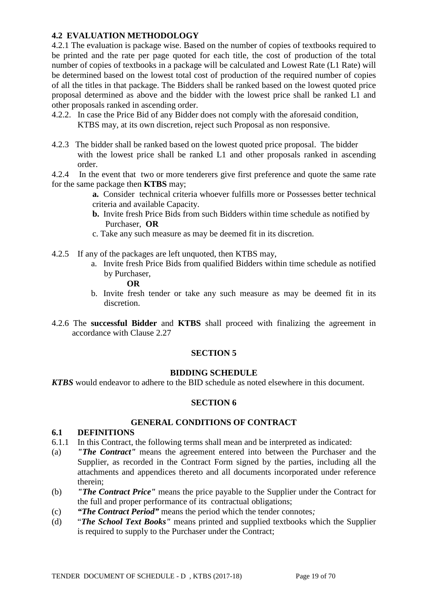### **4.2 EVALUATION METHODOLOGY**

4.2.1 The evaluation is package wise. Based on the number of copies of textbooks required to be printed and the rate per page quoted for each title, the cost of production of the total number of copies of textbooks in a package will be calculated and Lowest Rate (L1 Rate) will be determined based on the lowest total cost of production of the required number of copies of all the titles in that package. The Bidders shall be ranked based on the lowest quoted price proposal determined as above and the bidder with the lowest price shall be ranked L1 and other proposals ranked in ascending order.

- 4.2.2. In case the Price Bid of any Bidder does not comply with the aforesaid condition, KTBS may, at its own discretion, reject such Proposal as non responsive.
- 4.2.3 The bidder shall be ranked based on the lowest quoted price proposal. The bidder with the lowest price shall be ranked L1 and other proposals ranked in ascending order.
- 4.2.4 In the event that two or more tenderers give first preference and quote the same rate for the same package then **KTBS** may;
	- **a.** Consider technical criteria whoever fulfills more or Possesses better technical criteria and available Capacity.
	- **b.** Invite fresh Price Bids from such Bidders within time schedule as notified by Purchaser, **OR**
	- c. Take any such measure as may be deemed fit in its discretion.
- 4.2.5 If any of the packages are left unquoted, then KTBS may,
	- a. Invite fresh Price Bids from qualified Bidders within time schedule as notified by Purchaser,
		- **OR**
	- b. Invite fresh tender or take any such measure as may be deemed fit in its discretion.
- 4.2.6 The **successful Bidder** and **KTBS** shall proceed with finalizing the agreement in accordance with Clause 2.27

### **SECTION 5**

#### **BIDDING SCHEDULE**

*KTBS* would endeavor to adhere to the BID schedule as noted elsewhere in this document.

#### **SECTION 6**

#### **GENERAL CONDITIONS OF CONTRACT**

#### **6.1 DEFINITIONS**

- 6.1.1 In this Contract, the following terms shall mean and be interpreted as indicated:
- (a) *"The Contract"* means the agreement entered into between the Purchaser and the Supplier, as recorded in the Contract Form signed by the parties, including all the attachments and appendices thereto and all documents incorporated under reference therein;
- (b) *"The Contract Price"* means the price payable to the Supplier under the Contract for the full and proper performance of its contractual obligations;
- (c) *"The Contract Period"* means the period which the tender connotes*;*
- (d) "*The School Text Books"* means printed and supplied textbooks which the Supplier is required to supply to the Purchaser under the Contract;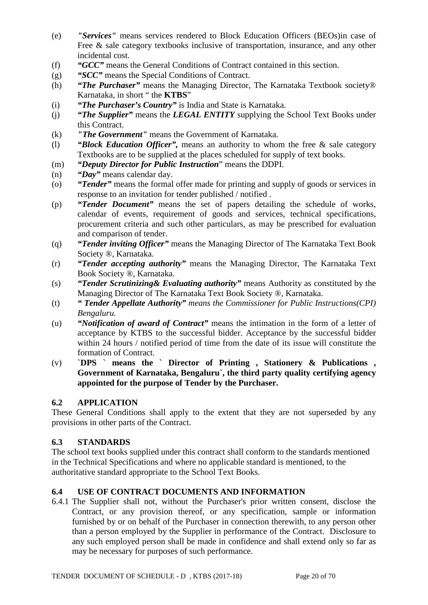- (e) *"Services"* means services rendered to Block Education Officers (BEOs)in case of Free & sale category textbooks inclusive of transportation, insurance, and any other incidental cost.
- (f) *"GCC"* means the General Conditions of Contract contained in this section.
- (g) *"SCC"* means the Special Conditions of Contract.
- (h) *"The Purchaser"* means the Managing Director, The Karnataka Textbook society® Karnataka, in short " the **KTBS**"
- (i) *"The Purchaser's Country"* is India and State is Karnataka.
- (j) *"The Supplier"* means the *LEGAL ENTITY* supplying the School Text Books under this Contract.
- (k) *"The Government"* means the Government of Karnataka.
- (l) *"Block Education Officer",* means an authority to whom the free & sale category Textbooks are to be supplied at the places scheduled for supply of text books.
- (m) *"Deputy Director for Public Instruction*" means the DDPI.
- (n) *"Day"* means calendar day.
- (o) *"Tender"* means the formal offer made for printing and supply of goods or services in response to an invitation for tender published / notified .
- (p) *"Tender Document"* means the set of papers detailing the schedule of works, calendar of events, requirement of goods and services, technical specifications, procurement criteria and such other particulars, as may be prescribed for evaluation and comparison of tender.
- (q) *"Tender inviting Officer"* means the Managing Director of The Karnataka Text Book Society ®, Karnataka.
- (r) *"Tender accepting authority"* means the Managing Director, The Karnataka Text Book Society ®, Karnataka.
- (s) *"Tender Scrutinizing& Evaluating authority"* means Authority as constituted by the Managing Director of The Karnataka Text Book Society ®, Karnataka.
- (t) *" Tender Appellate Authority" means the Commissioner for Public Instructions(CPI) Bengaluru.*
- (u) *"Notification of award of Contract"* means the intimation in the form of a letter of acceptance by KTBS to the successful bidder. Acceptance by the successful bidder within 24 hours / notified period of time from the date of its issue will constitute the formation of Contract.
- (v) **`DPS ` means the ` Director of Printing , Stationery & Publications , Government of Karnataka, Bengaluru`, the third party quality certifying agency appointed for the purpose of Tender by the Purchaser.**

### **6.2 APPLICATION**

These General Conditions shall apply to the extent that they are not superseded by any provisions in other parts of the Contract.

## **6.3 STANDARDS**

The school text books supplied under this contract shall conform to the standards mentioned in the Technical Specifications and where no applicable standard is mentioned, to the authoritative standard appropriate to the School Text Books.

## **6.4 USE OF CONTRACT DOCUMENTS AND INFORMATION**

6.4.1 The Supplier shall not, without the Purchaser's prior written consent, disclose the Contract, or any provision thereof, or any specification, sample or information furnished by or on behalf of the Purchaser in connection therewith, to any person other than a person employed by the Supplier in performance of the Contract. Disclosure to any such employed person shall be made in confidence and shall extend only so far as may be necessary for purposes of such performance.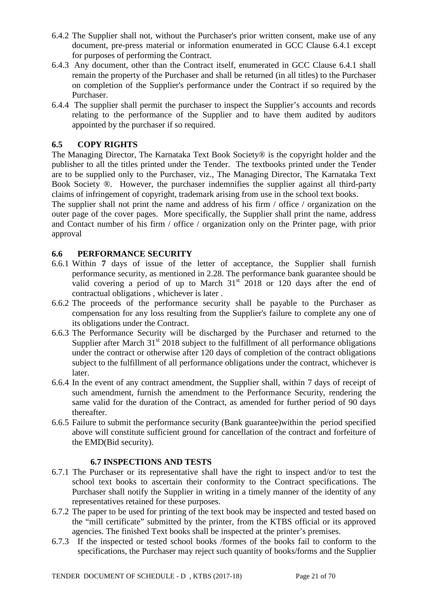- 6.4.2 The Supplier shall not, without the Purchaser's prior written consent, make use of any document, pre-press material or information enumerated in GCC Clause 6.4.1 except for purposes of performing the Contract.
- 6.4.3 Any document, other than the Contract itself, enumerated in GCC Clause 6.4.1 shall remain the property of the Purchaser and shall be returned (in all titles) to the Purchaser on completion of the Supplier's performance under the Contract if so required by the Purchaser.
- 6.4.4 The supplier shall permit the purchaser to inspect the Supplier's accounts and records relating to the performance of the Supplier and to have them audited by auditors appointed by the purchaser if so required.

### **6.5 COPY RIGHTS**

The Managing Director, The Karnataka Text Book Society® is the copyright holder and the publisher to all the titles printed under the Tender. The textbooks printed under the Tender are to be supplied only to the Purchaser, viz., The Managing Director, The Karnataka Text Book Society ®. However, the purchaser indemnifies the supplier against all third-party claims of infringement of copyright, trademark arising from use in the school text books.

The supplier shall not print the name and address of his firm / office / organization on the outer page of the cover pages. More specifically, the Supplier shall print the name, address and Contact number of his firm / office / organization only on the Printer page, with prior approval

### **6.6 PERFORMANCE SECURITY**

- 6.6.1 Within **7** days of issue of the letter of acceptance, the Supplier shall furnish performance security, as mentioned in 2.28. The performance bank guarantee should be valid covering a period of up to March  $31<sup>st</sup>$  2018 or 120 days after the end of contractual obligations , whichever is later .
- 6.6.2 The proceeds of the performance security shall be payable to the Purchaser as compensation for any loss resulting from the Supplier's failure to complete any one of its obligations under the Contract.
- 6.6.3 The Performance Security will be discharged by the Purchaser and returned to the Supplier after March  $31<sup>st</sup>$  2018 subject to the fulfillment of all performance obligations under the contract or otherwise after 120 days of completion of the contract obligations subject to the fulfillment of all performance obligations under the contract, whichever is later.
- 6.6.4 In the event of any contract amendment, the Supplier shall, within 7 days of receipt of such amendment, furnish the amendment to the Performance Security, rendering the same valid for the duration of the Contract, as amended for further period of 90 days thereafter.
- 6.6.5 Failure to submit the performance security (Bank guarantee)within the period specified above will constitute sufficient ground for cancellation of the contract and forfeiture of the EMD(Bid security).

#### **6.7 INSPECTIONS AND TESTS**

- 6.7.1 The Purchaser or its representative shall have the right to inspect and/or to test the school text books to ascertain their conformity to the Contract specifications. The Purchaser shall notify the Supplier in writing in a timely manner of the identity of any representatives retained for these purposes.
- 6.7.2 The paper to be used for printing of the text book may be inspected and tested based on the "mill certificate" submitted by the printer, from the KTBS official or its approved agencies. The finished Text books shall be inspected at the printer's premises.
- 6.7.3 If the inspected or tested school books /formes of the books fail to conform to the specifications, the Purchaser may reject such quantity of books/forms and the Supplier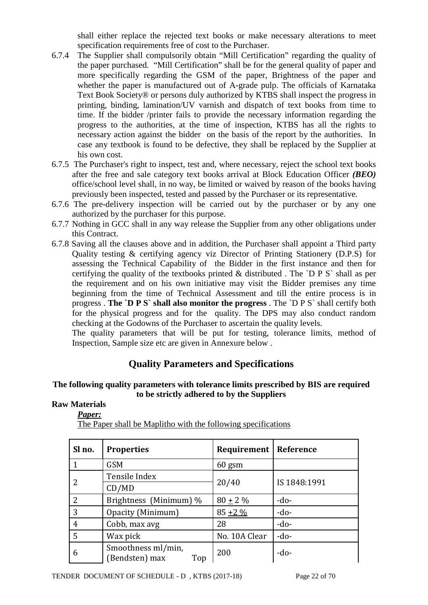shall either replace the rejected text books or make necessary alterations to meet specification requirements free of cost to the Purchaser.

- 6.7.4 The Supplier shall compulsorily obtain "Mill Certification" regarding the quality of the paper purchased. "Mill Certification" shall be for the general quality of paper and more specifically regarding the GSM of the paper, Brightness of the paper and whether the paper is manufactured out of A-grade pulp. The officials of Karnataka Text Book Society® or persons duly authorized by KTBS shall inspect the progress in printing, binding, lamination/UV varnish and dispatch of text books from time to time. If the bidder /printer fails to provide the necessary information regarding the progress to the authorities, at the time of inspection, KTBS has all the rights to necessary action against the bidder on the basis of the report by the authorities. In case any textbook is found to be defective, they shall be replaced by the Supplier at his own cost.
- 6.7.5 The Purchaser's right to inspect, test and, where necessary, reject the school text books after the free and sale category text books arrival at Block Education Officer *(BEO)* office/school level shall, in no way, be limited or waived by reason of the books having previously been inspected, tested and passed by the Purchaser or its representative.
- 6.7.6 The pre-delivery inspection will be carried out by the purchaser or by any one authorized by the purchaser for this purpose.
- 6.7.7 Nothing in GCC shall in any way release the Supplier from any other obligations under this Contract.
- 6.7.8 Saving all the clauses above and in addition, the Purchaser shall appoint a Third party Quality testing & certifying agency viz Director of Printing Stationery (D.P.S) for assessing the Technical Capability of the Bidder in the first instance and then for certifying the quality of the textbooks printed & distributed . The `D P S` shall as per the requirement and on his own initiative may visit the Bidder premises any time beginning from the time of Technical Assessment and till the entire process is in progress . **The `D P S` shall also monitor the progress** . The `D P S` shall certify both for the physical progress and for the quality. The DPS may also conduct random checking at the Godowns of the Purchaser to ascertain the quality levels.

The quality parameters that will be put for testing, tolerance limits, method of Inspection, Sample size etc are given in Annexure below .

## **Quality Parameters and Specifications**

### **The following quality parameters with tolerance limits prescribed by BIS are required to be strictly adhered to by the Suppliers**

### **Raw Materials**

| Paper: |  |
|--------|--|
|--------|--|

| Sl no.         | <b>Properties</b>                           | <b>Requirement   Reference</b> |              |
|----------------|---------------------------------------------|--------------------------------|--------------|
|                | <b>GSM</b>                                  | $60$ gsm                       |              |
|                | Tensile Index                               |                                |              |
| 2              | CD/MD                                       | 20/40                          | IS 1848:1991 |
| 2              | Brightness (Minimum) %                      | $80 \pm 2 \%$                  | $-do-$       |
| 3              | Opacity (Minimum)                           | $85 + 2\%$                     | $-do-$       |
| $\overline{4}$ | Cobb, max avg                               | 28                             | $-do-$       |
| 5              | Wax pick                                    | No. 10A Clear                  | $-do-$       |
| 6              | Smoothness ml/min,<br>(Bendsten) max<br>Top | 200                            | $-do-$       |

The Paper shall be Maplitho with the following specifications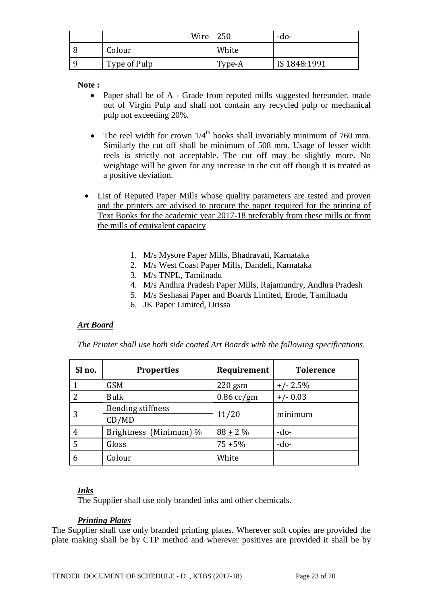| Wire         | 250    | -do-         |
|--------------|--------|--------------|
| Colour       | White  |              |
| Type of Pulp | Type-A | IS 1848:1991 |

**Note :**

- Paper shall be of A Grade from reputed mills suggested hereunder, made out of Virgin Pulp and shall not contain any recycled pulp or mechanical pulp not exceeding 20%.
- The reel width for crown  $1/4^{\text{th}}$  books shall invariably minimum of 760 mm. Similarly the cut off shall be minimum of 508 mm. Usage of lesser width reels is strictly not acceptable. The cut off may be slightly more. No weightage will be given for any increase in the cut off though it is treated as a positive deviation.
- List of Reputed Paper Mills whose quality parameters are tested and proven and the printers are advised to procure the paper required for the printing of Text Books for the academic year 2017-18 preferably from these mills or from the mills of equivalent capacity
	- 1. M/s Mysore Paper Mills, Bhadravati, Karnataka
	- 2. M/s West Coast Paper Mills, Dandeli, Karnataka
	- 3. M/s TNPL, Tamilnadu
	- 4. M/s Andhra Pradesh Paper Mills, Rajamundry, Andhra Pradesh
	- 5. M/s Seshasai Paper and Boards Limited, Erode, Tamilnadu
	- 6. JK Paper Limited, Orissa

#### *Art Board*

*The Printer shall use both side coated Art Boards with the following specifications.* 

| Sl no. | <b>Properties</b>        | Requirement  | <b>Tolerence</b> |
|--------|--------------------------|--------------|------------------|
|        | <b>GSM</b>               | $220$ gsm    | $+/- 2.5%$       |
| 2      | <b>Bulk</b>              | $0.86$ cc/gm | $+/- 0.03$       |
|        | <b>Bending stiffness</b> |              | minimum          |
|        | CD/MD                    | 11/20        |                  |
| 4      | Brightness (Minimum) %   | $88 + 2\%$   | $-do-$           |
| 5      | Gloss                    | $75 + 5\%$   | $-do-$           |
| 6      | Colour                   | White        |                  |

#### *Inks*

The Supplier shall use only branded inks and other chemicals.

#### *Printing Plates*

The Supplier shall use only branded printing plates. Wherever soft copies are provided the plate making shall be by CTP method and wherever positives are provided it shall be by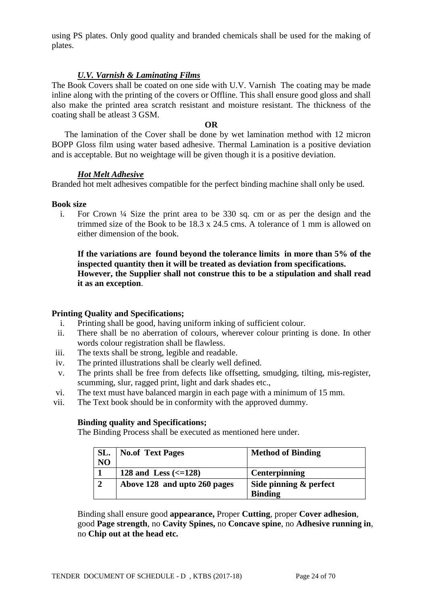using PS plates. Only good quality and branded chemicals shall be used for the making of plates.

### *U.V. Varnish & Laminating Films*

The Book Covers shall be coated on one side with U.V. Varnish The coating may be made inline along with the printing of the covers or Offline. This shall ensure good gloss and shall also make the printed area scratch resistant and moisture resistant. The thickness of the coating shall be atleast 3 GSM.

#### **OR**

 The lamination of the Cover shall be done by wet lamination method with 12 micron BOPP Gloss film using water based adhesive. Thermal Lamination is a positive deviation and is acceptable. But no weightage will be given though it is a positive deviation.

### *Hot Melt Adhesive*

Branded hot melt adhesives compatible for the perfect binding machine shall only be used.

### **Book size**

i. For Crown ¼ Size the print area to be 330 sq. cm or as per the design and the trimmed size of the Book to be  $18.3 \times 24.5$  cms. A tolerance of 1 mm is allowed on either dimension of the book.

**If the variations are found beyond the tolerance limits in more than 5% of the inspected quantity then it will be treated as deviation from specifications. However, the Supplier shall not construe this to be a stipulation and shall read it as an exception**.

### **Printing Quality and Specifications;**

- i. Printing shall be good, having uniform inking of sufficient colour.
- ii. There shall be no aberration of colours, wherever colour printing is done. In other words colour registration shall be flawless.
- iii. The texts shall be strong, legible and readable.
- iv. The printed illustrations shall be clearly well defined.
- v. The prints shall be free from defects like offsetting, smudging, tilting, mis-register, scumming, slur, ragged print, light and dark shades etc.,
- vi. The text must have balanced margin in each page with a minimum of 15 mm.
- vii. The Text book should be in conformity with the approved dummy.

### **Binding quality and Specifications;**

The Binding Process shall be executed as mentioned here under.

| SL.            | <b>No.of Text Pages</b>                | <b>Method of Binding</b> |
|----------------|----------------------------------------|--------------------------|
| N <sub>O</sub> |                                        |                          |
|                | 128 and Less $\left( \leq 128 \right)$ | <b>Centerpinning</b>     |
| $\gamma$       | Above 128 and upto 260 pages           | Side pinning & perfect   |
|                |                                        | <b>Binding</b>           |

Binding shall ensure good **appearance,** Proper **Cutting**, proper **Cover adhesion**, good **Page strength**, no **Cavity Spines,** no **Concave spine**, no **Adhesive running in**, no **Chip out at the head etc.**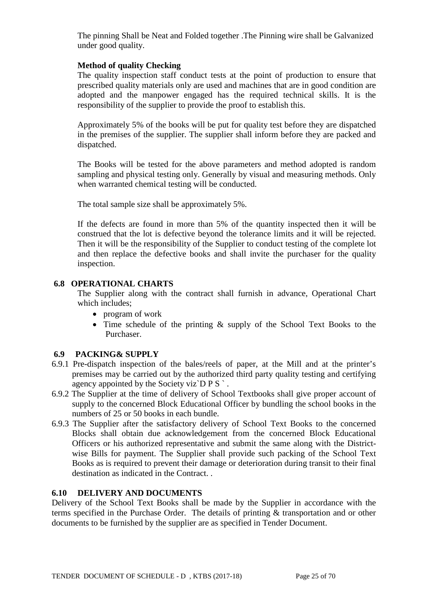The pinning Shall be Neat and Folded together .The Pinning wire shall be Galvanized under good quality.

### **Method of quality Checking**

The quality inspection staff conduct tests at the point of production to ensure that prescribed quality materials only are used and machines that are in good condition are adopted and the manpower engaged has the required technical skills. It is the responsibility of the supplier to provide the proof to establish this.

Approximately 5% of the books will be put for quality test before they are dispatched in the premises of the supplier. The supplier shall inform before they are packed and dispatched.

The Books will be tested for the above parameters and method adopted is random sampling and physical testing only. Generally by visual and measuring methods. Only when warranted chemical testing will be conducted.

The total sample size shall be approximately 5%.

If the defects are found in more than 5% of the quantity inspected then it will be construed that the lot is defective beyond the tolerance limits and it will be rejected. Then it will be the responsibility of the Supplier to conduct testing of the complete lot and then replace the defective books and shall invite the purchaser for the quality inspection.

### **6.8 OPERATIONAL CHARTS**

The Supplier along with the contract shall furnish in advance, Operational Chart which includes;

- program of work
- Time schedule of the printing & supply of the School Text Books to the Purchaser.

### **6.9 PACKING& SUPPLY**

- 6.9.1 Pre-dispatch inspection of the bales/reels of paper, at the Mill and at the printer's premises may be carried out by the authorized third party quality testing and certifying agency appointed by the Society viz $\overline{D} P S$ .
- 6.9.2 The Supplier at the time of delivery of School Textbooks shall give proper account of supply to the concerned Block Educational Officer by bundling the school books in the numbers of 25 or 50 books in each bundle.
- 6.9.3 The Supplier after the satisfactory delivery of School Text Books to the concerned Blocks shall obtain due acknowledgement from the concerned Block Educational Officers or his authorized representative and submit the same along with the Districtwise Bills for payment. The Supplier shall provide such packing of the School Text Books as is required to prevent their damage or deterioration during transit to their final destination as indicated in the Contract. .

#### **6.10 DELIVERY AND DOCUMENTS**

Delivery of the School Text Books shall be made by the Supplier in accordance with the terms specified in the Purchase Order. The details of printing & transportation and or other documents to be furnished by the supplier are as specified in Tender Document.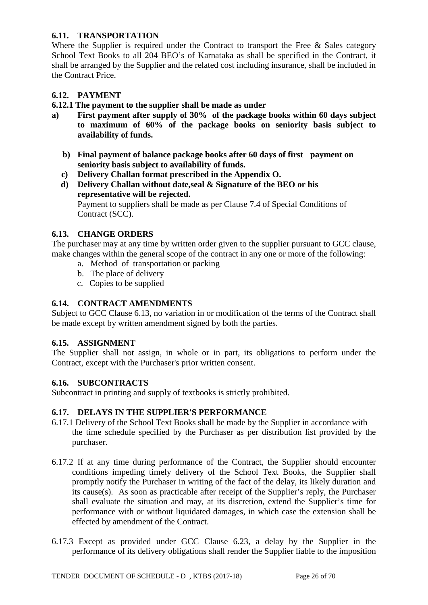### **6.11. TRANSPORTATION**

Where the Supplier is required under the Contract to transport the Free  $\&$  Sales category School Text Books to all 204 BEO's of Karnataka as shall be specified in the Contract, it shall be arranged by the Supplier and the related cost including insurance, shall be included in the Contract Price.

### **6.12. PAYMENT**

### **6.12.1 The payment to the supplier shall be made as under**

- **a) First payment after supply of 30% of the package books within 60 days subject to maximum of 60% of the package books on seniority basis subject to availability of funds.**
	- **b) Final payment of balance package books after 60 days of first payment on seniority basis subject to availability of funds.**
	- **c) Delivery Challan format prescribed in the Appendix O.**
	- **d) Delivery Challan without date,seal & Signature of the BEO or his representative will be rejected.** Payment to suppliers shall be made as per Clause 7.4 of Special Conditions of Contract (SCC).

### **6.13. CHANGE ORDERS**

The purchaser may at any time by written order given to the supplier pursuant to GCC clause, make changes within the general scope of the contract in any one or more of the following:

- a. Method of transportation or packing
- b. The place of delivery
- c. Copies to be supplied

### **6.14. CONTRACT AMENDMENTS**

Subject to GCC Clause 6.13, no variation in or modification of the terms of the Contract shall be made except by written amendment signed by both the parties.

### **6.15. ASSIGNMENT**

The Supplier shall not assign, in whole or in part, its obligations to perform under the Contract, except with the Purchaser's prior written consent.

### **6.16. SUBCONTRACTS**

Subcontract in printing and supply of textbooks is strictly prohibited.

### **6.17. DELAYS IN THE SUPPLIER'S PERFORMANCE**

- 6.17.1 Delivery of the School Text Books shall be made by the Supplier in accordance with the time schedule specified by the Purchaser as per distribution list provided by the purchaser.
- 6.17.2 If at any time during performance of the Contract, the Supplier should encounter conditions impeding timely delivery of the School Text Books, the Supplier shall promptly notify the Purchaser in writing of the fact of the delay, its likely duration and its cause(s). As soon as practicable after receipt of the Supplier's reply, the Purchaser shall evaluate the situation and may, at its discretion, extend the Supplier's time for performance with or without liquidated damages, in which case the extension shall be effected by amendment of the Contract.
- 6.17.3 Except as provided under GCC Clause 6.23, a delay by the Supplier in the performance of its delivery obligations shall render the Supplier liable to the imposition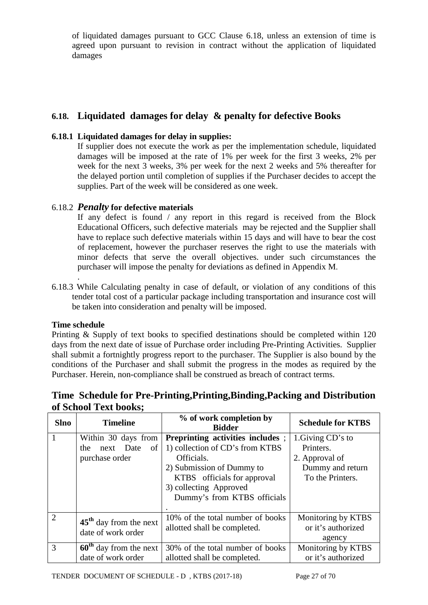of liquidated damages pursuant to GCC Clause 6.18, unless an extension of time is agreed upon pursuant to revision in contract without the application of liquidated damages

## **6.18. Liquidated damages for delay & penalty for defective Books**

### **6.18.1 Liquidated damages for delay in supplies:**

If supplier does not execute the work as per the implementation schedule, liquidated damages will be imposed at the rate of 1% per week for the first 3 weeks, 2% per week for the next 3 weeks, 3% per week for the next 2 weeks and 5% thereafter for the delayed portion until completion of supplies if the Purchaser decides to accept the supplies. Part of the week will be considered as one week.

### 6.18.2 *Penalty* **for defective materials**

If any defect is found / any report in this regard is received from the Block Educational Officers, such defective materials may be rejected and the Supplier shall have to replace such defective materials within 15 days and will have to bear the cost of replacement, however the purchaser reserves the right to use the materials with minor defects that serve the overall objectives. under such circumstances the purchaser will impose the penalty for deviations as defined in Appendix M.

. 6.18.3 While Calculating penalty in case of default, or violation of any conditions of this tender total cost of a particular package including transportation and insurance cost will be taken into consideration and penalty will be imposed.

#### **Time schedule**

Printing & Supply of text books to specified destinations should be completed within 120 days from the next date of issue of Purchase order including Pre-Printing Activities. Supplier shall submit a fortnightly progress report to the purchaser. The Supplier is also bound by the conditions of the Purchaser and shall submit the progress in the modes as required by the Purchaser. Herein, non-compliance shall be construed as breach of contract terms.

|                | VI DEHVOI TEAU DOUIS,                                           |                                                                                                                                                                                                        |                                                                                          |
|----------------|-----------------------------------------------------------------|--------------------------------------------------------------------------------------------------------------------------------------------------------------------------------------------------------|------------------------------------------------------------------------------------------|
| <b>Slno</b>    | <b>Timeline</b>                                                 | % of work completion by<br><b>Bidder</b>                                                                                                                                                               | <b>Schedule for KTBS</b>                                                                 |
|                | Within 30 days from<br>next Date<br>of<br>the<br>purchase order | Preprinting activities includes;<br>1) collection of CD's from KTBS<br>Officials.<br>2) Submission of Dummy to<br>KTBS officials for approval<br>3) collecting Approved<br>Dummy's from KTBS officials | 1. Giving CD's to<br>Printers.<br>2. Approval of<br>Dummy and return<br>To the Printers. |
| $\overline{2}$ | $45th$ day from the next<br>date of work order                  | 10% of the total number of books<br>allotted shall be completed.                                                                                                                                       | Monitoring by KTBS<br>or it's authorized<br>agency                                       |
| 3              | $60th$ day from the next<br>date of work order                  | 30% of the total number of books<br>allotted shall be completed.                                                                                                                                       | Monitoring by KTBS<br>or it's authorized                                                 |

## **Time Schedule for Pre-Printing,Printing,Binding,Packing and Distribution of School Text books;**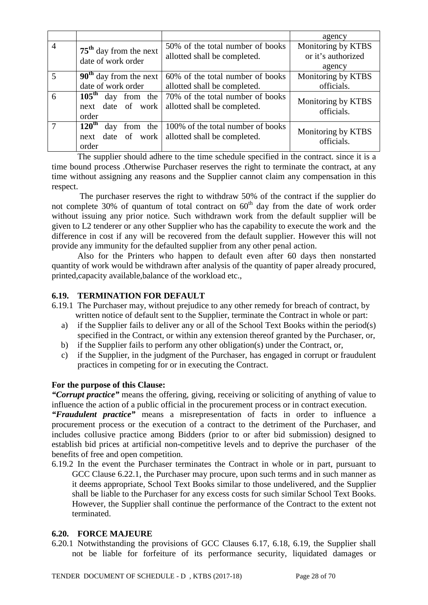|                |                                                                 |                                                                                  | agency                                             |
|----------------|-----------------------------------------------------------------|----------------------------------------------------------------------------------|----------------------------------------------------|
| $\overline{4}$ | $75th$ day from the next<br>date of work order                  | 50% of the total number of books<br>allotted shall be completed.                 | Monitoring by KTBS<br>or it's authorized<br>agency |
| 5              | $90th$ day from the next<br>date of work order                  | 60% of the total number of books<br>allotted shall be completed.                 | Monitoring by KTBS<br>officials.                   |
| 6              | $105^{\text{th}}$<br>day from the<br>next date of work<br>order | 70% of the total number of books<br>allotted shall be completed.                 | Monitoring by KTBS<br>officials.                   |
|                | $120^{\text{th}}$<br>day<br>the<br>from<br>next<br>order        | 100% of the total number of books<br>date of work   allotted shall be completed. | Monitoring by KTBS<br>officials.                   |

The supplier should adhere to the time schedule specified in the contract. since it is a time bound process .Otherwise Purchaser reserves the right to terminate the contract, at any time without assigning any reasons and the Supplier cannot claim any compensation in this respect.

 The purchaser reserves the right to withdraw 50% of the contract if the supplier do not complete 30% of quantum of total contract on  $60<sup>th</sup>$  day from the date of work order without issuing any prior notice. Such withdrawn work from the default supplier will be given to L2 tenderer or any other Supplier who has the capability to execute the work and the difference in cost if any will be recovered from the default supplier. However this will not provide any immunity for the defaulted supplier from any other penal action.

Also for the Printers who happen to default even after 60 days then nonstarted quantity of work would be withdrawn after analysis of the quantity of paper already procured, printed,capacity available,balance of the workload etc.,

### **6.19. TERMINATION FOR DEFAULT**

- 6.19.1 The Purchaser may, without prejudice to any other remedy for breach of contract, by written notice of default sent to the Supplier, terminate the Contract in whole or part:
	- a) if the Supplier fails to deliver any or all of the School Text Books within the period(s) specified in the Contract, or within any extension thereof granted by the Purchaser, or,
	- b) if the Supplier fails to perform any other obligation(s) under the Contract, or,
	- c) if the Supplier, in the judgment of the Purchaser, has engaged in corrupt or fraudulent practices in competing for or in executing the Contract.

#### **For the purpose of this Clause:**

*"Corrupt practice"* means the offering, giving, receiving or soliciting of anything of value to influence the action of a public official in the procurement process or in contract execution.

*"Fraudulent practice"* means a misrepresentation of facts in order to influence a procurement process or the execution of a contract to the detriment of the Purchaser, and includes collusive practice among Bidders (prior to or after bid submission) designed to establish bid prices at artificial non-competitive levels and to deprive the purchaser of the benefits of free and open competition.

6.19.2 In the event the Purchaser terminates the Contract in whole or in part, pursuant to GCC Clause 6.22.1, the Purchaser may procure, upon such terms and in such manner as it deems appropriate, School Text Books similar to those undelivered, and the Supplier shall be liable to the Purchaser for any excess costs for such similar School Text Books. However, the Supplier shall continue the performance of the Contract to the extent not terminated.

#### **6.20. FORCE MAJEURE**

6.20.1 Notwithstanding the provisions of GCC Clauses 6.17, 6.18, 6.19, the Supplier shall not be liable for forfeiture of its performance security, liquidated damages or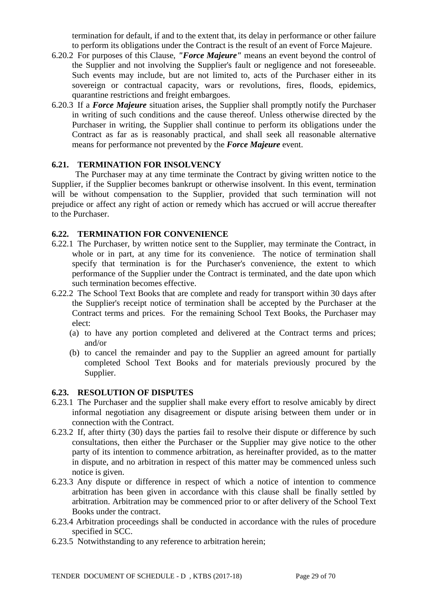termination for default, if and to the extent that, its delay in performance or other failure to perform its obligations under the Contract is the result of an event of Force Majeure.

- 6.20.2 For purposes of this Clause, *"Force Majeure"* means an event beyond the control of the Supplier and not involving the Supplier's fault or negligence and not foreseeable. Such events may include, but are not limited to, acts of the Purchaser either in its sovereign or contractual capacity, wars or revolutions, fires, floods, epidemics, quarantine restrictions and freight embargoes.
- 6.20.3 If a *Force Majeure* situation arises, the Supplier shall promptly notify the Purchaser in writing of such conditions and the cause thereof. Unless otherwise directed by the Purchaser in writing, the Supplier shall continue to perform its obligations under the Contract as far as is reasonably practical, and shall seek all reasonable alternative means for performance not prevented by the *Force Majeure* event.

### **6.21. TERMINATION FOR INSOLVENCY**

 The Purchaser may at any time terminate the Contract by giving written notice to the Supplier, if the Supplier becomes bankrupt or otherwise insolvent. In this event, termination will be without compensation to the Supplier, provided that such termination will not prejudice or affect any right of action or remedy which has accrued or will accrue thereafter to the Purchaser.

#### **6.22. TERMINATION FOR CONVENIENCE**

- 6.22.1 The Purchaser, by written notice sent to the Supplier, may terminate the Contract, in whole or in part, at any time for its convenience. The notice of termination shall specify that termination is for the Purchaser's convenience, the extent to which performance of the Supplier under the Contract is terminated, and the date upon which such termination becomes effective.
- 6.22.2 The School Text Books that are complete and ready for transport within 30 days after the Supplier's receipt notice of termination shall be accepted by the Purchaser at the Contract terms and prices. For the remaining School Text Books, the Purchaser may elect:
	- (a) to have any portion completed and delivered at the Contract terms and prices; and/or
	- (b) to cancel the remainder and pay to the Supplier an agreed amount for partially completed School Text Books and for materials previously procured by the Supplier.

#### **6.23. RESOLUTION OF DISPUTES**

- 6.23.1 The Purchaser and the supplier shall make every effort to resolve amicably by direct informal negotiation any disagreement or dispute arising between them under or in connection with the Contract.
- 6.23.2 If, after thirty (30) days the parties fail to resolve their dispute or difference by such consultations, then either the Purchaser or the Supplier may give notice to the other party of its intention to commence arbitration, as hereinafter provided, as to the matter in dispute, and no arbitration in respect of this matter may be commenced unless such notice is given.
- 6.23.3 Any dispute or difference in respect of which a notice of intention to commence arbitration has been given in accordance with this clause shall be finally settled by arbitration. Arbitration may be commenced prior to or after delivery of the School Text Books under the contract.
- 6.23.4 Arbitration proceedings shall be conducted in accordance with the rules of procedure specified in SCC.
- 6.23.5 Notwithstanding to any reference to arbitration herein;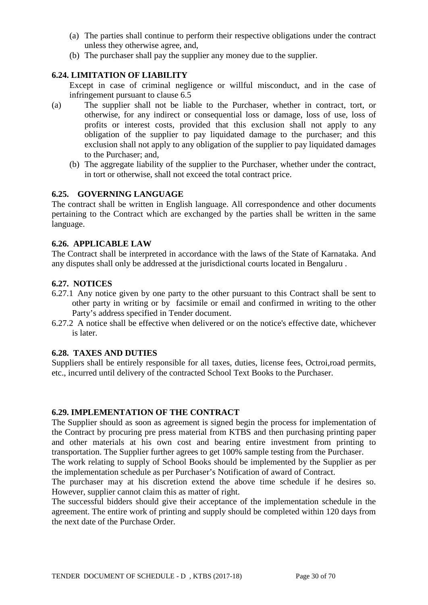- (a) The parties shall continue to perform their respective obligations under the contract unless they otherwise agree, and,
- (b) The purchaser shall pay the supplier any money due to the supplier.

### **6.24. LIMITATION OF LIABILITY**

Except in case of criminal negligence or willful misconduct, and in the case of infringement pursuant to clause 6.5

- (a) The supplier shall not be liable to the Purchaser, whether in contract, tort, or otherwise, for any indirect or consequential loss or damage, loss of use, loss of profits or interest costs, provided that this exclusion shall not apply to any obligation of the supplier to pay liquidated damage to the purchaser; and this exclusion shall not apply to any obligation of the supplier to pay liquidated damages to the Purchaser; and,
	- (b) The aggregate liability of the supplier to the Purchaser, whether under the contract, in tort or otherwise, shall not exceed the total contract price.

#### **6.25. GOVERNING LANGUAGE**

The contract shall be written in English language. All correspondence and other documents pertaining to the Contract which are exchanged by the parties shall be written in the same language.

#### **6.26. APPLICABLE LAW**

The Contract shall be interpreted in accordance with the laws of the State of Karnataka. And any disputes shall only be addressed at the jurisdictional courts located in Bengaluru .

#### **6.27. NOTICES**

- 6.27.1 Any notice given by one party to the other pursuant to this Contract shall be sent to other party in writing or by facsimile or email and confirmed in writing to the other Party's address specified in Tender document.
- 6.27.2 A notice shall be effective when delivered or on the notice's effective date, whichever is later.

#### **6.28. TAXES AND DUTIES**

Suppliers shall be entirely responsible for all taxes, duties, license fees, Octroi,road permits, etc., incurred until delivery of the contracted School Text Books to the Purchaser.

#### **6.29. IMPLEMENTATION OF THE CONTRACT**

The Supplier should as soon as agreement is signed begin the process for implementation of the Contract by procuring pre press material from KTBS and then purchasing printing paper and other materials at his own cost and bearing entire investment from printing to transportation. The Supplier further agrees to get 100% sample testing from the Purchaser.

The work relating to supply of School Books should be implemented by the Supplier as per the implementation schedule as per Purchaser's Notification of award of Contract.

The purchaser may at his discretion extend the above time schedule if he desires so. However, supplier cannot claim this as matter of right.

The successful bidders should give their acceptance of the implementation schedule in the agreement. The entire work of printing and supply should be completed within 120 days from the next date of the Purchase Order.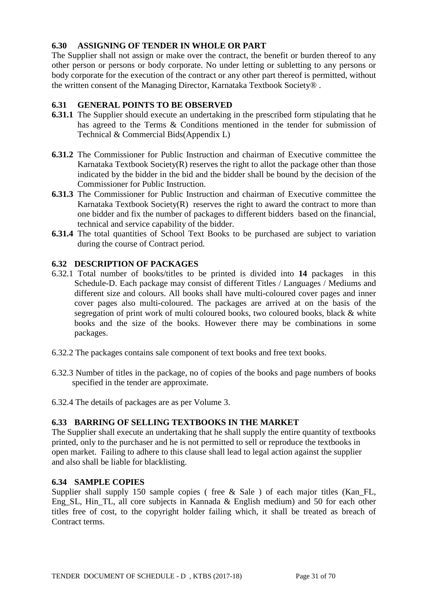### **6.30 ASSIGNING OF TENDER IN WHOLE OR PART**

The Supplier shall not assign or make over the contract, the benefit or burden thereof to any other person or persons or body corporate. No under letting or subletting to any persons or body corporate for the execution of the contract or any other part thereof is permitted, without the written consent of the Managing Director, Karnataka Textbook Society® .

### **6.31 GENERAL POINTS TO BE OBSERVED**

- **6.31.1** The Supplier should execute an undertaking in the prescribed form stipulating that he has agreed to the Terms & Conditions mentioned in the tender for submission of Technical & Commercial Bids(Appendix L)
- **6.31.2** The Commissioner for Public Instruction and chairman of Executive committee the Karnataka Textbook Society $(R)$  reserves the right to allot the package other than those indicated by the bidder in the bid and the bidder shall be bound by the decision of the Commissioner for Public Instruction.
- **6.31.3** The Commissioner for Public Instruction and chairman of Executive committee the Karnataka Textbook Society $(R)$  reserves the right to award the contract to more than one bidder and fix the number of packages to different bidders based on the financial, technical and service capability of the bidder.
- **6.31.4** The total quantities of School Text Books to be purchased are subject to variation during the course of Contract period.

### **6.32 DESCRIPTION OF PACKAGES**

- 6.32.1 Total number of books/titles to be printed is divided into **14** packages in this Schedule-D. Each package may consist of different Titles / Languages / Mediums and different size and colours. All books shall have multi-coloured cover pages and inner cover pages also multi-coloured. The packages are arrived at on the basis of the segregation of print work of multi coloured books, two coloured books, black & white books and the size of the books. However there may be combinations in some packages.
- 6.32.2 The packages contains sale component of text books and free text books.
- 6.32.3 Number of titles in the package, no of copies of the books and page numbers of books specified in the tender are approximate.
- 6.32.4 The details of packages are as per Volume 3.

### **6.33 BARRING OF SELLING TEXTBOOKS IN THE MARKET**

The Supplier shall execute an undertaking that he shall supply the entire quantity of textbooks printed, only to the purchaser and he is not permitted to sell or reproduce the textbooks in open market. Failing to adhere to this clause shall lead to legal action against the supplier and also shall be liable for blacklisting.

#### **6.34 SAMPLE COPIES**

Supplier shall supply 150 sample copies ( free  $\&$  Sale ) of each major titles (Kan FL, Eng\_SL, Hin\_TL, all core subjects in Kannada & English medium) and 50 for each other titles free of cost, to the copyright holder failing which, it shall be treated as breach of Contract terms.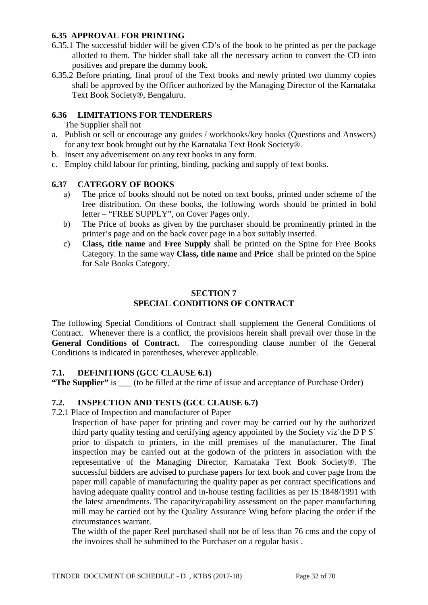### **6.35 APPROVAL FOR PRINTING**

- 6.35.1 The successful bidder will be given CD's of the book to be printed as per the package allotted to them. The bidder shall take all the necessary action to convert the CD into positives and prepare the dummy book.
- 6.35.2 Before printing, final proof of the Text books and newly printed two dummy copies shall be approved by the Officer authorized by the Managing Director of the Karnataka Text Book Society®, Bengaluru.

### **6.36 LIMITATIONS FOR TENDERERS**

The Supplier shall not

- a. Publish or sell or encourage any guides / workbooks/key books (Questions and Answers) for any text book brought out by the Karnataka Text Book Society®.
- b. Insert any advertisement on any text books in any form.
- c. Employ child labour for printing, binding, packing and supply of text books.

### **6.37 CATEGORY OF BOOKS**

- a) The price of books should not be noted on text books, printed under scheme of the free distribution. On these books, the following words should be printed in bold letter – "FREE SUPPLY", on Cover Pages only.
- b) The Price of books as given by the purchaser should be prominently printed in the printer's page and on the back cover page in a box suitably inserted.
- c) **Class, title name** and **Free Supply** shall be printed on the Spine for Free Books Category. In the same way **Class, title name** and **Price** shall be printed on the Spine for Sale Books Category.

#### **SECTION 7 SPECIAL CONDITIONS OF CONTRACT**

The following Special Conditions of Contract shall supplement the General Conditions of Contract. Whenever there is a conflict, the provisions herein shall prevail over those in the **General Conditions of Contract.** The corresponding clause number of the General Conditions is indicated in parentheses, wherever applicable.

### **7.1. DEFINITIONS (GCC CLAUSE 6.1)**

**"The Supplier"** is \_\_\_ (to be filled at the time of issue and acceptance of Purchase Order)

#### **7.2. INSPECTION AND TESTS (GCC CLAUSE 6.7)**

7.2.1 Place of Inspection and manufacturer of Paper

Inspection of base paper for printing and cover may be carried out by the authorized third party quality testing and certifying agency appointed by the Society viz`the D P S` prior to dispatch to printers, in the mill premises of the manufacturer. The final inspection may be carried out at the godown of the printers in association with the representative of the Managing Director, Karnataka Text Book Society®. The successful bidders are advised to purchase papers for text book and cover page from the paper mill capable of manufacturing the quality paper as per contract specifications and having adequate quality control and in-house testing facilities as per IS:1848/1991 with the latest amendments. The capacity/capability assessment on the paper manufacturing mill may be carried out by the Quality Assurance Wing before placing the order if the circumstances warrant.

The width of the paper Reel purchased shall not be of less than 76 cms and the copy of the invoices shall be submitted to the Purchaser on a regular basis .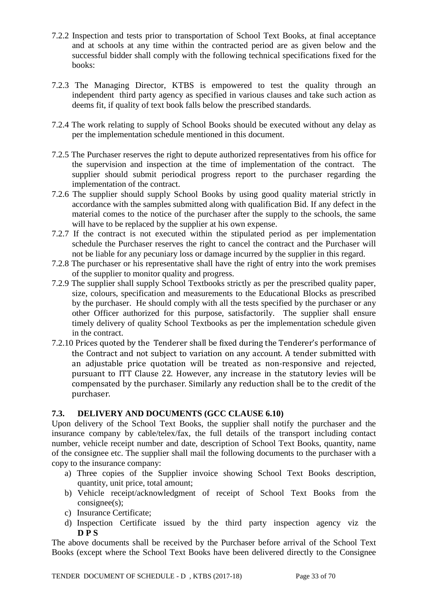- 7.2.2 Inspection and tests prior to transportation of School Text Books, at final acceptance and at schools at any time within the contracted period are as given below and the successful bidder shall comply with the following technical specifications fixed for the books:
- 7.2.3 The Managing Director, KTBS is empowered to test the quality through an independent third party agency as specified in various clauses and take such action as deems fit, if quality of text book falls below the prescribed standards.
- 7.2.4 The work relating to supply of School Books should be executed without any delay as per the implementation schedule mentioned in this document.
- 7.2.5 The Purchaser reserves the right to depute authorized representatives from his office for the supervision and inspection at the time of implementation of the contract. The supplier should submit periodical progress report to the purchaser regarding the implementation of the contract.
- 7.2.6 The supplier should supply School Books by using good quality material strictly in accordance with the samples submitted along with qualification Bid. If any defect in the material comes to the notice of the purchaser after the supply to the schools, the same will have to be replaced by the supplier at his own expense.
- 7.2.7 If the contract is not executed within the stipulated period as per implementation schedule the Purchaser reserves the right to cancel the contract and the Purchaser will not be liable for any pecuniary loss or damage incurred by the supplier in this regard.
- 7.2.8 The purchaser or his representative shall have the right of entry into the work premises of the supplier to monitor quality and progress.
- 7.2.9 The supplier shall supply School Textbooks strictly as per the prescribed quality paper, size, colours, specification and measurements to the Educational Blocks as prescribed by the purchaser. He should comply with all the tests specified by the purchaser or any other Officer authorized for this purpose, satisfactorily. The supplier shall ensure timely delivery of quality School Textbooks as per the implementation schedule given in the contract.
- 7.2.10 Prices quoted by the Tenderer shall be fixed during the Tenderer's performance of the Contract and not subject to variation on any account. A tender submitted with an adjustable price quotation will be treated as non-responsive and rejected, pursuant to ITT Clause 22. However, any increase in the statutory levies will be compensated by the purchaser. Similarly any reduction shall be to the credit of the purchaser.

### **7.3. DELIVERY AND DOCUMENTS (GCC CLAUSE 6.10)**

Upon delivery of the School Text Books, the supplier shall notify the purchaser and the insurance company by cable/telex/fax, the full details of the transport including contact number, vehicle receipt number and date, description of School Text Books, quantity, name of the consignee etc. The supplier shall mail the following documents to the purchaser with a copy to the insurance company:

- a) Three copies of the Supplier invoice showing School Text Books description, quantity, unit price, total amount;
- b) Vehicle receipt/acknowledgment of receipt of School Text Books from the consignee(s);
- c) Insurance Certificate;
- d) Inspection Certificate issued by the third party inspection agency viz the **D P S**

The above documents shall be received by the Purchaser before arrival of the School Text Books (except where the School Text Books have been delivered directly to the Consignee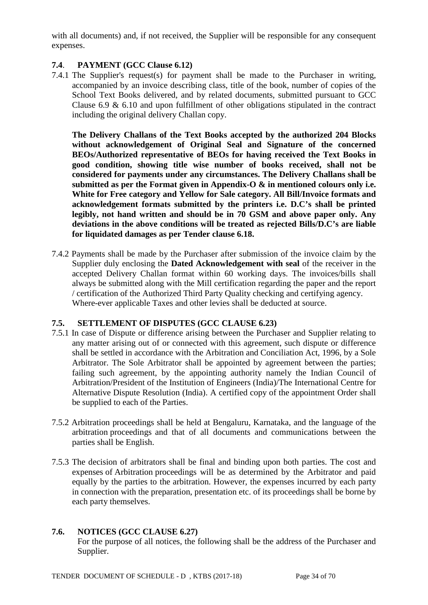with all documents) and, if not received, the Supplier will be responsible for any consequent expenses.

### **7.4**. **PAYMENT (GCC Clause 6.12)**

7.4.1 The Supplier's request(s) for payment shall be made to the Purchaser in writing, accompanied by an invoice describing class, title of the book, number of copies of the School Text Books delivered, and by related documents, submitted pursuant to GCC Clause 6.9 & 6.10 and upon fulfillment of other obligations stipulated in the contract including the original delivery Challan copy.

**The Delivery Challans of the Text Books accepted by the authorized 204 Blocks without acknowledgement of Original Seal and Signature of the concerned BEOs/Authorized representative of BEOs for having received the Text Books in good condition, showing title wise number of books received, shall not be considered for payments under any circumstances. The Delivery Challans shall be submitted as per the Format given in Appendix-O & in mentioned colours only i.e. White for Free category and Yellow for Sale category. All Bill/Invoice formats and acknowledgement formats submitted by the printers i.e. D.C's shall be printed legibly, not hand written and should be in 70 GSM and above paper only. Any deviations in the above conditions will be treated as rejected Bills/D.C's are liable for liquidated damages as per Tender clause 6.18.** 

7.4.2 Payments shall be made by the Purchaser after submission of the invoice claim by the Supplier duly enclosing the **Dated Acknowledgement with seal** of the receiver in the accepted Delivery Challan format within 60 working days. The invoices/bills shall always be submitted along with the Mill certification regarding the paper and the report / certification of the Authorized Third Party Quality checking and certifying agency. Where-ever applicable Taxes and other levies shall be deducted at source.

## **7.5. SETTLEMENT OF DISPUTES (GCC CLAUSE 6.23)**

- 7.5.1 In case of Dispute or difference arising between the Purchaser and Supplier relating to any matter arising out of or connected with this agreement, such dispute or difference shall be settled in accordance with the Arbitration and Conciliation Act, 1996, by a Sole Arbitrator. The Sole Arbitrator shall be appointed by agreement between the parties; failing such agreement, by the appointing authority namely the Indian Council of Arbitration/President of the Institution of Engineers (India)/The International Centre for Alternative Dispute Resolution (India). A certified copy of the appointment Order shall be supplied to each of the Parties.
- 7.5.2 Arbitration proceedings shall be held at Bengaluru, Karnataka, and the language of the arbitration proceedings and that of all documents and communications between the parties shall be English.
- 7.5.3 The decision of arbitrators shall be final and binding upon both parties. The cost and expenses of Arbitration proceedings will be as determined by the Arbitrator and paid equally by the parties to the arbitration. However, the expenses incurred by each party in connection with the preparation, presentation etc. of its proceedings shall be borne by each party themselves.

### **7.6. NOTICES (GCC CLAUSE 6.27)**

For the purpose of all notices, the following shall be the address of the Purchaser and Supplier.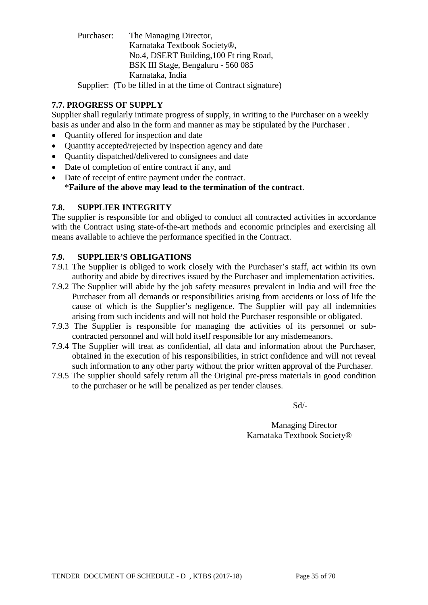Purchaser: The Managing Director, Karnataka Textbook Society®, No.4, DSERT Building,100 Ft ring Road, BSK III Stage, Bengaluru - 560 085 Karnataka, India Supplier: (To be filled in at the time of Contract signature)

## **7.7. PROGRESS OF SUPPLY**

Supplier shall regularly intimate progress of supply, in writing to the Purchaser on a weekly basis as under and also in the form and manner as may be stipulated by the Purchaser .

- Quantity offered for inspection and date
- Ouantity accepted/rejected by inspection agency and date
- Quantity dispatched/delivered to consignees and date
- Date of completion of entire contract if any, and
- Date of receipt of entire payment under the contract. \***Failure of the above may lead to the termination of the contract**.

### **7.8. SUPPLIER INTEGRITY**

The supplier is responsible for and obliged to conduct all contracted activities in accordance with the Contract using state-of-the-art methods and economic principles and exercising all means available to achieve the performance specified in the Contract.

### **7.9. SUPPLIER'S OBLIGATIONS**

- 7.9.1 The Supplier is obliged to work closely with the Purchaser's staff, act within its own authority and abide by directives issued by the Purchaser and implementation activities.
- 7.9.2 The Supplier will abide by the job safety measures prevalent in India and will free the Purchaser from all demands or responsibilities arising from accidents or loss of life the cause of which is the Supplier's negligence. The Supplier will pay all indemnities arising from such incidents and will not hold the Purchaser responsible or obligated.
- 7.9.3 The Supplier is responsible for managing the activities of its personnel or subcontracted personnel and will hold itself responsible for any misdemeanors.
- 7.9.4 The Supplier will treat as confidential, all data and information about the Purchaser, obtained in the execution of his responsibilities, in strict confidence and will not reveal such information to any other party without the prior written approval of the Purchaser.
- 7.9.5 The supplier should safely return all the Original pre-press materials in good condition to the purchaser or he will be penalized as per tender clauses.

Sd/-

Managing Director Karnataka Textbook Society®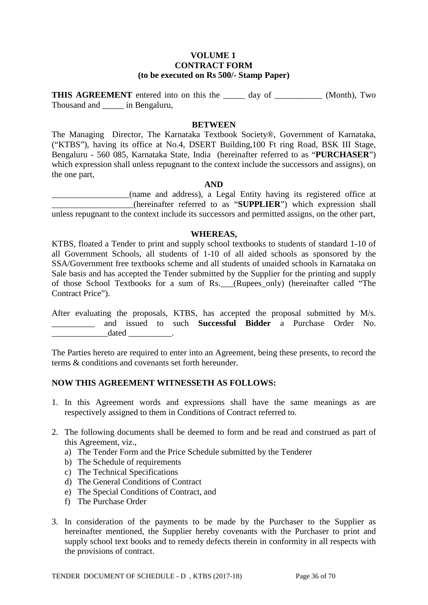#### **VOLUME 1 CONTRACT FORM (to be executed on Rs 500/- Stamp Paper)**

**THIS AGREEMENT** entered into on this the \_\_\_\_\_ day of \_\_\_\_\_\_\_\_\_\_\_\_ (Month), Two Thousand and \_\_\_\_\_ in Bengaluru,

#### **BETWEEN**

The Managing Director, The Karnataka Textbook Society®, Government of Karnataka, ("KTBS"), having its office at No.4, DSERT Building,100 Ft ring Road, BSK III Stage, Bengaluru - 560 085, Karnataka State, India (hereinafter referred to as "**PURCHASER**") which expression shall unless repugnant to the context include the successors and assigns), on the one part,

#### **AND**

\_\_\_\_\_\_\_\_\_\_\_\_\_\_\_\_\_\_(name and address), a Legal Entity having its registered office at \_\_\_\_\_\_\_\_\_\_\_\_\_\_\_\_\_\_\_(hereinafter referred to as "**SUPPLIER**") which expression shall unless repugnant to the context include its successors and permitted assigns, on the other part,

#### **WHEREAS,**

KTBS, floated a Tender to print and supply school textbooks to students of standard 1-10 of all Government Schools, all students of 1-10 of all aided schools as sponsored by the SSA/Government free textbooks scheme and all students of unaided schools in Karnataka on Sale basis and has accepted the Tender submitted by the Supplier for the printing and supply of those School Textbooks for a sum of Rs.\_\_\_(Rupees\_only) (hereinafter called "The Contract Price").

After evaluating the proposals, KTBS, has accepted the proposal submitted by M/s. \_\_\_\_\_\_\_\_\_\_ and issued to such **Successful Bidder** a Purchase Order No.  $\qquad \qquad \text{dated}$   $\qquad \qquad$ 

The Parties hereto are required to enter into an Agreement, being these presents, to record the terms & conditions and covenants set forth hereunder.

#### **NOW THIS AGREEMENT WITNESSETH AS FOLLOWS:**

- 1. In this Agreement words and expressions shall have the same meanings as are respectively assigned to them in Conditions of Contract referred to.
- 2. The following documents shall be deemed to form and be read and construed as part of this Agreement, viz.,
	- a) The Tender Form and the Price Schedule submitted by the Tenderer
	- b) The Schedule of requirements
	- c) The Technical Specifications
	- d) The General Conditions of Contract
	- e) The Special Conditions of Contract, and
	- f) The Purchase Order
- 3. In consideration of the payments to be made by the Purchaser to the Supplier as hereinafter mentioned, the Supplier hereby covenants with the Purchaser to print and supply school text books and to remedy defects therein in conformity in all respects with the provisions of contract.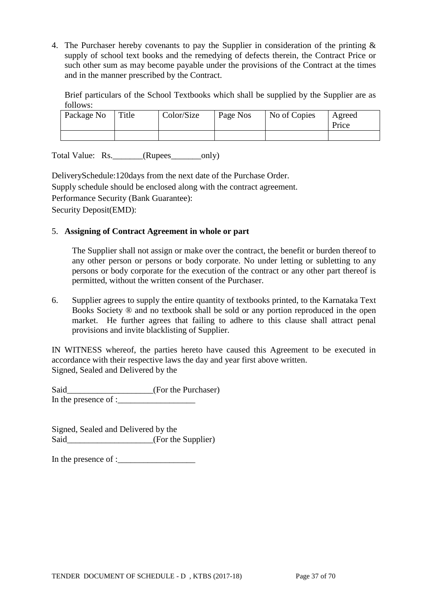4. The Purchaser hereby covenants to pay the Supplier in consideration of the printing & supply of school text books and the remedying of defects therein, the Contract Price or such other sum as may become payable under the provisions of the Contract at the times and in the manner prescribed by the Contract.

Brief particulars of the School Textbooks which shall be supplied by the Supplier are as follows:

| Package No | Title | Color/Size | Page Nos | No of Copies | Agreed<br>Price |
|------------|-------|------------|----------|--------------|-----------------|
|            |       |            |          |              |                 |

Total Value: Rs. \_\_\_\_\_\_(Rupees\_\_\_\_\_\_\_\_only)

DeliverySchedule:120days from the next date of the Purchase Order. Supply schedule should be enclosed along with the contract agreement. Performance Security (Bank Guarantee): Security Deposit(EMD):

### 5. **Assigning of Contract Agreement in whole or part**

The Supplier shall not assign or make over the contract, the benefit or burden thereof to any other person or persons or body corporate. No under letting or subletting to any persons or body corporate for the execution of the contract or any other part thereof is permitted, without the written consent of the Purchaser.

6. Supplier agrees to supply the entire quantity of textbooks printed, to the Karnataka Text Books Society ® and no textbook shall be sold or any portion reproduced in the open market. He further agrees that failing to adhere to this clause shall attract penal provisions and invite blacklisting of Supplier.

IN WITNESS whereof, the parties hereto have caused this Agreement to be executed in accordance with their respective laws the day and year first above written. Signed, Sealed and Delivered by the

Said\_\_\_\_\_\_\_\_\_\_\_\_\_\_\_\_\_\_\_\_\_\_(For the Purchaser) In the presence of :\_\_\_\_\_\_\_\_\_\_\_\_\_\_\_\_\_\_

Signed, Sealed and Delivered by the Said\_\_\_\_\_\_\_\_\_\_\_\_\_\_\_\_\_\_(For the Supplier)

In the presence of :\_\_\_\_\_\_\_\_\_\_\_\_\_\_\_\_\_\_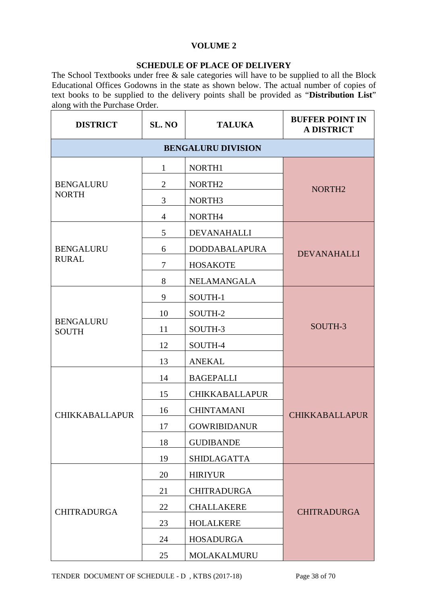### **VOLUME 2**

### **SCHEDULE OF PLACE OF DELIVERY**

The School Textbooks under free & sale categories will have to be supplied to all the Block Educational Offices Godowns in the state as shown below. The actual number of copies of text books to be supplied to the delivery points shall be provided as "**Distribution List**" along with the Purchase Order.

| <b>DISTRICT</b>                  | SL. NO         | <b>TALUKA</b>             | <b>BUFFER POINT IN</b><br><b>A DISTRICT</b> |
|----------------------------------|----------------|---------------------------|---------------------------------------------|
|                                  |                | <b>BENGALURU DIVISION</b> |                                             |
|                                  | $\mathbf{1}$   | NORTH1                    |                                             |
| <b>BENGALURU</b>                 | $\overline{2}$ | NORTH <sub>2</sub>        | NORTH <sub>2</sub>                          |
| <b>NORTH</b>                     | 3              | NORTH3                    |                                             |
|                                  | $\overline{4}$ | NORTH4                    |                                             |
|                                  | 5              | <b>DEVANAHALLI</b>        |                                             |
| <b>BENGALURU</b>                 | 6              | <b>DODDABALAPURA</b>      | <b>DEVANAHALLI</b>                          |
| <b>RURAL</b>                     | 7              | <b>HOSAKOTE</b>           |                                             |
|                                  | 8              | NELAMANGALA               |                                             |
|                                  | 9              | SOUTH-1                   |                                             |
|                                  | 10             | SOUTH-2                   |                                             |
| <b>BENGALURU</b><br><b>SOUTH</b> | 11             | SOUTH-3                   | SOUTH-3                                     |
|                                  | 12             | SOUTH-4                   |                                             |
|                                  | 13             | <b>ANEKAL</b>             |                                             |
|                                  | 14             | <b>BAGEPALLI</b>          |                                             |
|                                  | 15             | <b>CHIKKABALLAPUR</b>     |                                             |
| <b>CHIKKABALLAPUR</b>            | 16             | <b>CHINTAMANI</b>         | <b>CHIKKABALLAPUR</b>                       |
|                                  | 17             | <b>GOWRIBIDANUR</b>       |                                             |
|                                  | 18             | <b>GUDIBANDE</b>          |                                             |
|                                  | 19             | <b>SHIDLAGATTA</b>        |                                             |
|                                  | 20             | <b>HIRIYUR</b>            |                                             |
|                                  | 21             | <b>CHITRADURGA</b>        |                                             |
| <b>CHITRADURGA</b>               | 22             | <b>CHALLAKERE</b>         | <b>CHITRADURGA</b>                          |
|                                  | 23             | <b>HOLALKERE</b>          |                                             |
|                                  | 24             | <b>HOSADURGA</b>          |                                             |
|                                  | 25             | MOLAKALMURU               |                                             |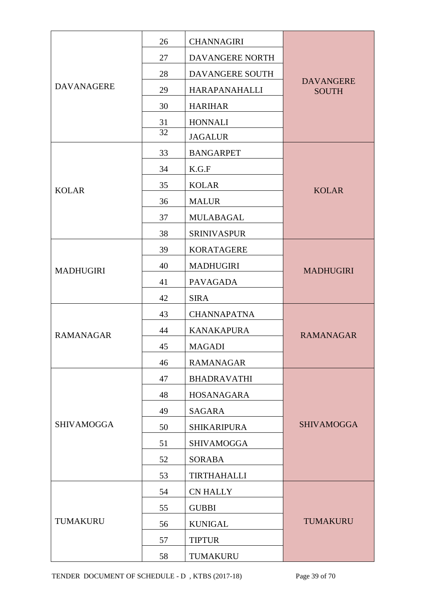|                   | 26 | <b>CHANNAGIRI</b>    |                                  |
|-------------------|----|----------------------|----------------------------------|
|                   | 27 | DAVANGERE NORTH      |                                  |
|                   | 28 | DAVANGERE SOUTH      |                                  |
| <b>DAVANAGERE</b> | 29 | <b>HARAPANAHALLI</b> | <b>DAVANGERE</b><br><b>SOUTH</b> |
|                   | 30 | <b>HARIHAR</b>       |                                  |
|                   | 31 | <b>HONNALI</b>       |                                  |
|                   | 32 | <b>JAGALUR</b>       |                                  |
|                   | 33 | <b>BANGARPET</b>     |                                  |
|                   | 34 | K.G.F                |                                  |
| <b>KOLAR</b>      | 35 | <b>KOLAR</b>         | <b>KOLAR</b>                     |
|                   | 36 | <b>MALUR</b>         |                                  |
|                   | 37 | <b>MULABAGAL</b>     |                                  |
|                   | 38 | <b>SRINIVASPUR</b>   |                                  |
|                   | 39 | <b>KORATAGERE</b>    |                                  |
| <b>MADHUGIRI</b>  | 40 | <b>MADHUGIRI</b>     | <b>MADHUGIRI</b>                 |
|                   | 41 | <b>PAVAGADA</b>      |                                  |
|                   | 42 | <b>SIRA</b>          |                                  |
|                   | 43 | <b>CHANNAPATNA</b>   |                                  |
| <b>RAMANAGAR</b>  | 44 | <b>KANAKAPURA</b>    | <b>RAMANAGAR</b>                 |
|                   | 45 | <b>MAGADI</b>        |                                  |
|                   | 46 | <b>RAMANAGAR</b>     |                                  |
|                   | 47 | <b>BHADRAVATHI</b>   |                                  |
|                   | 48 | HOSANAGARA           |                                  |
|                   | 49 | <b>SAGARA</b>        |                                  |
| <b>SHIVAMOGGA</b> | 50 | <b>SHIKARIPURA</b>   | <b>SHIVAMOGGA</b>                |
|                   | 51 | <b>SHIVAMOGGA</b>    |                                  |
|                   | 52 | <b>SORABA</b>        |                                  |
|                   | 53 | <b>TIRTHAHALLI</b>   |                                  |
|                   | 54 | <b>CN HALLY</b>      |                                  |
|                   | 55 | <b>GUBBI</b>         |                                  |
| <b>TUMAKURU</b>   | 56 | <b>KUNIGAL</b>       | <b>TUMAKURU</b>                  |
|                   | 57 | <b>TIPTUR</b>        |                                  |
|                   | 58 | TUMAKURU             |                                  |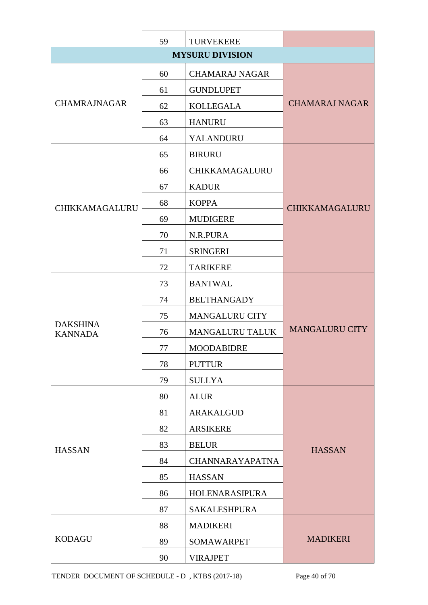|                                   | 59 | <b>TURVEKERE</b>       |                       |
|-----------------------------------|----|------------------------|-----------------------|
|                                   |    | <b>MYSURU DIVISION</b> |                       |
|                                   | 60 | <b>CHAMARAJ NAGAR</b>  |                       |
|                                   | 61 | <b>GUNDLUPET</b>       |                       |
| <b>CHAMRAJNAGAR</b>               | 62 | <b>KOLLEGALA</b>       | <b>CHAMARAJ NAGAR</b> |
|                                   | 63 | <b>HANURU</b>          |                       |
|                                   | 64 | YALANDURU              |                       |
|                                   | 65 | <b>BIRURU</b>          |                       |
|                                   | 66 | CHIKKAMAGALURU         |                       |
|                                   | 67 | <b>KADUR</b>           |                       |
| <b>CHIKKAMAGALURU</b>             | 68 | <b>KOPPA</b>           | CHIKKAMAGALURU        |
|                                   | 69 | <b>MUDIGERE</b>        |                       |
|                                   | 70 | N.R.PURA               |                       |
|                                   | 71 | <b>SRINGERI</b>        |                       |
|                                   | 72 | <b>TARIKERE</b>        |                       |
|                                   | 73 | <b>BANTWAL</b>         |                       |
|                                   | 74 | <b>BELTHANGADY</b>     |                       |
|                                   | 75 | <b>MANGALURU CITY</b>  |                       |
| <b>DAKSHINA</b><br><b>KANNADA</b> | 76 | <b>MANGALURU TALUK</b> | <b>MANGALURU CITY</b> |
|                                   | 77 | <b>MOODABIDRE</b>      |                       |
|                                   | 78 | <b>PUTTUR</b>          |                       |
|                                   | 79 | <b>SULLYA</b>          |                       |
|                                   | 80 | <b>ALUR</b>            |                       |
|                                   | 81 | ARAKALGUD              |                       |
|                                   | 82 | <b>ARSIKERE</b>        |                       |
| <b>HASSAN</b>                     | 83 | <b>BELUR</b>           | <b>HASSAN</b>         |
|                                   | 84 | <b>CHANNARAYAPATNA</b> |                       |
|                                   | 85 | <b>HASSAN</b>          |                       |
|                                   | 86 | HOLENARASIPURA         |                       |
|                                   | 87 | <b>SAKALESHPURA</b>    |                       |
|                                   | 88 | <b>MADIKERI</b>        |                       |
| <b>KODAGU</b>                     | 89 | <b>SOMAWARPET</b>      | <b>MADIKERI</b>       |
|                                   | 90 | <b>VIRAJPET</b>        |                       |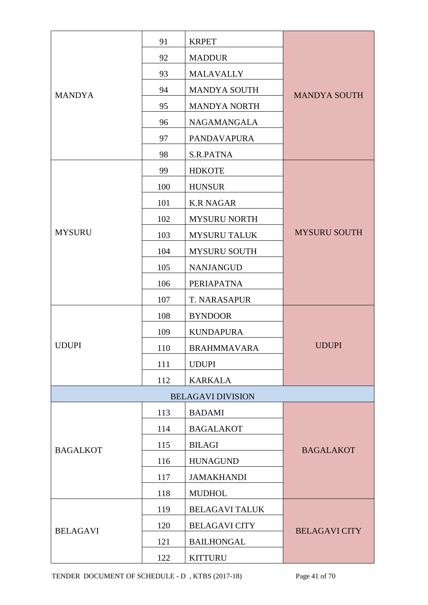|                 | 91  | <b>KRPET</b>             |                      |
|-----------------|-----|--------------------------|----------------------|
|                 | 92  | <b>MADDUR</b>            |                      |
|                 | 93  | <b>MALAVALLY</b>         |                      |
| <b>MANDYA</b>   | 94  | <b>MANDYA SOUTH</b>      | <b>MANDYA SOUTH</b>  |
|                 | 95  | <b>MANDYA NORTH</b>      |                      |
|                 | 96  | NAGAMANGALA              |                      |
|                 | 97  | <b>PANDAVAPURA</b>       |                      |
|                 | 98  | S.R.PATNA                |                      |
|                 | 99  | <b>HDKOTE</b>            |                      |
|                 | 100 | <b>HUNSUR</b>            |                      |
|                 | 101 | <b>K.R NAGAR</b>         |                      |
|                 | 102 | <b>MYSURU NORTH</b>      |                      |
| <b>MYSURU</b>   | 103 | <b>MYSURU TALUK</b>      | <b>MYSURU SOUTH</b>  |
|                 | 104 | <b>MYSURU SOUTH</b>      |                      |
|                 | 105 | <b>NANJANGUD</b>         |                      |
|                 | 106 | PERIAPATNA               |                      |
|                 | 107 | <b>T. NARASAPUR</b>      |                      |
|                 | 108 | <b>BYNDOOR</b>           |                      |
|                 | 109 | <b>KUNDAPURA</b>         |                      |
| <b>UDUPI</b>    | 110 | <b>BRAHMMAVARA</b>       | <b>UDUPI</b>         |
|                 | 111 | <b>UDUPI</b>             |                      |
|                 | 112 | <b>KARKALA</b>           |                      |
|                 |     | <b>BELAGAVI DIVISION</b> |                      |
|                 | 113 | <b>BADAMI</b>            |                      |
|                 | 114 | <b>BAGALAKOT</b>         |                      |
| <b>BAGALKOT</b> | 115 | <b>BILAGI</b>            | <b>BAGALAKOT</b>     |
|                 | 116 | <b>HUNAGUND</b>          |                      |
|                 | 117 | <b>JAMAKHANDI</b>        |                      |
|                 | 118 | <b>MUDHOL</b>            |                      |
|                 | 119 | <b>BELAGAVI TALUK</b>    |                      |
| <b>BELAGAVI</b> | 120 | <b>BELAGAVI CITY</b>     | <b>BELAGAVI CITY</b> |
|                 | 121 | <b>BAILHONGAL</b>        |                      |
|                 | 122 | <b>KITTURU</b>           |                      |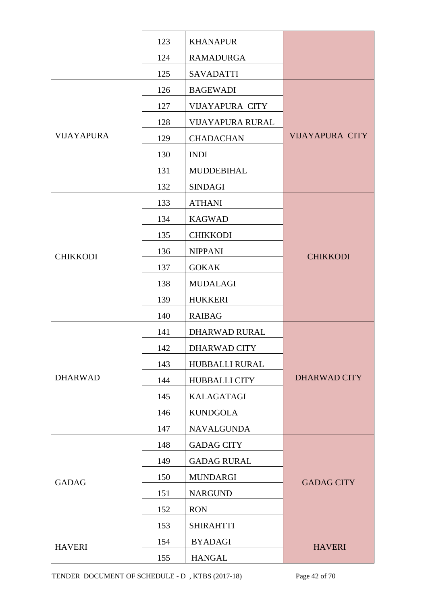|                   | 123 | <b>KHANAPUR</b>         |                        |
|-------------------|-----|-------------------------|------------------------|
|                   | 124 | <b>RAMADURGA</b>        |                        |
|                   | 125 | <b>SAVADATTI</b>        |                        |
|                   | 126 | <b>BAGEWADI</b>         |                        |
|                   | 127 | <b>VIJAYAPURA CITY</b>  |                        |
|                   | 128 | <b>VIJAYAPURA RURAL</b> |                        |
| <b>VIJAYAPURA</b> | 129 | <b>CHADACHAN</b>        | <b>VIJAYAPURA CITY</b> |
|                   | 130 | <b>INDI</b>             |                        |
|                   | 131 | MUDDEBIHAL              |                        |
|                   | 132 | <b>SINDAGI</b>          |                        |
|                   | 133 | <b>ATHANI</b>           |                        |
|                   | 134 | <b>KAGWAD</b>           |                        |
|                   | 135 | <b>CHIKKODI</b>         |                        |
| <b>CHIKKODI</b>   | 136 | <b>NIPPANI</b>          | <b>CHIKKODI</b>        |
|                   | 137 | <b>GOKAK</b>            |                        |
|                   | 138 | <b>MUDALAGI</b>         |                        |
|                   | 139 | <b>HUKKERI</b>          |                        |
|                   | 140 | <b>RAIBAG</b>           |                        |
|                   | 141 | DHARWAD RURAL           |                        |
|                   | 142 | DHARWAD CITY            |                        |
|                   | 143 | HUBBALLI RURAL          |                        |
| <b>DHARWAD</b>    | 144 | <b>HUBBALLI CITY</b>    | <b>DHARWAD CITY</b>    |
|                   | 145 | <b>KALAGATAGI</b>       |                        |
|                   | 146 | <b>KUNDGOLA</b>         |                        |
|                   | 147 | <b>NAVALGUNDA</b>       |                        |
|                   | 148 | <b>GADAG CITY</b>       |                        |
|                   | 149 | <b>GADAG RURAL</b>      |                        |
| <b>GADAG</b>      | 150 | <b>MUNDARGI</b>         | <b>GADAG CITY</b>      |
|                   | 151 | <b>NARGUND</b>          |                        |
|                   | 152 | <b>RON</b>              |                        |
|                   | 153 | <b>SHIRAHTTI</b>        |                        |
| <b>HAVERI</b>     | 154 | <b>BYADAGI</b>          | <b>HAVERI</b>          |
|                   | 155 | <b>HANGAL</b>           |                        |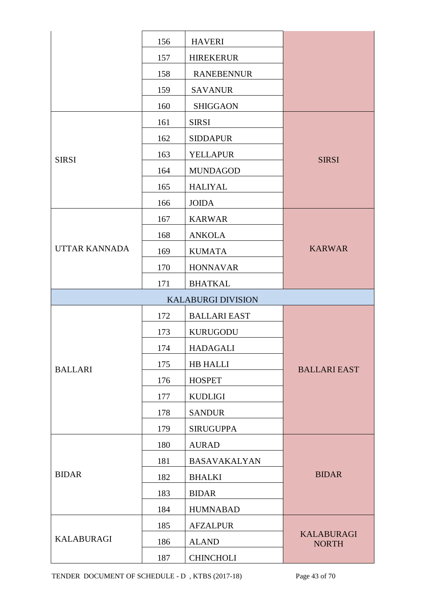|                      | 156 | <b>HAVERI</b>             |                                   |
|----------------------|-----|---------------------------|-----------------------------------|
|                      | 157 | <b>HIREKERUR</b>          |                                   |
|                      | 158 | <b>RANEBENNUR</b>         |                                   |
|                      | 159 | <b>SAVANUR</b>            |                                   |
|                      | 160 | <b>SHIGGAON</b>           |                                   |
|                      | 161 | <b>SIRSI</b>              |                                   |
|                      | 162 | <b>SIDDAPUR</b>           |                                   |
| <b>SIRSI</b>         | 163 | <b>YELLAPUR</b>           | <b>SIRSI</b>                      |
|                      | 164 | <b>MUNDAGOD</b>           |                                   |
|                      | 165 | <b>HALIYAL</b>            |                                   |
|                      | 166 | <b>JOIDA</b>              |                                   |
|                      | 167 | <b>KARWAR</b>             |                                   |
|                      | 168 | <b>ANKOLA</b>             |                                   |
| <b>UTTAR KANNADA</b> | 169 | <b>KUMATA</b>             | <b>KARWAR</b>                     |
|                      | 170 | <b>HONNAVAR</b>           |                                   |
|                      | 171 | <b>BHATKAL</b>            |                                   |
|                      |     | <b>KALABURGI DIVISION</b> |                                   |
|                      | 172 | <b>BALLARI EAST</b>       |                                   |
|                      | 173 | <b>KURUGODU</b>           |                                   |
|                      | 174 | <b>HADAGALI</b>           |                                   |
| <b>BALLARI</b>       | 175 | <b>HB HALLI</b>           | <b>BALLARI EAST</b>               |
|                      | 176 | <b>HOSPET</b>             |                                   |
|                      | 177 | <b>KUDLIGI</b>            |                                   |
|                      | 178 | <b>SANDUR</b>             |                                   |
|                      | 179 | <b>SIRUGUPPA</b>          |                                   |
|                      | 180 | <b>AURAD</b>              |                                   |
|                      | 181 | <b>BASAVAKALYAN</b>       |                                   |
| <b>BIDAR</b>         | 182 | <b>BHALKI</b>             | <b>BIDAR</b>                      |
|                      | 183 | <b>BIDAR</b>              |                                   |
|                      | 184 | <b>HUMNABAD</b>           |                                   |
|                      | 185 | <b>AFZALPUR</b>           |                                   |
| <b>KALABURAGI</b>    | 186 | <b>ALAND</b>              | <b>KALABURAGI</b><br><b>NORTH</b> |
|                      | 187 | <b>CHINCHOLI</b>          |                                   |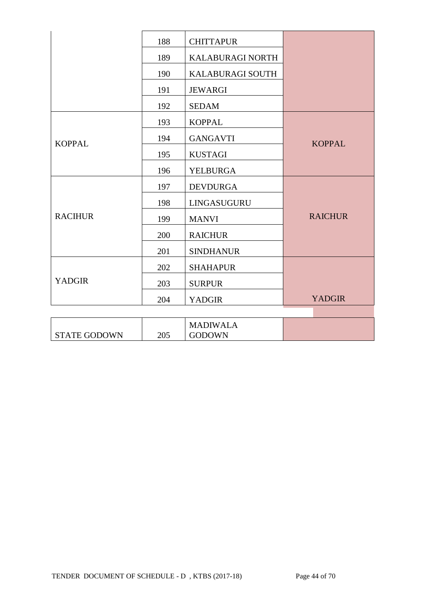|                     | 188 | <b>CHITTAPUR</b>                 |                |
|---------------------|-----|----------------------------------|----------------|
|                     | 189 | KALABURAGI NORTH                 |                |
|                     | 190 | KALABURAGI SOUTH                 |                |
|                     | 191 | <b>JEWARGI</b>                   |                |
|                     | 192 | <b>SEDAM</b>                     |                |
|                     | 193 | <b>KOPPAL</b>                    |                |
| <b>KOPPAL</b>       | 194 | <b>GANGAVTI</b>                  | <b>KOPPAL</b>  |
|                     | 195 | <b>KUSTAGI</b>                   |                |
|                     | 196 | YELBURGA                         |                |
|                     | 197 | <b>DEVDURGA</b>                  |                |
|                     | 198 | LINGASUGURU                      |                |
| <b>RACIHUR</b>      | 199 | <b>MANVI</b>                     | <b>RAICHUR</b> |
|                     | 200 | <b>RAICHUR</b>                   |                |
|                     | 201 | <b>SINDHANUR</b>                 |                |
|                     | 202 | <b>SHAHAPUR</b>                  |                |
| <b>YADGIR</b>       | 203 | <b>SURPUR</b>                    |                |
|                     | 204 | <b>YADGIR</b>                    | <b>YADGIR</b>  |
|                     |     |                                  |                |
| <b>STATE GODOWN</b> | 205 | <b>MADIWALA</b><br><b>GODOWN</b> |                |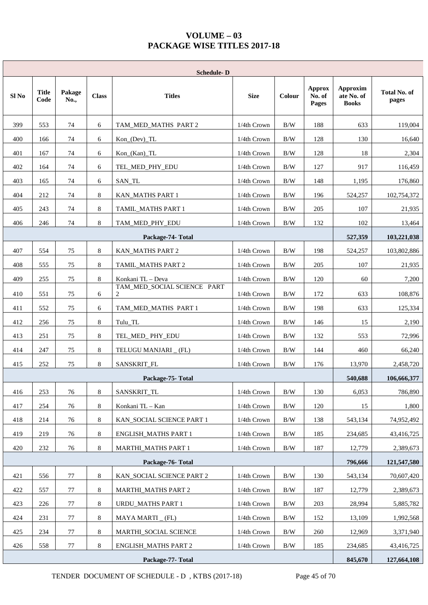### **VOLUME – 03 PACKAGE WISE TITLES 2017-18**

|       | <b>Schedule-D</b>                           |                |              |                                  |             |        |                                  |                                        |                              |
|-------|---------------------------------------------|----------------|--------------|----------------------------------|-------------|--------|----------------------------------|----------------------------------------|------------------------------|
| Sl No | <b>Title</b><br>Code                        | Pakage<br>No., | <b>Class</b> | <b>Titles</b>                    | <b>Size</b> | Colour | <b>Approx</b><br>No. of<br>Pages | Approxim<br>ate No. of<br><b>Books</b> | <b>Total No. of</b><br>pages |
| 399   | 553                                         | 74             | 6            | TAM_MED_MATHS PART 2             | 1/4th Crown | B/W    | 188                              | 633                                    | 119,004                      |
| 400   | 166                                         | 74             | 6            | Kon_(Dev)_TL                     | 1/4th Crown | B/W    | 128                              | 130                                    | 16,640                       |
| 401   | 167                                         | 74             | 6            | Kon_(Kan)_TL                     | 1/4th Crown | B/W    | 128                              | 18                                     | 2,304                        |
| 402   | 164                                         | 74             | 6            | TEL_MED_PHY_EDU                  | 1/4th Crown | B/W    | 127                              | 917                                    | 116,459                      |
| 403   | 165                                         | 74             | 6            | SAN_TL                           | 1/4th Crown | B/W    | 148                              | 1,195                                  | 176,860                      |
| 404   | 212                                         | 74             | 8            | KAN_MATHS PART 1                 | 1/4th Crown | B/W    | 196                              | 524,257                                | 102,754,372                  |
| 405   | 243                                         | 74             | 8            | TAMIL_MATHS PART 1               | 1/4th Crown | B/W    | 205                              | 107                                    | 21,935                       |
| 406   | 246                                         | 74             | 8            | TAM MED PHY EDU                  | 1/4th Crown | B/W    | 132                              | 102                                    | 13,464                       |
|       |                                             |                |              | Package-74- Total                |             |        |                                  | 527,359                                | 103,221,038                  |
| 407   | 554                                         | 75             | 8            | <b>KAN_MATHS PART 2</b>          | 1/4th Crown | B/W    | 198                              | 524,257                                | 103,802,886                  |
| 408   | 555                                         | 75             | 8            | TAMIL_MATHS PART 2               | 1/4th Crown | B/W    | 205                              | 107                                    | 21,935                       |
| 409   | 255                                         | 75             | 8            | Konkani TL - Deva                | 1/4th Crown | B/W    | 120                              | 60                                     | 7,200                        |
| 410   | 551                                         | 75             | 6            | TAM_MED_SOCIAL SCIENCE PART<br>2 | 1/4th Crown | B/W    | 172                              | 633                                    | 108,876                      |
| 411   | 552                                         | 75             | 6            | TAM_MED_MATHS PART 1             | 1/4th Crown | B/W    | 198                              | 633                                    | 125,334                      |
| 412   | 256                                         | 75             | 8            | Tulu_TL                          | 1/4th Crown | B/W    | 146                              | 15                                     | 2,190                        |
| 413   | 251                                         | 75             | 8            | TEL_MED_PHY_EDU                  | 1/4th Crown | B/W    | 132                              | 553                                    | 72,996                       |
| 414   | 247                                         | 75             | 8            | TELUGU MANJARI _ (FL)            | 1/4th Crown | B/W    | 144                              | 460                                    | 66,240                       |
| 415   | 252                                         | 75             | 8            | SANSKRIT_FL                      | 1/4th Crown | B/W    | 176                              | 13,970                                 | 2,458,720                    |
|       |                                             |                |              | Package-75-Total                 |             |        |                                  | 540,688                                | 106,666,377                  |
| 416   | 253                                         | 76             | 8            | SANSKRIT_TL                      | 1/4th Crown | B/W    | 130                              | 6,053                                  | 786,890                      |
| 417   | 254                                         | 76             | 8            | Konkani TL - Kan                 | 1/4th Crown | B/W    | 120                              | 15                                     | 1,800                        |
| 418   | 214                                         | 76             | 8            | KAN_SOCIAL SCIENCE PART 1        | 1/4th Crown | B/W    | 138                              | 543,134                                | 74,952,492                   |
| 419   | 219                                         | 76             | 8            | <b>ENGLISH_MATHS PART 1</b>      | 1/4th Crown | B/W    | 185                              | 234,685                                | 43,416,725                   |
| 420   | 232                                         | 76             | $8\,$        | <b>MARTHI_MATHS PART 1</b>       | 1/4th Crown | B/W    | 187                              | 12,779                                 | 2,389,673                    |
|       |                                             |                |              | Package-76-Total                 |             |        |                                  | 796,666                                | 121,547,580                  |
| 421   | 556                                         | 77             | 8            | KAN_SOCIAL SCIENCE PART 2        | 1/4th Crown | B/W    | 130                              | 543,134                                | 70,607,420                   |
| 422   | 557                                         | 77             | 8            | <b>MARTHI_MATHS PART 2</b>       | 1/4th Crown | B/W    | 187                              | 12,779                                 | 2,389,673                    |
| 423   | 226                                         | 77             | 8            | <b>URDU_MATHS PART 1</b>         | 1/4th Crown | B/W    | 203                              | 28,994                                 | 5,885,782                    |
| 424   | 231                                         | 77             | 8            | MAYA MARTI _ (FL)                | 1/4th Crown | B/W    | 152                              | 13,109                                 | 1,992,568                    |
| 425   | 234                                         | 77             | 8            | MARTHI_SOCIAL SCIENCE            | 1/4th Crown |        |                                  | 12,969                                 | 3,371,940                    |
| 426   | 558                                         | 77             | 8            | <b>ENGLISH_MATHS PART 2</b>      | 1/4th Crown | B/W    | 185                              | 234,685                                | 43,416,725                   |
|       | Package-77- Total<br>845,670<br>127,664,108 |                |              |                                  |             |        |                                  |                                        |                              |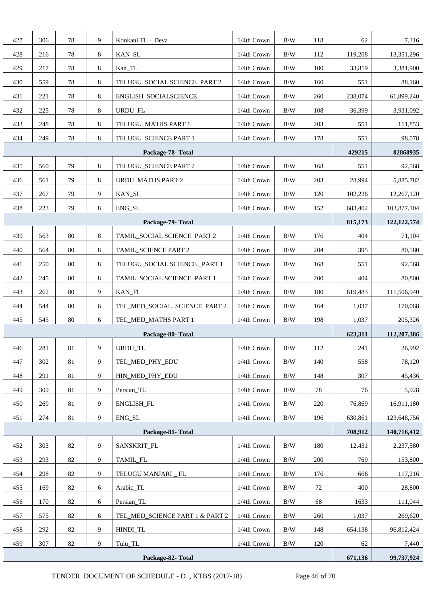| 427               | 306 | 78     | 9 | Konkani TL - Deva               | 1/4th Crown          | B/W        | 118 | 62      | 7,316         |
|-------------------|-----|--------|---|---------------------------------|----------------------|------------|-----|---------|---------------|
| 428               | 216 | 78     | 8 | KAN_SL                          | 1/4th Crown          | $\rm\,B/W$ | 112 | 119,208 | 13,351,296    |
| 429               | 217 | 78     | 8 | Kan_TL                          | 1/4th Crown          | B/W        | 100 | 33,819  | 3,381,900     |
| 430               | 559 | 78     | 8 | TELUGU_SOCIAL SCIENCE_PART 2    | 1/4th Crown          | $\rm\,B/W$ | 160 | 551     | 88,160        |
| 431               | 221 | 78     | 8 | ENGLISH_SOCIALSCIENCE           | 1/4th Crown          | B/W        | 260 | 238,074 | 61,899,240    |
| 432               | 225 | 78     | 8 | URDU_FL                         | 1/4th Crown          | B/W        | 108 | 36,399  | 3,931,092     |
| 433               | 248 | 78     | 8 | TELUGU_MATHS PART 1             | 1/4th Crown          | $\rm\,B/W$ | 203 | 551     | 111,853       |
| 434               | 249 | 78     | 8 | TELUGU_SCIENCE PART 1           | 1/4th Crown          | B/W        | 178 | 551     | 98,078        |
|                   |     |        |   | Package-78-Total                |                      |            |     | 429215  | 82868935      |
| 435               | 560 | 79     | 8 | TELUGU_SCIENCE PART 2           | 1/4th Crown          | B/W        | 168 | 551     | 92,568        |
| 436               | 561 | 79     | 8 | URDU_MATHS PART 2               | 1/4th Crown          | B/W        | 203 | 28,994  | 5,885,782     |
| 437               | 267 | 79     | 9 | KAN_SL                          | 1/4th Crown          | B/W        | 120 | 102,226 | 12,267,120    |
| 438               | 223 | 79     | 8 | ENG_SL                          | 1/4th Crown          | B/W        | 152 | 683,402 | 103,877,104   |
|                   |     |        |   | Package-79-Total                |                      |            |     | 815,173 | 122, 122, 574 |
| 439               | 563 | 80     | 8 | TAMIL_SOCIAL SCIENCE PART 2     | 1/4th Crown          | B/W        | 176 | 404     | 71,104        |
| 440               | 564 | 80     | 8 | TAMIL_SCIENCE PART 2            | 1/4th Crown          | B/W        | 204 | 395     | 80,580        |
| 441               | 250 | 80     | 8 | TELUGU_SOCIAL SCIENCE _PART 1   | 1/4th Crown          | B/W        | 168 | 551     | 92,568        |
| 442               | 245 | 80     | 8 | TAMIL_SOCIAL SCIENCE PART 1     | 1/4th Crown          | B/W        | 200 | 404     | 80,800        |
| 443               | 262 | 80     | 9 | <b>KAN_FL</b>                   | 1/4th Crown          | B/W        | 180 | 619,483 | 111,506,940   |
| 444               | 544 | 80     | 6 | TEL_MED_SOCIAL SCIENCE PART 2   | 1/4th Crown          | B/W        | 164 | 1,037   | 170,068       |
| 445               | 545 | 80     | 6 | TEL MED MATHS PART 1            | 1/4th Crown          | B/W        | 198 | 1,037   | 205,326       |
|                   |     |        |   | Package-80-Total                |                      |            |     | 623,311 | 112,207,386   |
| 446               | 281 | $81\,$ | 9 | URDU_TL                         | 1/4th Crown          | $\rm\,B/W$ | 112 | 241     | 26,992        |
| 447               | 302 | 81     | 9 | TEL MED PHY EDU                 | 1/4th Crown          | $\rm B/W$  | 140 | 558     | 78,120        |
| 448               | 291 | 81     | 9 | HIN_MED_PHY_EDU                 | 1/4th Crown          | B/W        | 148 | 307     | 45,436        |
| 449               | 309 | 81     | 9 | Persian_TL                      | 1/4th Crown          | B/W        | 78  | 76      | 5,928         |
| 450               | 269 | 81     | 9 | ENGLISH_FL                      | 1/4th Crown          | B/W        | 220 | 76,869  | 16,911,180    |
| 451               | 274 | 81     | 9 | ENG_SL                          | 1/4th Crown          | B/W        | 196 | 630,861 | 123,648,756   |
|                   |     |        |   | Package-81-Total                |                      |            |     | 708,912 | 140,716,412   |
| 452               | 303 | 82     | 9 | SANSKRIT_FL                     | 1/4th Crown          | B/W        | 180 | 12,431  | 2,237,580     |
| 453               | 293 | 82     | 9 | TAMIL_FL                        | 1/4th Crown          | $\rm\,B/W$ | 200 | 769     | 153,800       |
| 454               | 298 | 82     | 9 | TELUGU MANJARI _ FL             | $1/4\mbox{th}$ Crown | B/W        | 176 | 666     | 117,216       |
| 455               | 169 | $82\,$ | 6 | Arabic_TL                       | 1/4th Crown          | B/W        | 72  | 400     | 28,800        |
| 456               | 170 | 82     | 6 | Persian_TL                      | 1/4th Crown          | B/W        | 68  | 1633    | 111,044       |
| 457               | 575 | 82     | 6 | TEL_MED_SCIENCE PART 1 & PART 2 | 1/4th Crown          | B/W        | 260 | 1,037   | 269,620       |
| 458               | 292 | 82     | 9 | HINDI_TL                        | 1/4th Crown          | B/W        | 148 | 654,138 | 96,812,424    |
| 459               | 307 | $82\,$ | 9 | Tulu_TL                         | 1/4th Crown          | B/W        | 120 | 62      | 7,440         |
| Package-82- Total |     |        |   |                                 |                      |            |     | 671,136 | 99,737,924    |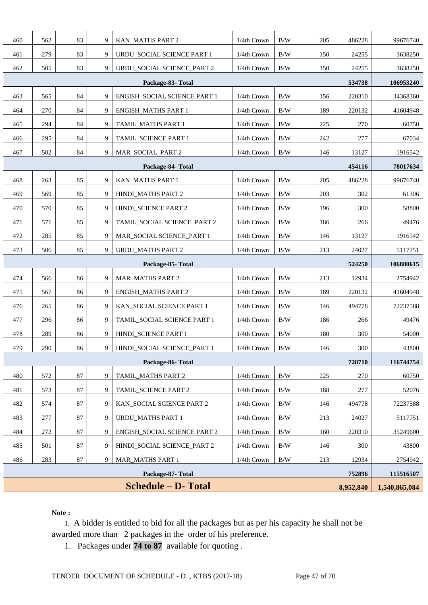| 460                        | 562 | 83     | 9      | KAN_MATHS PART 2                    | 1/4th Crown | B/W        | 205     | 486228    | 99676740      |
|----------------------------|-----|--------|--------|-------------------------------------|-------------|------------|---------|-----------|---------------|
| 461                        | 279 | 83     | 9      | URDU_SOCIAL SCIENCE PART 1          | 1/4th Crown | B/W        | 150     | 24255     | 3638250       |
| 462                        | 505 | 83     | 9      | URDU_SOCIAL SCIENCE_PART 2          | 1/4th Crown | B/W        | 150     | 24255     | 3638250       |
|                            |     |        | 534738 | 106953240                           |             |            |         |           |               |
| 463                        | 565 | 84     | 9      | ENGISH_SOCIAL SCIENCE PART 1        | 1/4th Crown | B/W        | 156     | 220310    | 34368360      |
| 464                        | 270 | 84     | 9      | <b>ENGISH_MATHS PART 1</b>          | 1/4th Crown | B/W        | 189     | 220132    | 41604948      |
| 465                        | 294 | 84     | 9      | TAMIL_MATHS PART 1                  | 1/4th Crown | B/W        | 225     | 270       | 60750         |
| 466                        | 295 | 84     | 9      | TAMIL_SCIENCE PART 1                | 1/4th Crown | B/W        | 242     | 277       | 67034         |
| 467                        | 502 | 84     | 9      | MAR_SOCIAL_PART 2                   | 1/4th Crown | B/W        | 146     | 13127     | 1916542       |
|                            |     |        |        | Package-84- Total                   |             |            |         | 454116    | 78017634      |
| 468                        | 263 | 85     | 9      | KAN_MATHS PART 1                    | 1/4th Crown | B/W        | 205     | 486228    | 99676740      |
| 469                        | 569 | 85     | 9      | HINDI_MATHS PART 2                  | 1/4th Crown | B/W        | 203     | 302       | 61306         |
| 470                        | 570 | 85     | 9      | HINDI_SCIENCE PART 2                | 1/4th Crown | B/W        | 196     | 300       | 58800         |
| 471                        | 571 | 85     | 9      | TAMIL_SOCIAL SCIENCE PART 2         | 1/4th Crown | B/W        | 186     | 266       | 49476         |
| 472                        | 285 | 85     | 9      | MAR SOCIAL SCIENCE PART 1           | 1/4th Crown | B/W        | 146     | 13127     | 1916542       |
| 473                        | 506 | 213    | 24027  | 5117751                             |             |            |         |           |               |
|                            |     |        |        | Package-85-Total                    |             |            |         | 524250    | 106880615     |
| 474                        | 566 | 86     | 9      | <b>MAR_MATHS PART 2</b>             | 1/4th Crown | B/W        | 213     | 12934     | 2754942       |
| 475                        | 567 | 86     | 9      | <b>ENGISH MATHS PART 2</b>          | 1/4th Crown | B/W        | 189     | 220132    | 41604948      |
| 476                        | 265 | 86     | 9      | KAN_SOCIAL SCIENCE PART 1           | 1/4th Crown | $\rm\,B/W$ | 146     | 494778    | 72237588      |
| 477                        | 296 | 86     | 9      | TAMIL_SOCIAL SCIENCE PART 1         | 1/4th Crown | B/W        | 186     | 266       | 49476         |
| 478                        | 289 | 86     | 9      | HINDI_SCIENCE PART 1                | 1/4th Crown | B/W        | 180     | 300       | 54000         |
| 479                        | 290 | 86     | 9      | HINDI_SOCIAL SCIENCE_PART 1         | 1/4th Crown | $\rm\,B/W$ | 146     | 300       | 43800         |
|                            |     |        |        | Package-86-Total                    |             |            |         | 728710    | 116744754     |
| 480                        | 572 | 87     | 9      | TAMIL_MATHS PART 2                  | 1/4th Crown | B/W        | $225\,$ | 270       | 60750         |
| 481                        | 573 | 87     | 9      | TAMIL_SCIENCE PART 2                | 1/4th Crown | B/W        | 188     | 277       | 52076         |
| 482                        | 574 | 87     | 9      | KAN_SOCIAL SCIENCE PART 2           | 1/4th Crown | $\rm\,B/W$ | 146     | 494778    | 72237588      |
| 483                        | 277 | 87     | 9      | <b>URDU_MATHS PART 1</b>            | 1/4th Crown | B/W        | 213     | 24027     | 5117751       |
| 484                        | 272 | 87     | 9      | <b>ENGISH_SOCIAL SCIENCE PART 2</b> | 1/4th Crown | $\rm\,B/W$ | 160     | 220310    | 35249600      |
| 485                        | 501 | 87     | 9      | HINDI_SOCIAL SCIENCE_PART 2         | 1/4th Crown | B/W        | 146     | 300       | 43800         |
| 486                        | 283 | $87\,$ | 9      | <b>MAR_MATHS PART 1</b>             | 1/4th Crown | B/W        | 213     | 12934     | 2754942       |
|                            |     |        |        | Package-87-Total                    |             |            |         | 752896    | 115516507     |
| <b>Schedule – D- Total</b> |     |        |        |                                     |             |            |         | 8,952,840 | 1,540,865,084 |

**Note :** 

 1. A bidder is entitled to bid for all the packages but as per his capacity he shall not be awarded more than 2 packages in the order of his preference.

1. Packages under **74 to 87** available for quoting .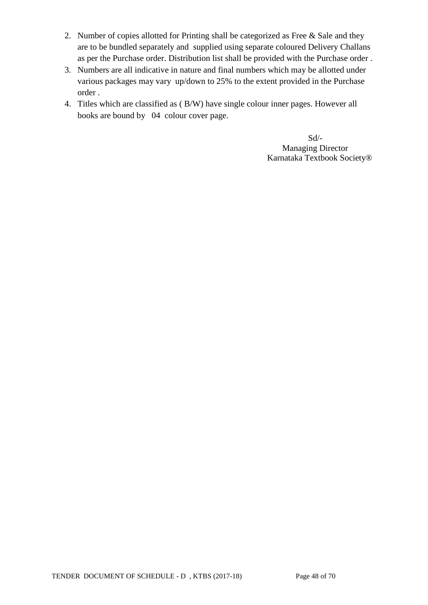- 2. Number of copies allotted for Printing shall be categorized as Free & Sale and they are to be bundled separately and supplied using separate coloured Delivery Challans as per the Purchase order. Distribution list shall be provided with the Purchase order .
- 3. Numbers are all indicative in nature and final numbers which may be allotted under various packages may vary up/down to 25% to the extent provided in the Purchase order .
- 4. Titles which are classified as ( B/W) have single colour inner pages. However all books are bound by 04 colour cover page.

 Sd/- Managing Director Karnataka Textbook Society®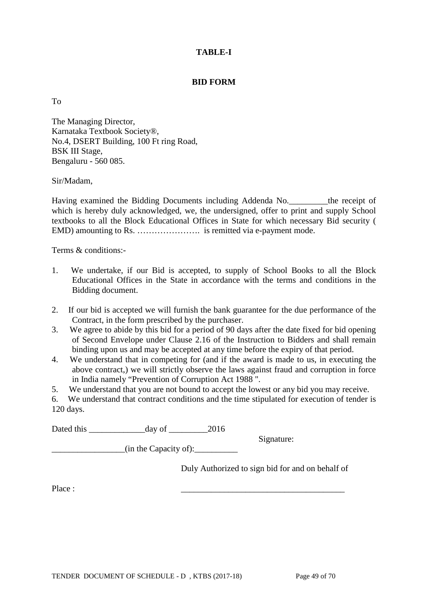### **TABLE-I**

#### **BID FORM**

To

The Managing Director, Karnataka Textbook Society®, No.4, DSERT Building, 100 Ft ring Road, BSK III Stage, Bengaluru - 560 085.

Sir/Madam,

Having examined the Bidding Documents including Addenda No.\_\_\_\_\_\_\_\_\_the receipt of which is hereby duly acknowledged, we, the undersigned, offer to print and supply School textbooks to all the Block Educational Offices in State for which necessary Bid security ( EMD) amounting to Rs. …………………. is remitted via e-payment mode.

Terms & conditions:-

- 1. We undertake, if our Bid is accepted, to supply of School Books to all the Block Educational Offices in the State in accordance with the terms and conditions in the Bidding document.
- 2. If our bid is accepted we will furnish the bank guarantee for the due performance of the Contract, in the form prescribed by the purchaser.
- 3. We agree to abide by this bid for a period of 90 days after the date fixed for bid opening of Second Envelope under Clause 2.16 of the Instruction to Bidders and shall remain binding upon us and may be accepted at any time before the expiry of that period.
- 4. We understand that in competing for (and if the award is made to us, in executing the above contract,) we will strictly observe the laws against fraud and corruption in force in India namely "Prevention of Corruption Act 1988 ".
- 5. We understand that you are not bound to accept the lowest or any bid you may receive.

6. We understand that contract conditions and the time stipulated for execution of tender is 120 days.

Dated this day of 2016

 $\frac{1}{\text{min the Capacity of}}$ :

Duly Authorized to sign bid for and on behalf of

Signature:

Place : \_\_\_\_\_\_\_\_\_\_\_\_\_\_\_\_\_\_\_\_\_\_\_\_\_\_\_\_\_\_\_\_\_\_\_\_\_\_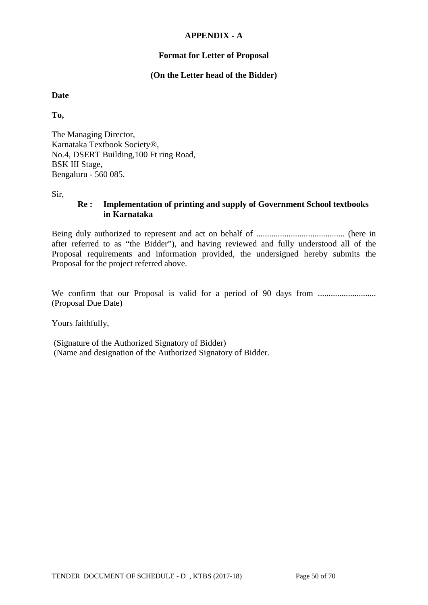#### **APPENDIX - A**

### **Format for Letter of Proposal**

### **(On the Letter head of the Bidder)**

### **Date**

**To,**

The Managing Director, Karnataka Textbook Society®, No.4, DSERT Building,100 Ft ring Road, BSK III Stage, Bengaluru - 560 085.

Sir,

### **Re : Implementation of printing and supply of Government School textbooks in Karnataka**

Being duly authorized to represent and act on behalf of ......................................... (here in after referred to as "the Bidder"), and having reviewed and fully understood all of the Proposal requirements and information provided, the undersigned hereby submits the Proposal for the project referred above.

We confirm that our Proposal is valid for a period of 90 days from ........................... (Proposal Due Date)

Yours faithfully,

(Signature of the Authorized Signatory of Bidder) (Name and designation of the Authorized Signatory of Bidder.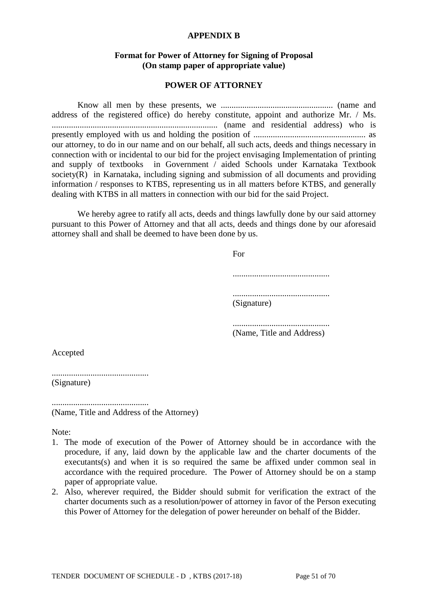#### **APPENDIX B**

#### **Format for Power of Attorney for Signing of Proposal (On stamp paper of appropriate value)**

#### **POWER OF ATTORNEY**

Know all men by these presents, we .................................................... (name and address of the registered office) do hereby constitute, appoint and authorize Mr. / Ms. ............................................................................. (name and residential address) who is presently employed with us and holding the position of .................................................... as our attorney, to do in our name and on our behalf, all such acts, deeds and things necessary in connection with or incidental to our bid for the project envisaging Implementation of printing and supply of textbooks in Government / aided Schools under Karnataka Textbook society(R) in Karnataka, including signing and submission of all documents and providing information / responses to KTBS, representing us in all matters before KTBS, and generally dealing with KTBS in all matters in connection with our bid for the said Project.

We hereby agree to ratify all acts, deeds and things lawfully done by our said attorney pursuant to this Power of Attorney and that all acts, deeds and things done by our aforesaid attorney shall and shall be deemed to have been done by us.

> For ............................................. ............................................. (Signature) .............................................

(Name, Title and Address)

Accepted

............................................. (Signature)

............................................. (Name, Title and Address of the Attorney)

Note:

- 1. The mode of execution of the Power of Attorney should be in accordance with the procedure, if any, laid down by the applicable law and the charter documents of the executants(s) and when it is so required the same be affixed under common seal in accordance with the required procedure. The Power of Attorney should be on a stamp paper of appropriate value.
- 2. Also, wherever required, the Bidder should submit for verification the extract of the charter documents such as a resolution/power of attorney in favor of the Person executing this Power of Attorney for the delegation of power hereunder on behalf of the Bidder.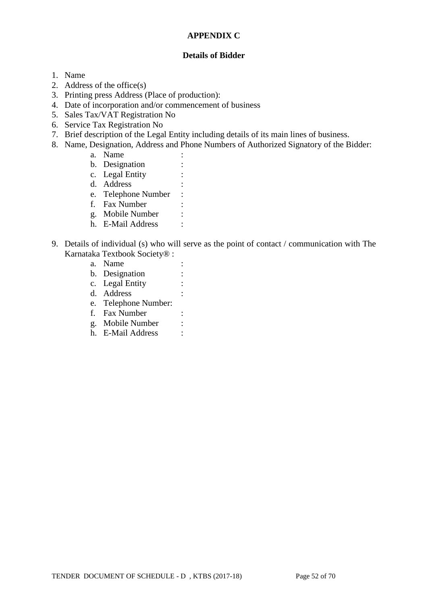#### **APPENDIX C**

#### **Details of Bidder**

- 1. Name
- 2. Address of the office(s)
- 3. Printing press Address (Place of production):
- 4. Date of incorporation and/or commencement of business
- 5. Sales Tax/VAT Registration No
- 6. Service Tax Registration No
- 7. Brief description of the Legal Entity including details of its main lines of business.
- 8. Name, Designation, Address and Phone Numbers of Authorized Signatory of the Bidder:
	- a. Name :
	- b. Designation :
	- c. Legal Entity :
	- d. Address :
	- e. Telephone Number :
	- f. Fax Number :
	- g. Mobile Number :
	- h. E-Mail Address :
- 9. Details of individual (s) who will serve as the point of contact / communication with The Karnataka Textbook Society® :
	- a. Name :
	- b. Designation :
	- c. Legal Entity :
	- d. Address :
	- e. Telephone Number:
	- f. Fax Number :
	- g. Mobile Number :
	- h. E-Mail Address :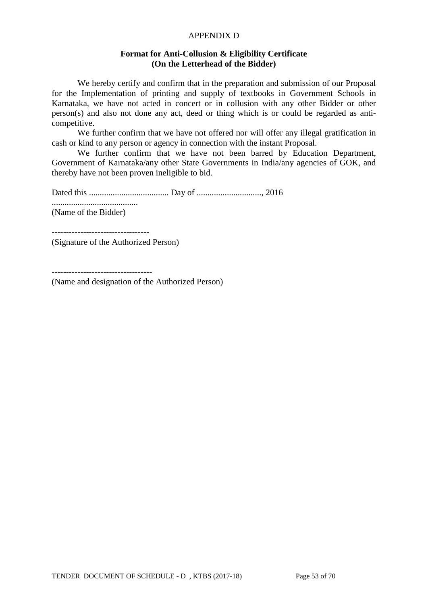#### APPENDIX D

#### **Format for Anti-Collusion & Eligibility Certificate (On the Letterhead of the Bidder)**

We hereby certify and confirm that in the preparation and submission of our Proposal for the Implementation of printing and supply of textbooks in Government Schools in Karnataka, we have not acted in concert or in collusion with any other Bidder or other person(s) and also not done any act, deed or thing which is or could be regarded as anticompetitive.

We further confirm that we have not offered nor will offer any illegal gratification in cash or kind to any person or agency in connection with the instant Proposal.

We further confirm that we have not been barred by Education Department, Government of Karnataka/any other State Governments in India/any agencies of GOK, and thereby have not been proven ineligible to bid.

Dated this ..................................... Day of .............................., 2016

........................................ (Name of the Bidder)

----------------------------------

(Signature of the Authorized Person)

(Name and designation of the Authorized Person)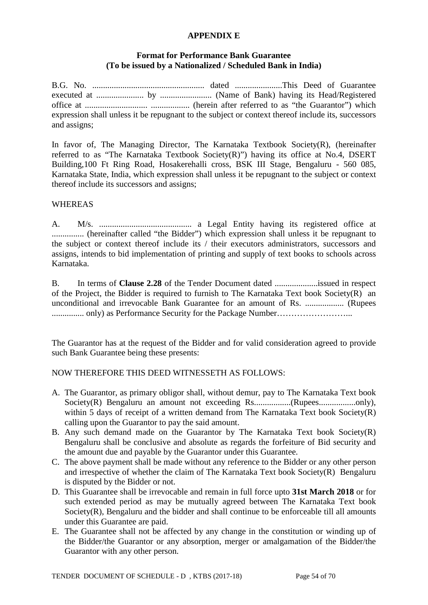#### **APPENDIX E**

### **Format for Performance Bank Guarantee (To be issued by a Nationalized / Scheduled Bank in India)**

B.G. No. .................................................... dated ......................This Deed of Guarantee executed at ...................... by ........................ (Name of Bank) having its Head/Registered office at ............................. .................. (herein after referred to as "the Guarantor") which expression shall unless it be repugnant to the subject or context thereof include its, successors and assigns;

In favor of, The Managing Director, The Karnataka Textbook Society(R), (hereinafter referred to as "The Karnataka Textbook Society(R)") having its office at No.4, DSERT Building,100 Ft Ring Road, Hosakerehalli cross, BSK III Stage, Bengaluru - 560 085, Karnataka State, India, which expression shall unless it be repugnant to the subject or context thereof include its successors and assigns;

### **WHEREAS**

A. M/s. ........................................... a Legal Entity having its registered office at ............... (hereinafter called "the Bidder") which expression shall unless it be repugnant to the subject or context thereof include its / their executors administrators, successors and assigns, intends to bid implementation of printing and supply of text books to schools across Karnataka.

B. In terms of **Clause 2.28** of the Tender Document dated ....................issued in respect of the Project, the Bidder is required to furnish to The Karnataka Text book Society(R) an unconditional and irrevocable Bank Guarantee for an amount of Rs. .................. (Rupees ............... only) as Performance Security for the Package Number……………………...

The Guarantor has at the request of the Bidder and for valid consideration agreed to provide such Bank Guarantee being these presents:

### NOW THEREFORE THIS DEED WITNESSETH AS FOLLOWS:

- A. The Guarantor, as primary obligor shall, without demur, pay to The Karnataka Text book Society(R) Bengaluru an amount not exceeding Rs.................(Rupees.................only), within 5 days of receipt of a written demand from The Karnataka Text book Society(R) calling upon the Guarantor to pay the said amount.
- B. Any such demand made on the Guarantor by The Karnataka Text book Society(R) Bengaluru shall be conclusive and absolute as regards the forfeiture of Bid security and the amount due and payable by the Guarantor under this Guarantee.
- C. The above payment shall be made without any reference to the Bidder or any other person and irrespective of whether the claim of The Karnataka Text book Society(R) Bengaluru is disputed by the Bidder or not.
- D. This Guarantee shall be irrevocable and remain in full force upto **31st March 2018** or for such extended period as may be mutually agreed between The Karnataka Text book Society(R), Bengaluru and the bidder and shall continue to be enforceable till all amounts under this Guarantee are paid.
- E. The Guarantee shall not be affected by any change in the constitution or winding up of the Bidder/the Guarantor or any absorption, merger or amalgamation of the Bidder/the Guarantor with any other person.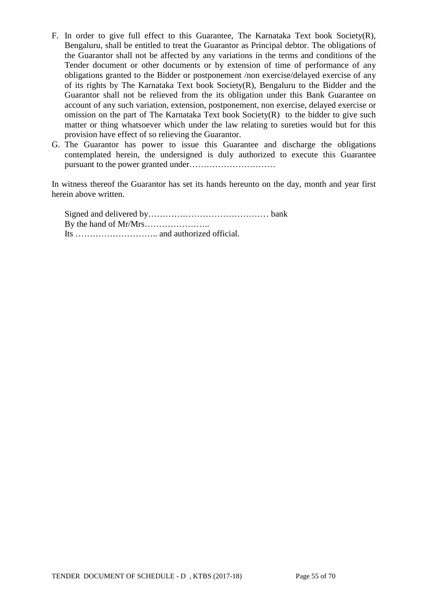- F. In order to give full effect to this Guarantee, The Karnataka Text book Society(R), Bengaluru, shall be entitled to treat the Guarantor as Principal debtor. The obligations of the Guarantor shall not be affected by any variations in the terms and conditions of the Tender document or other documents or by extension of time of performance of any obligations granted to the Bidder or postponement /non exercise/delayed exercise of any of its rights by The Karnataka Text book Society(R), Bengaluru to the Bidder and the Guarantor shall not be relieved from the its obligation under this Bank Guarantee on account of any such variation, extension, postponement, non exercise, delayed exercise or omission on the part of The Karnataka Text book Society(R) to the bidder to give such matter or thing whatsoever which under the law relating to sureties would but for this provision have effect of so relieving the Guarantor.
- G. The Guarantor has power to issue this Guarantee and discharge the obligations contemplated herein, the undersigned is duly authorized to execute this Guarantee pursuant to the power granted under…………………………

In witness thereof the Guarantor has set its hands hereunto on the day, month and year first herein above written.

Signed and delivered by…………………………………… bank By the hand of Mr/Mrs………………….. Its ……………………….. and authorized official.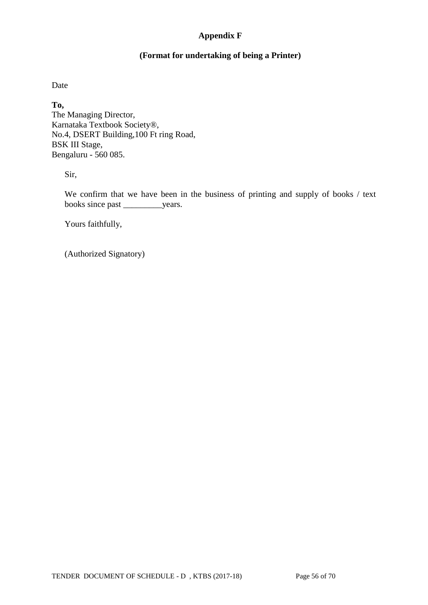### **Appendix F**

### **(Format for undertaking of being a Printer)**

Date

**To,** The Managing Director, Karnataka Textbook Society®, No.4, DSERT Building,100 Ft ring Road, BSK III Stage, Bengaluru - 560 085.

Sir,

We confirm that we have been in the business of printing and supply of books / text books since past \_\_\_\_\_\_\_\_\_years.

Yours faithfully,

(Authorized Signatory)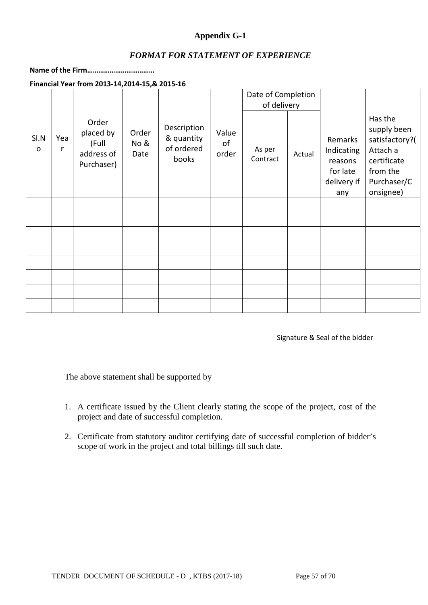### **Appendix G-1**

### *FORMAT FOR STATEMENT OF EXPERIENCE*

### **Name of the Firm………………………………**

**Financial Year from 2013-14,2014-15,& 2015-16**

|                      |          |                                                         |                       |                                                  |                      | Date of Completion |        |                                                                    |                                                                                                             |
|----------------------|----------|---------------------------------------------------------|-----------------------|--------------------------------------------------|----------------------|--------------------|--------|--------------------------------------------------------------------|-------------------------------------------------------------------------------------------------------------|
|                      |          |                                                         |                       |                                                  |                      | of delivery        |        |                                                                    |                                                                                                             |
| SI.N<br>$\mathsf{o}$ | Yea<br>r | Order<br>placed by<br>(Full<br>address of<br>Purchaser) | Order<br>No &<br>Date | Description<br>& quantity<br>of ordered<br>books | Value<br>of<br>order | As per<br>Contract | Actual | Remarks<br>Indicating<br>reasons<br>for late<br>delivery if<br>any | Has the<br>supply been<br>satisfactory?(<br>Attach a<br>certificate<br>from the<br>Purchaser/C<br>onsignee) |
|                      |          |                                                         |                       |                                                  |                      |                    |        |                                                                    |                                                                                                             |
|                      |          |                                                         |                       |                                                  |                      |                    |        |                                                                    |                                                                                                             |
|                      |          |                                                         |                       |                                                  |                      |                    |        |                                                                    |                                                                                                             |
|                      |          |                                                         |                       |                                                  |                      |                    |        |                                                                    |                                                                                                             |
|                      |          |                                                         |                       |                                                  |                      |                    |        |                                                                    |                                                                                                             |
|                      |          |                                                         |                       |                                                  |                      |                    |        |                                                                    |                                                                                                             |
|                      |          |                                                         |                       |                                                  |                      |                    |        |                                                                    |                                                                                                             |
|                      |          |                                                         |                       |                                                  |                      |                    |        |                                                                    |                                                                                                             |

Signature & Seal of the bidder

The above statement shall be supported by

- 1. A certificate issued by the Client clearly stating the scope of the project, cost of the project and date of successful completion.
- 2. Certificate from statutory auditor certifying date of successful completion of bidder's scope of work in the project and total billings till such date.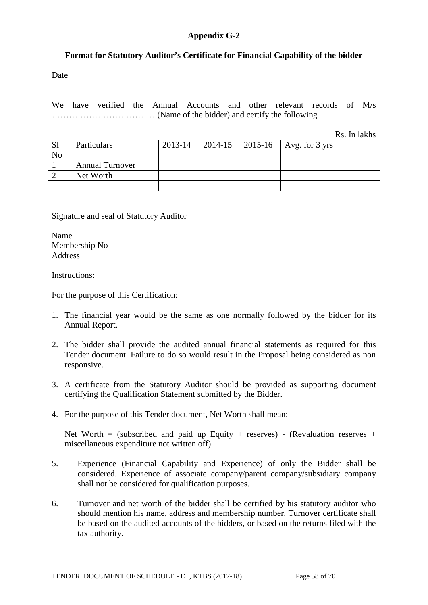### **Appendix G-2**

### **Format for Statutory Auditor's Certificate for Financial Capability of the bidder**

Date

We have verified the Annual Accounts and other relevant records of M/s ……………………………… (Name of the bidder) and certify the following

Rs. In lakhs

| <sub>S1</sub><br>No | Particulars            | 2013-14 |  | 2014-15   2015-16   Avg. for 3 yrs |
|---------------------|------------------------|---------|--|------------------------------------|
|                     | <b>Annual Turnover</b> |         |  |                                    |
|                     | Net Worth              |         |  |                                    |
|                     |                        |         |  |                                    |

Signature and seal of Statutory Auditor

Name Membership No Address

Instructions:

For the purpose of this Certification:

- 1. The financial year would be the same as one normally followed by the bidder for its Annual Report.
- 2. The bidder shall provide the audited annual financial statements as required for this Tender document. Failure to do so would result in the Proposal being considered as non responsive.
- 3. A certificate from the Statutory Auditor should be provided as supporting document certifying the Qualification Statement submitted by the Bidder.
- 4. For the purpose of this Tender document, Net Worth shall mean:

Net Worth = (subscribed and paid up Equity + reserves) - (Revaluation reserves + miscellaneous expenditure not written off)

- 5. Experience (Financial Capability and Experience) of only the Bidder shall be considered. Experience of associate company/parent company/subsidiary company shall not be considered for qualification purposes.
- 6. Turnover and net worth of the bidder shall be certified by his statutory auditor who should mention his name, address and membership number. Turnover certificate shall be based on the audited accounts of the bidders, or based on the returns filed with the tax authority.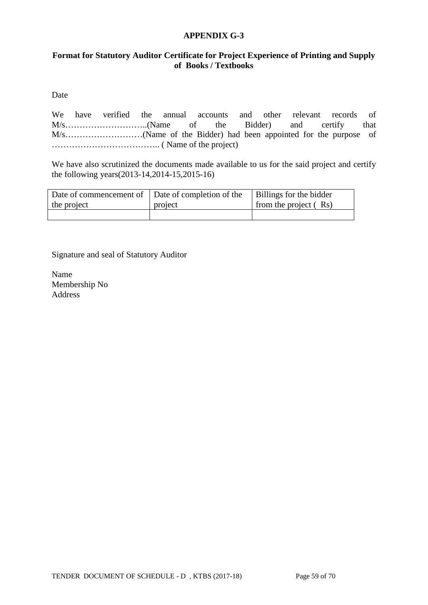#### **APPENDIX G-3**

### **Format for Statutory Auditor Certificate for Project Experience of Printing and Supply of Books / Textbooks**

Date

We have verified the annual accounts and other relevant records of M/s………………………..(Name of the Bidder) and certify that M/s………………………(Name of the Bidder) had been appointed for the purpose of ……………………………….. ( Name of the project)

We have also scrutinized the documents made available to us for the said project and certify the following years(2013-14,2014-15,2015-16)

| Date of commencement of Date of completion of the |         | Billings for the bidder |
|---------------------------------------------------|---------|-------------------------|
| the project                                       | project | from the project $(Rs)$ |
|                                                   |         |                         |

Signature and seal of Statutory Auditor

Name Membership No Address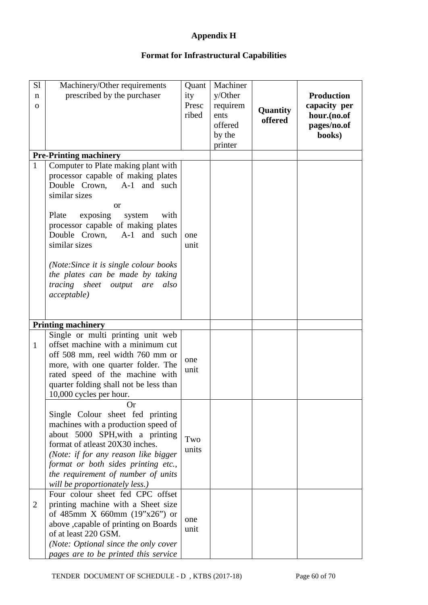## **Appendix H**

# **Format for Infrastructural Capabilities**

| S1<br>n<br>$\mathbf{O}$ | Machinery/Other requirements<br>prescribed by the purchaser                                                                                                                                                                                                                                                                                                                                                                                     | Quant<br>ity<br>Presc<br>ribed | Machiner<br>y/Other<br>requirem<br>ents<br>offered<br>by the<br>printer | Quantity<br>offered | <b>Production</b><br>capacity per<br>hour.(no.of<br>pages/no.of<br>books) |
|-------------------------|-------------------------------------------------------------------------------------------------------------------------------------------------------------------------------------------------------------------------------------------------------------------------------------------------------------------------------------------------------------------------------------------------------------------------------------------------|--------------------------------|-------------------------------------------------------------------------|---------------------|---------------------------------------------------------------------------|
| $\mathbf{1}$            | <b>Pre-Printing machinery</b><br>Computer to Plate making plant with<br>processor capable of making plates<br>Double Crown, A-1 and such<br>similar sizes<br><b>or</b><br>exposing<br>Plate<br>system<br>with<br>processor capable of making plates<br>Double Crown,<br>A-1 and such<br>similar sizes<br>(Note: Since it is single colour books)<br>the plates can be made by taking<br>tracing sheet output are<br>also<br><i>acceptable</i> ) | one<br>unit                    |                                                                         |                     |                                                                           |
|                         | <b>Printing machinery</b>                                                                                                                                                                                                                                                                                                                                                                                                                       |                                |                                                                         |                     |                                                                           |
| $\mathbf{1}$            | Single or multi printing unit web<br>offset machine with a minimum cut<br>off 508 mm, reel width 760 mm or<br>more, with one quarter folder. The<br>rated speed of the machine with<br>quarter folding shall not be less than<br>10,000 cycles per hour.                                                                                                                                                                                        | one<br>unit                    |                                                                         |                     |                                                                           |
|                         | <b>Or</b><br>Single Colour sheet fed printing<br>machines with a production speed of<br>about 5000 SPH, with a printing<br>format of atleast 20X30 inches.<br>(Note: if for any reason like bigger<br>format or both sides printing etc.,<br>the requirement of number of units<br>will be proportionately less.)                                                                                                                               | Two<br>units                   |                                                                         |                     |                                                                           |
| 2                       | Four colour sheet fed CPC offset<br>printing machine with a Sheet size<br>of 485mm X 660mm $(19"x26")$ or<br>above , capable of printing on Boards<br>of at least 220 GSM.<br>(Note: Optional since the only cover<br>pages are to be printed this service                                                                                                                                                                                      | one<br>unit                    |                                                                         |                     |                                                                           |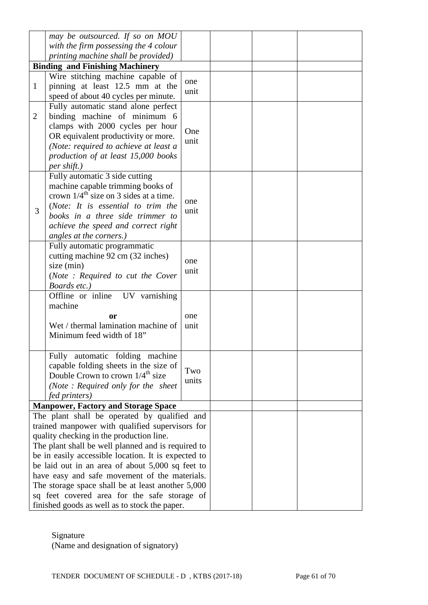|                | may be outsourced. If so on MOU                     |       |  |  |
|----------------|-----------------------------------------------------|-------|--|--|
|                | with the firm possessing the 4 colour               |       |  |  |
|                | printing machine shall be provided)                 |       |  |  |
|                | <b>Binding and Finishing Machinery</b>              |       |  |  |
|                | Wire stitching machine capable of                   |       |  |  |
| $\mathbf{1}$   | pinning at least 12.5 mm at the                     | one   |  |  |
|                | speed of about 40 cycles per minute.                | unit  |  |  |
|                |                                                     |       |  |  |
|                | Fully automatic stand alone perfect                 |       |  |  |
| $\overline{2}$ | binding machine of minimum 6                        |       |  |  |
|                | clamps with 2000 cycles per hour                    | One   |  |  |
|                | OR equivalent productivity or more.                 | unit  |  |  |
|                | (Note: required to achieve at least a               |       |  |  |
|                | production of at least 15,000 books                 |       |  |  |
|                | per shift.)                                         |       |  |  |
|                | Fully automatic 3 side cutting                      |       |  |  |
|                | machine capable trimming books of                   |       |  |  |
|                | crown $1/4^{\text{th}}$ size on 3 sides at a time.  |       |  |  |
|                | (Note: It is essential to trim the                  | one   |  |  |
| 3              | books in a three side trimmer to                    | unit  |  |  |
|                | achieve the speed and correct right                 |       |  |  |
|                | angles at the corners.)                             |       |  |  |
|                |                                                     |       |  |  |
|                | Fully automatic programmatic                        |       |  |  |
|                | cutting machine 92 cm (32 inches)                   | one   |  |  |
|                | size (min)                                          | unit  |  |  |
|                | (Note: Required to cut the Cover                    |       |  |  |
|                | Boards etc.)                                        |       |  |  |
|                | Offline or inline UV varnishing                     |       |  |  |
|                | machine                                             |       |  |  |
|                | <b>or</b>                                           | one   |  |  |
|                | Wet / thermal lamination machine of                 | unit  |  |  |
|                | Minimum feed width of 18"                           |       |  |  |
|                |                                                     |       |  |  |
|                | Fully automatic folding machine                     |       |  |  |
|                | capable folding sheets in the size of               |       |  |  |
|                | Double Crown to crown $1/4^{\text{th}}$ size        | Two   |  |  |
|                | (Note: Required only for the sheet                  | units |  |  |
|                | fed printers)                                       |       |  |  |
|                |                                                     |       |  |  |
|                | <b>Manpower, Factory and Storage Space</b>          |       |  |  |
|                | The plant shall be operated by qualified and        |       |  |  |
|                | trained manpower with qualified supervisors for     |       |  |  |
|                | quality checking in the production line.            |       |  |  |
|                | The plant shall be well planned and is required to  |       |  |  |
|                | be in easily accessible location. It is expected to |       |  |  |
|                | be laid out in an area of about $5,000$ sq feet to  |       |  |  |
|                | have easy and safe movement of the materials.       |       |  |  |
|                | The storage space shall be at least another 5,000   |       |  |  |
|                | sq feet covered area for the safe storage of        |       |  |  |
|                | finished goods as well as to stock the paper.       |       |  |  |

Signature

(Name and designation of signatory)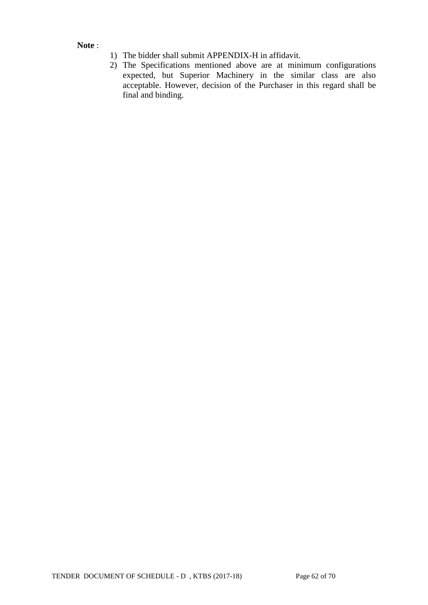**Note** :

- 1) The bidder shall submit APPENDIX-H in affidavit.
- 2) The Specifications mentioned above are at minimum configurations expected, but Superior Machinery in the similar class are also acceptable. However, decision of the Purchaser in this regard shall be final and binding.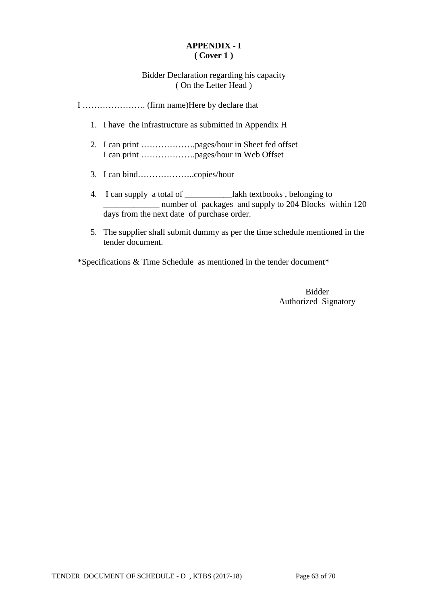### **APPENDIX - I ( Cover 1 )**

Bidder Declaration regarding his capacity ( On the Letter Head )

I …………………. (firm name)Here by declare that

- 1. I have the infrastructure as submitted in Appendix H
- 2. I can print ……………….pages/hour in Sheet fed offset I can print ……………….pages/hour in Web Offset
- 3. I can bind………………..copies/hour
- 4. I can supply a total of \_\_\_\_\_\_\_\_\_\_\_lakh textbooks , belonging to \_\_\_\_\_\_\_\_\_\_\_\_\_ number of packages and supply to 204 Blocks within 120 days from the next date of purchase order.
- 5. The supplier shall submit dummy as per the time schedule mentioned in the tender document.

\*Specifications & Time Schedule as mentioned in the tender document\*

Bidder Authorized Signatory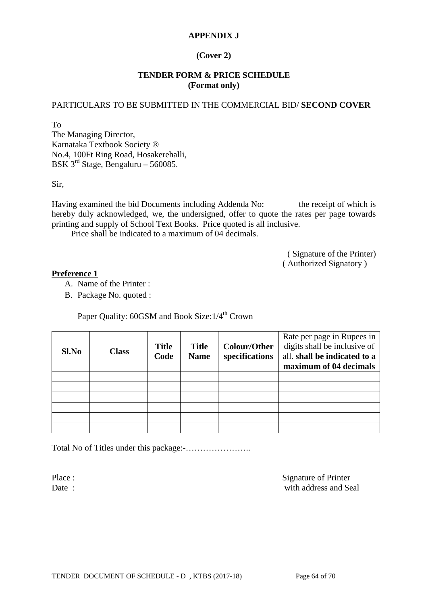### **APPENDIX J**

### **(Cover 2)**

#### **TENDER FORM & PRICE SCHEDULE (Format only)**

#### PARTICULARS TO BE SUBMITTED IN THE COMMERCIAL BID/ **SECOND COVER**

To The Managing Director, Karnataka Textbook Society ® No.4, 100Ft Ring Road, Hosakerehalli, BSK  $3^{rd}$  Stage, Bengaluru – 560085.

Sir,

Having examined the bid Documents including Addenda No: the receipt of which is hereby duly acknowledged, we, the undersigned, offer to quote the rates per page towards printing and supply of School Text Books. Price quoted is all inclusive.

Price shall be indicated to a maximum of 04 decimals.

( Signature of the Printer) ( Authorized Signatory )

#### **Preference 1**

A. Name of the Printer :

B. Package No. quoted :

Paper Quality: 60GSM and Book Size:  $1/4^{th}$  Crown

| Sl.No | <b>Class</b> | <b>Title</b><br>Code | <b>Title</b><br><b>Name</b> | <b>Colour/Other</b><br>specifications | Rate per page in Rupees in<br>digits shall be inclusive of<br>all. shall be indicated to a<br>maximum of 04 decimals |
|-------|--------------|----------------------|-----------------------------|---------------------------------------|----------------------------------------------------------------------------------------------------------------------|
|       |              |                      |                             |                                       |                                                                                                                      |
|       |              |                      |                             |                                       |                                                                                                                      |
|       |              |                      |                             |                                       |                                                                                                                      |
|       |              |                      |                             |                                       |                                                                                                                      |
|       |              |                      |                             |                                       |                                                                                                                      |
|       |              |                      |                             |                                       |                                                                                                                      |

Total No of Titles under this package:-…………………..

Place : Signature of Printer Date : with address and Seal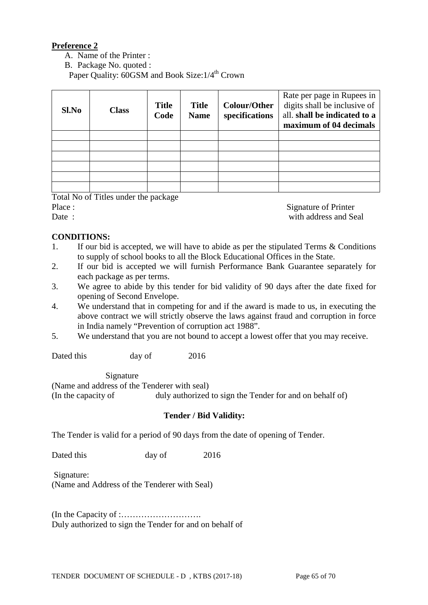### **Preference 2**

- A. Name of the Printer :
- B. Package No. quoted :

Paper Quality: 60GSM and Book Size: 1/4<sup>th</sup> Crown

| Sl.No | <b>Class</b> | <b>Title</b><br>Code | <b>Title</b><br><b>Name</b> | Colour/Other<br>specifications | Rate per page in Rupees in<br>digits shall be inclusive of<br>all. shall be indicated to a<br>maximum of 04 decimals |
|-------|--------------|----------------------|-----------------------------|--------------------------------|----------------------------------------------------------------------------------------------------------------------|
|       |              |                      |                             |                                |                                                                                                                      |
|       |              |                      |                             |                                |                                                                                                                      |
|       |              |                      |                             |                                |                                                                                                                      |
|       |              |                      |                             |                                |                                                                                                                      |
|       |              |                      |                             |                                |                                                                                                                      |
|       |              |                      |                             |                                |                                                                                                                      |

Total No of Titles under the package

Place : Signature of Printer Date : with address and Seal

### **CONDITIONS:**

- 1. If our bid is accepted, we will have to abide as per the stipulated Terms & Conditions to supply of school books to all the Block Educational Offices in the State.
- 2. If our bid is accepted we will furnish Performance Bank Guarantee separately for each package as per terms.
- 3. We agree to abide by this tender for bid validity of 90 days after the date fixed for opening of Second Envelope.
- 4. We understand that in competing for and if the award is made to us, in executing the above contract we will strictly observe the laws against fraud and corruption in force in India namely "Prevention of corruption act 1988".
- 5. We understand that you are not bound to accept a lowest offer that you may receive.

Dated this day of 2016

Signature

(Name and address of the Tenderer with seal)

(In the capacity of duly authorized to sign the Tender for and on behalf of)

#### **Tender / Bid Validity:**

The Tender is valid for a period of 90 days from the date of opening of Tender.

Dated this day of 2016

Signature: (Name and Address of the Tenderer with Seal)

(In the Capacity of :………………………. Duly authorized to sign the Tender for and on behalf of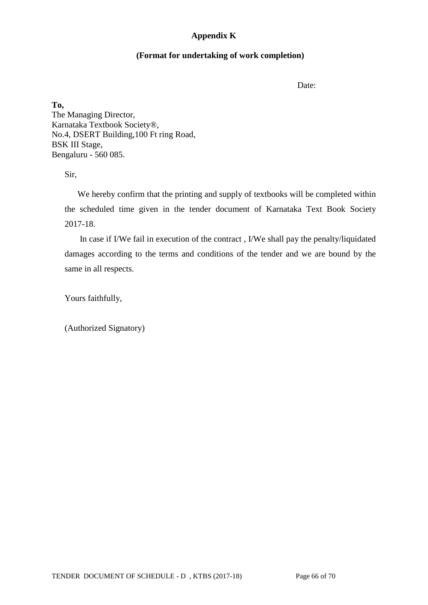### **Appendix K**

#### **(Format for undertaking of work completion)**

Date:

**To,** The Managing Director, Karnataka Textbook Society®, No.4, DSERT Building,100 Ft ring Road, BSK III Stage, Bengaluru - 560 085.

Sir,

 We hereby confirm that the printing and supply of textbooks will be completed within the scheduled time given in the tender document of Karnataka Text Book Society 2017-18.

 In case if I/We fail in execution of the contract , I/We shall pay the penalty/liquidated damages according to the terms and conditions of the tender and we are bound by the same in all respects.

Yours faithfully,

(Authorized Signatory)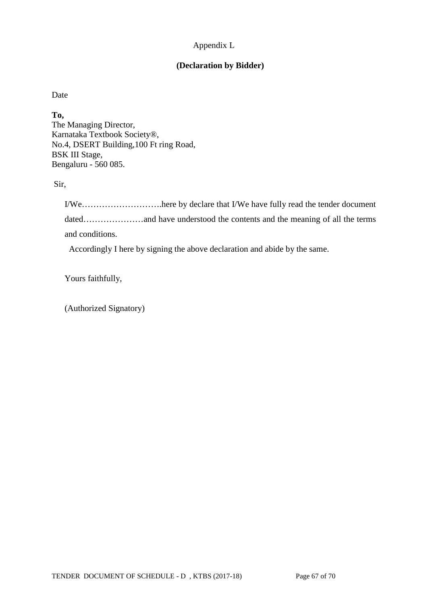## Appendix L

## **(Declaration by Bidder)**

Date

**To,** The Managing Director, Karnataka Textbook Society®, No.4, DSERT Building,100 Ft ring Road, BSK III Stage, Bengaluru - 560 085.

Sir,

I/We……………………….here by declare that I/We have fully read the tender document dated………………and have understood the contents and the meaning of all the terms and conditions.

Accordingly I here by signing the above declaration and abide by the same.

Yours faithfully,

(Authorized Signatory)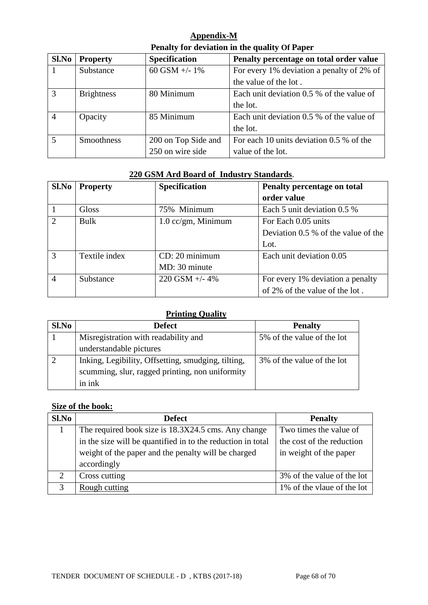| Appendix-M                                    |  |
|-----------------------------------------------|--|
| Penalty for deviation in the quality Of Paper |  |

| Sl.No          | <b>Property</b>   | <b>Specification</b> | Penalty percentage on total order value   |
|----------------|-------------------|----------------------|-------------------------------------------|
|                | Substance         | 60 GSM $+/- 1\%$     | For every 1% deviation a penalty of 2% of |
|                |                   |                      | the value of the lot.                     |
| 3              | <b>Brightness</b> | 80 Minimum           | Each unit deviation 0.5 % of the value of |
|                |                   |                      | the lot.                                  |
| $\overline{4}$ | Opacity           | 85 Minimum           | Each unit deviation 0.5 % of the value of |
|                |                   |                      | the lot.                                  |
| $\overline{5}$ | <b>Smoothness</b> | 200 on Top Side and  | For each 10 units deviation 0.5 % of the  |
|                |                   | 250 on wire side     | value of the lot.                         |

## **220 GSM Ard Board of Industry Standards**.

| Sl.No                  | <b>Property</b> | Specification                 | Penalty percentage on total           |  |
|------------------------|-----------------|-------------------------------|---------------------------------------|--|
|                        |                 |                               | order value                           |  |
|                        | <b>Gloss</b>    | 75% Minimum                   | Each 5 unit deviation 0.5 %           |  |
| $\mathcal{D}_{\alpha}$ | Bulk            | $1.0 \text{ cc/gm}$ , Minimum | For Each 0.05 units                   |  |
|                        |                 |                               | Deviation $0.5\%$ of the value of the |  |
|                        |                 |                               | Lot.                                  |  |
| $\mathcal{R}$          | Textile index   | CD: 20 minimum                | Each unit deviation 0.05              |  |
|                        |                 | MD: 30 minute                 |                                       |  |
| $\overline{A}$         | Substance       | $220$ GSM $+/- 4\%$           | For every 1% deviation a penalty      |  |
|                        |                 |                               | of 2% of the value of the lot.        |  |

### **Printing Quality**

| Sl.No | <b>Defect</b>                                      | <b>Penalty</b>             |
|-------|----------------------------------------------------|----------------------------|
|       | Misregistration with readability and               | 5% of the value of the lot |
|       | understandable pictures                            |                            |
|       | Inking, Legibility, Offsetting, smudging, tilting, | 3% of the value of the lot |
|       | scumming, slur, ragged printing, non uniformity    |                            |
|       | in ink                                             |                            |

## **Size of the book:**

| S1.No         | <b>Defect</b>                                               | <b>Penalty</b>             |
|---------------|-------------------------------------------------------------|----------------------------|
|               | The required book size is 18.3X24.5 cms. Any change         | Two times the value of     |
|               | in the size will be quantified in to the reduction in total | the cost of the reduction  |
|               | weight of the paper and the penalty will be charged         | in weight of the paper     |
|               | accordingly                                                 |                            |
| $\mathcal{D}$ | Cross cutting                                               | 3% of the value of the lot |
|               | Rough cutting                                               | 1% of the vlaue of the lot |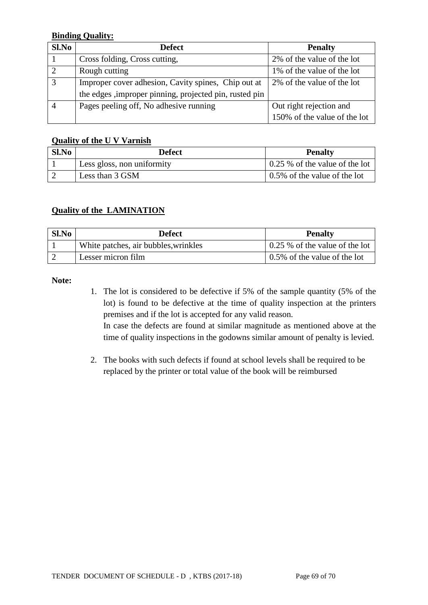### **Binding Quality:**

| S1.No | <b>Defect</b>                                           | <b>Penalty</b>               |  |  |
|-------|---------------------------------------------------------|------------------------------|--|--|
|       | Cross folding, Cross cutting,                           | 2% of the value of the lot   |  |  |
|       | Rough cutting                                           | 1% of the value of the lot   |  |  |
| 3     | Improper cover adhesion, Cavity spines, Chip out at     | 2% of the value of the lot   |  |  |
|       | the edges , improper pinning, projected pin, rusted pin |                              |  |  |
|       | Pages peeling off, No adhesive running                  | Out right rejection and      |  |  |
|       |                                                         | 150% of the value of the lot |  |  |

### **Quality of the U V Varnish**

| Sl.No | <b>Defect</b>              | <b>Penalty</b>                         |
|-------|----------------------------|----------------------------------------|
|       | Less gloss, non uniformity | $\vert$ 0.25 % of the value of the lot |
|       | Less than 3 GSM            | $\vert$ 0.5% of the value of the lot   |

## **Quality of the LAMINATION**

| $Sl$ . No | <b>Defect</b>                        | <b>Penalty</b>                         |
|-----------|--------------------------------------|----------------------------------------|
|           | White patches, air bubbles, wrinkles | $\vert$ 0.25 % of the value of the lot |
|           | Lesser micron film                   | $\vert$ 0.5% of the value of the lot   |

#### **Note:**

1. The lot is considered to be defective if 5% of the sample quantity (5% of the lot) is found to be defective at the time of quality inspection at the printers premises and if the lot is accepted for any valid reason. In case the defects are found at similar magnitude as mentioned above at the

time of quality inspections in the godowns similar amount of penalty is levied.

2. The books with such defects if found at school levels shall be required to be replaced by the printer or total value of the book will be reimbursed